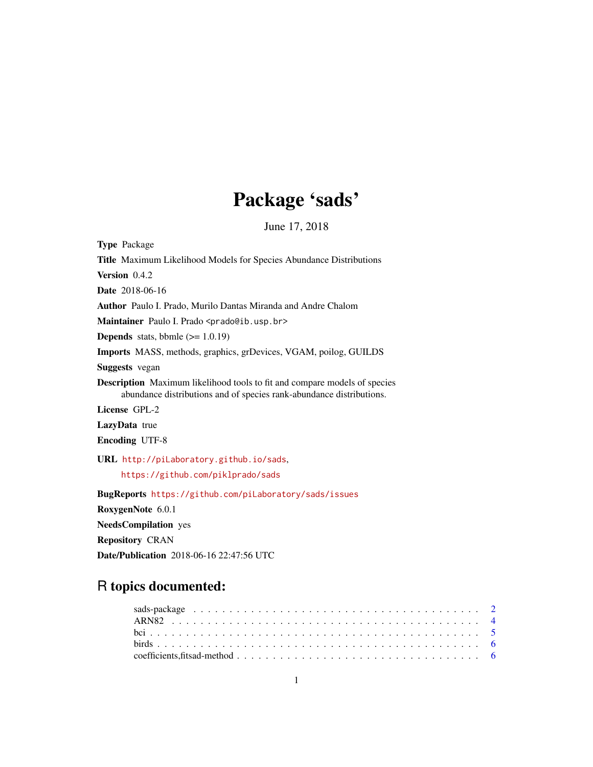# Package 'sads'

June 17, 2018

<span id="page-0-0"></span>Type Package Title Maximum Likelihood Models for Species Abundance Distributions Version 0.4.2 Date 2018-06-16 Author Paulo I. Prado, Murilo Dantas Miranda and Andre Chalom Maintainer Paulo I. Prado <prado@ib.usp.br> **Depends** stats, bbmle  $(>= 1.0.19)$ Imports MASS, methods, graphics, grDevices, VGAM, poilog, GUILDS Suggests vegan Description Maximum likelihood tools to fit and compare models of species abundance distributions and of species rank-abundance distributions. License GPL-2 LazyData true Encoding UTF-8 URL <http://piLaboratory.github.io/sads>, <https://github.com/piklprado/sads> BugReports <https://github.com/piLaboratory/sads/issues> RoxygenNote 6.0.1 NeedsCompilation yes

Repository CRAN

Date/Publication 2018-06-16 22:47:56 UTC

# R topics documented: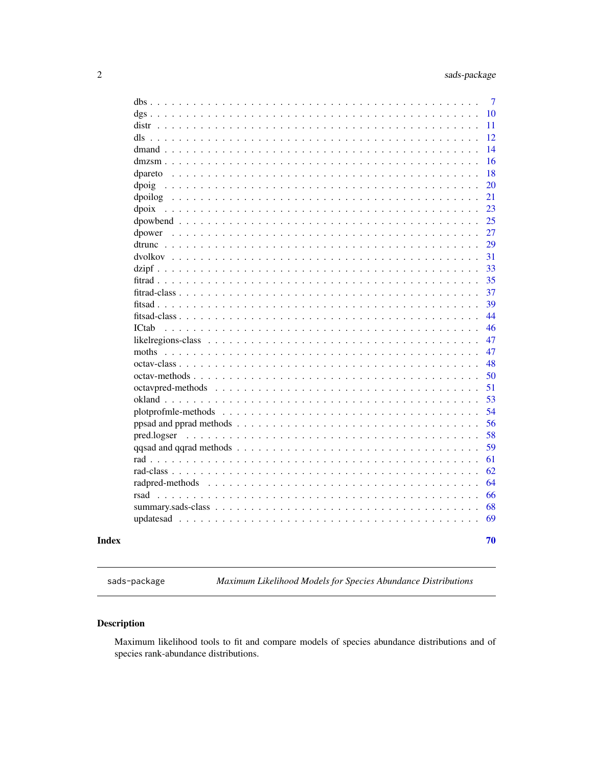<span id="page-1-0"></span>

|         | $\tau$ |
|---------|--------|
|         | 10     |
|         | 11     |
|         | 12     |
|         | 14     |
|         | 16     |
| dpareto | 18     |
|         | 20     |
|         | 21     |
| dpoix   | 23     |
|         | 25     |
|         | 27     |
|         | 29     |
|         | 31     |
|         | 33     |
|         | 35     |
|         | 37     |
|         | 39     |
|         | 44     |
| ICtab   | 46     |
|         | 47     |
|         | 47     |
|         | 48     |
|         | 50     |
|         | 51     |
|         | 53     |
|         | 54     |
|         | 56     |
|         | 58     |
|         | 59     |
|         | 61     |
|         | 62     |
|         | 64     |
|         | 66     |
|         | 68     |
|         | 69     |
|         | 70     |
|         |        |

# **Index**

sads-package

Maximum Likelihood Models for Species Abundance Distributions

# Description

Maximum likelihood tools to fit and compare models of species abundance distributions and of species rank-abundance distributions.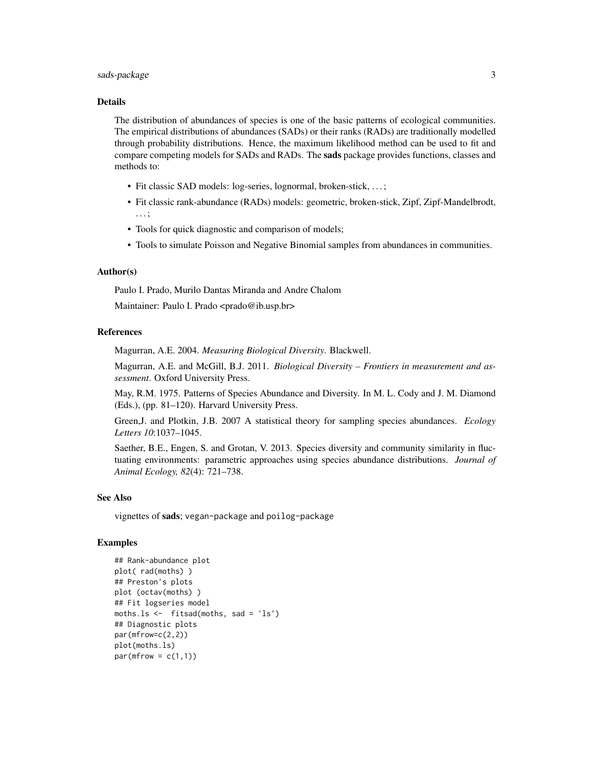# sads-package 3

#### Details

The distribution of abundances of species is one of the basic patterns of ecological communities. The empirical distributions of abundances (SADs) or their ranks (RADs) are traditionally modelled through probability distributions. Hence, the maximum likelihood method can be used to fit and compare competing models for SADs and RADs. The sads package provides functions, classes and methods to:

- Fit classic SAD models: log-series, lognormal, broken-stick, . . . ;
- Fit classic rank-abundance (RADs) models: geometric, broken-stick, Zipf, Zipf-Mandelbrodt, . . . ;
- Tools for quick diagnostic and comparison of models;
- Tools to simulate Poisson and Negative Binomial samples from abundances in communities.

# Author(s)

Paulo I. Prado, Murilo Dantas Miranda and Andre Chalom Maintainer: Paulo I. Prado <prado@ib.usp.br>

# References

Magurran, A.E. 2004. *Measuring Biological Diversity*. Blackwell.

Magurran, A.E. and McGill, B.J. 2011. *Biological Diversity – Frontiers in measurement and assessment*. Oxford University Press.

May, R.M. 1975. Patterns of Species Abundance and Diversity. In M. L. Cody and J. M. Diamond (Eds.), (pp. 81–120). Harvard University Press.

Green,J. and Plotkin, J.B. 2007 A statistical theory for sampling species abundances. *Ecology Letters 10*:1037–1045.

Saether, B.E., Engen, S. and Grotan, V. 2013. Species diversity and community similarity in fluctuating environments: parametric approaches using species abundance distributions. *Journal of Animal Ecology, 82*(4): 721–738.

#### See Also

vignettes of sads; vegan-package and poilog-package

# Examples

```
## Rank-abundance plot
plot( rad(moths) )
## Preston's plots
plot (octav(moths) )
## Fit logseries model
moths.ls <- fitsad(moths, sad = 'ls')
## Diagnostic plots
par(mfrow=c(2,2))
plot(moths.ls)
par(mfrow = c(1,1))
```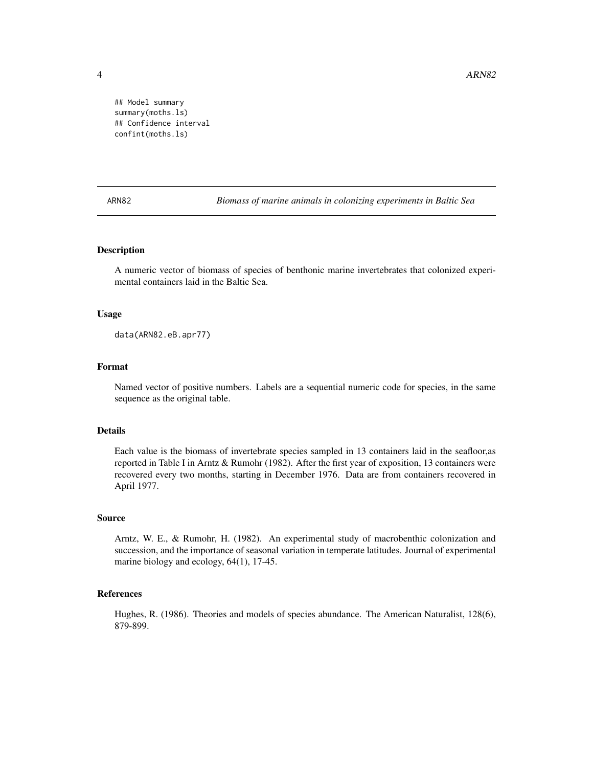4 ARN82

## Model summary summary(moths.ls) ## Confidence interval confint(moths.ls)

ARN82 *Biomass of marine animals in colonizing experiments in Baltic Sea*

# Description

A numeric vector of biomass of species of benthonic marine invertebrates that colonized experimental containers laid in the Baltic Sea.

# Usage

data(ARN82.eB.apr77)

# Format

Named vector of positive numbers. Labels are a sequential numeric code for species, in the same sequence as the original table.

# Details

Each value is the biomass of invertebrate species sampled in 13 containers laid in the seafloor,as reported in Table I in Arntz & Rumohr (1982). After the first year of exposition, 13 containers were recovered every two months, starting in December 1976. Data are from containers recovered in April 1977.

# Source

Arntz, W. E., & Rumohr, H. (1982). An experimental study of macrobenthic colonization and succession, and the importance of seasonal variation in temperate latitudes. Journal of experimental marine biology and ecology, 64(1), 17-45.

# References

Hughes, R. (1986). Theories and models of species abundance. The American Naturalist, 128(6), 879-899.

<span id="page-3-0"></span>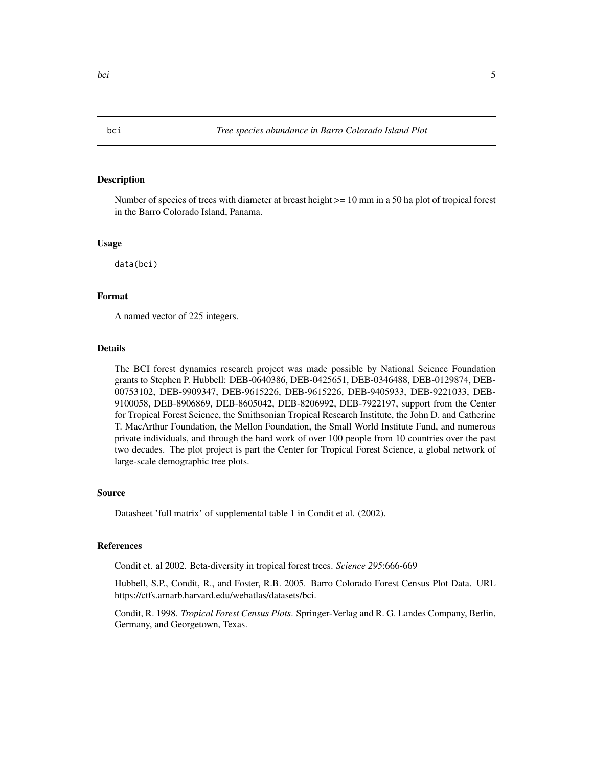# <span id="page-4-0"></span>Description

Number of species of trees with diameter at breast height >= 10 mm in a 50 ha plot of tropical forest in the Barro Colorado Island, Panama.

### Usage

data(bci)

# Format

A named vector of 225 integers.

# Details

The BCI forest dynamics research project was made possible by National Science Foundation grants to Stephen P. Hubbell: DEB-0640386, DEB-0425651, DEB-0346488, DEB-0129874, DEB-00753102, DEB-9909347, DEB-9615226, DEB-9615226, DEB-9405933, DEB-9221033, DEB-9100058, DEB-8906869, DEB-8605042, DEB-8206992, DEB-7922197, support from the Center for Tropical Forest Science, the Smithsonian Tropical Research Institute, the John D. and Catherine T. MacArthur Foundation, the Mellon Foundation, the Small World Institute Fund, and numerous private individuals, and through the hard work of over 100 people from 10 countries over the past two decades. The plot project is part the Center for Tropical Forest Science, a global network of large-scale demographic tree plots.

# Source

Datasheet 'full matrix' of supplemental table 1 in Condit et al. (2002).

#### References

Condit et. al 2002. Beta-diversity in tropical forest trees. *Science 295*:666-669

Hubbell, S.P., Condit, R., and Foster, R.B. 2005. Barro Colorado Forest Census Plot Data. URL https://ctfs.arnarb.harvard.edu/webatlas/datasets/bci.

Condit, R. 1998. *Tropical Forest Census Plots*. Springer-Verlag and R. G. Landes Company, Berlin, Germany, and Georgetown, Texas.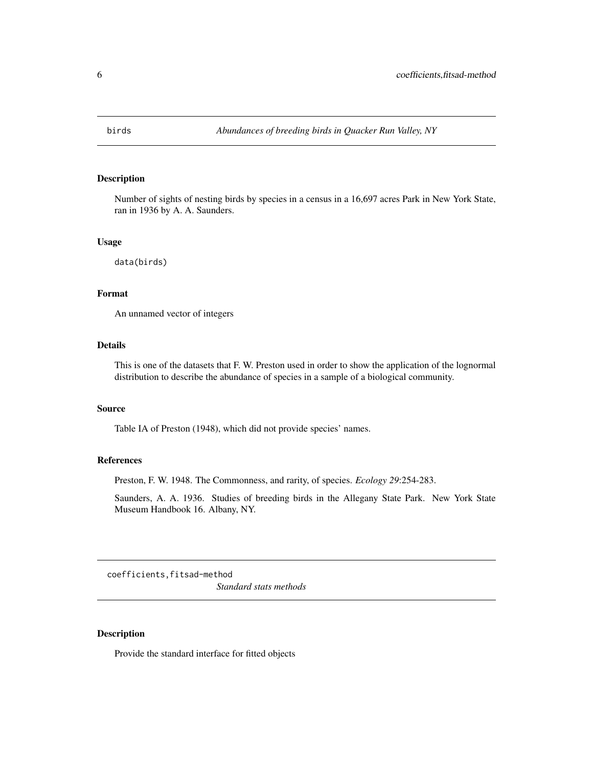<span id="page-5-0"></span>

# Description

Number of sights of nesting birds by species in a census in a 16,697 acres Park in New York State, ran in 1936 by A. A. Saunders.

#### Usage

data(birds)

# Format

An unnamed vector of integers

# Details

This is one of the datasets that F. W. Preston used in order to show the application of the lognormal distribution to describe the abundance of species in a sample of a biological community.

#### Source

Table IA of Preston (1948), which did not provide species' names.

# References

Preston, F. W. 1948. The Commonness, and rarity, of species. *Ecology 29*:254-283.

Saunders, A. A. 1936. Studies of breeding birds in the Allegany State Park. New York State Museum Handbook 16. Albany, NY.

coefficients,fitsad-method

*Standard stats methods*

# Description

Provide the standard interface for fitted objects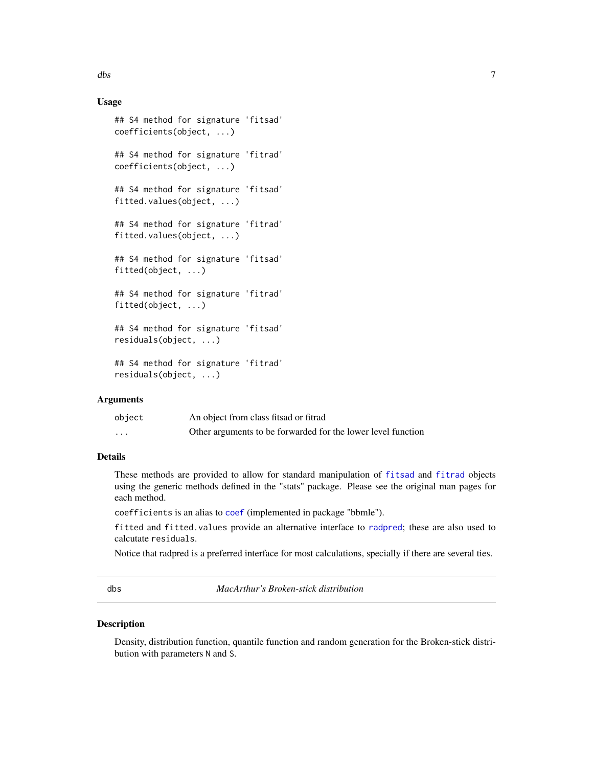# Usage

```
## S4 method for signature 'fitsad'
coefficients(object, ...)
## S4 method for signature 'fitrad'
coefficients(object, ...)
## S4 method for signature 'fitsad'
fitted.values(object, ...)
## S4 method for signature 'fitrad'
fitted.values(object, ...)
## S4 method for signature 'fitsad'
fitted(object, ...)
## S4 method for signature 'fitrad'
fitted(object, ...)
## S4 method for signature 'fitsad'
residuals(object, ...)
## S4 method for signature 'fitrad'
residuals(object, ...)
```
# **Arguments**

| object   | An object from class fits ad or fitrad                       |
|----------|--------------------------------------------------------------|
| $\cdots$ | Other arguments to be forwarded for the lower level function |

# Details

These methods are provided to allow for standard manipulation of [fitsad](#page-38-1) and [fitrad](#page-34-1) objects using the generic methods defined in the "stats" package. Please see the original man pages for each method.

coefficients is an alias to [coef](#page-0-0) (implemented in package "bbmle").

fitted and fitted.values provide an alternative interface to [radpred](#page-63-1); these are also used to calcutate residuals.

Notice that radpred is a preferred interface for most calculations, specially if there are several ties.

dbs *MacArthur's Broken-stick distribution*

# Description

Density, distribution function, quantile function and random generation for the Broken-stick distribution with parameters N and S.

# <span id="page-6-0"></span>dbs  $\sim$  7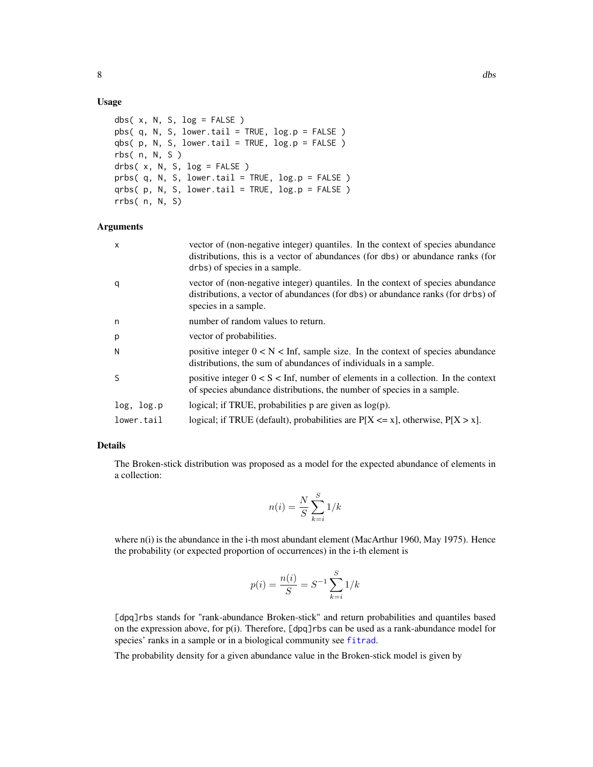# Usage

```
dbs(x, N, S, log = FALSE)
pbs( q, N, S, lowertail = TRUE, <math>log.p = FALSE)
qbs( p, N, S, lower.tail = TRUE, log.p = FALSE )
rbs( n, N, S )
drbs(x, N, S, log = FALSE)
prbs(q, N, S, lower.tail = TRUE, log.p = FALSE)
qrbs( p, N, S, lower.tail = TRUE, log.p = FALSE )rrbs( n, N, S)
```
# Arguments

| $\mathsf{x}$ | vector of (non-negative integer) quantiles. In the context of species abundance<br>distributions, this is a vector of abundances (for dbs) or abundance ranks (for<br>drbs) of species in a sample. |
|--------------|-----------------------------------------------------------------------------------------------------------------------------------------------------------------------------------------------------|
| q            | vector of (non-negative integer) quantiles. In the context of species abundance<br>distributions, a vector of abundances (for dbs) or abundance ranks (for drbs) of<br>species in a sample.         |
| n            | number of random values to return.                                                                                                                                                                  |
| p            | vector of probabilities.                                                                                                                                                                            |
| N            | positive integer $0 < N <$ Inf, sample size. In the context of species abundance<br>distributions, the sum of abundances of individuals in a sample.                                                |
| S            | positive integer $0 < S < \text{Inf}$ , number of elements in a collection. In the context<br>of species abundance distributions, the number of species in a sample.                                |
| log, log.p   | logical; if TRUE, probabilities $p$ are given as $log(p)$ .                                                                                                                                         |
| lower.tail   | logical; if TRUE (default), probabilities are $P[X \le x]$ , otherwise, $P[X > x]$ .                                                                                                                |

# Details

The Broken-stick distribution was proposed as a model for the expected abundance of elements in a collection:

$$
n(i) = \frac{N}{S} \sum_{k=i}^{S} 1/k
$$

where  $n(i)$  is the abundance in the i-th most abundant element (MacArthur 1960, May 1975). Hence the probability (or expected proportion of occurrences) in the i-th element is

$$
p(i) = \frac{n(i)}{S} = S^{-1} \sum_{k=i}^{S} 1/k
$$

[dpq]rbs stands for "rank-abundance Broken-stick" and return probabilities and quantiles based on the expression above, for p(i). Therefore, [dpq]rbs can be used as a rank-abundance model for species' ranks in a sample or in a biological community see [fitrad](#page-34-1).

The probability density for a given abundance value in the Broken-stick model is given by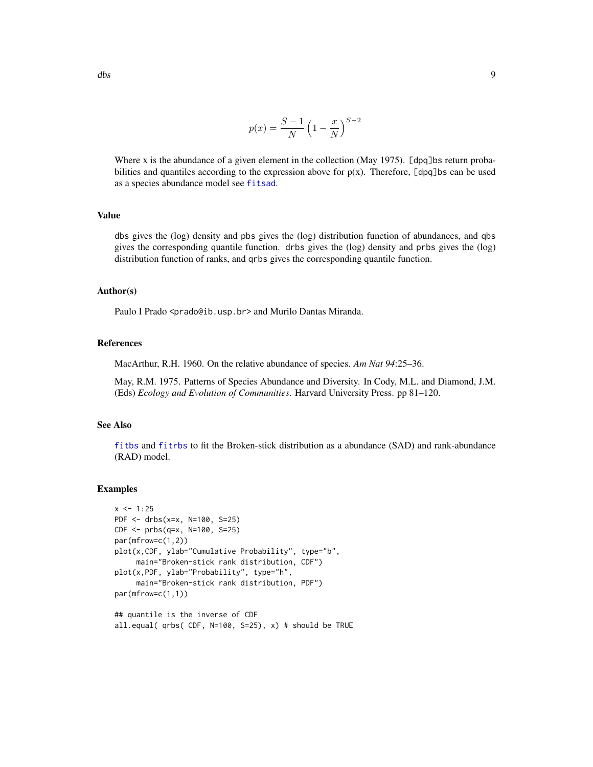$$
p(x) = \frac{S-1}{N} \left(1 - \frac{x}{N}\right)^{S-2}
$$

Where x is the abundance of a given element in the collection (May 1975). [dpq]bs return probabilities and quantiles according to the expression above for  $p(x)$ . Therefore, [dpq]bs can be used as a species abundance model see [fitsad](#page-38-1).

# Value

dbs gives the (log) density and pbs gives the (log) distribution function of abundances, and qbs gives the corresponding quantile function. drbs gives the (log) density and prbs gives the (log) distribution function of ranks, and qrbs gives the corresponding quantile function.

#### Author(s)

Paulo I Prado <prado@ib.usp.br> and Murilo Dantas Miranda.

# References

MacArthur, R.H. 1960. On the relative abundance of species. *Am Nat 94*:25–36.

May, R.M. 1975. Patterns of Species Abundance and Diversity. In Cody, M.L. and Diamond, J.M. (Eds) *Ecology and Evolution of Communities*. Harvard University Press. pp 81–120.

# See Also

[fitbs](#page-38-2) and [fitrbs](#page-34-2) to fit the Broken-stick distribution as a abundance (SAD) and rank-abundance (RAD) model.

# Examples

```
x < -1:25PDF <- drbs(x=x, N=100, S=25)
CDF < -</math> prbs(q=x, N=100, S=25)par(mfrow=c(1,2))
plot(x,CDF, ylab="Cumulative Probability", type="b",
     main="Broken-stick rank distribution, CDF")
plot(x,PDF, ylab="Probability", type="h",
     main="Broken-stick rank distribution, PDF")
par(mfrow=c(1,1))
## quantile is the inverse of CDF
```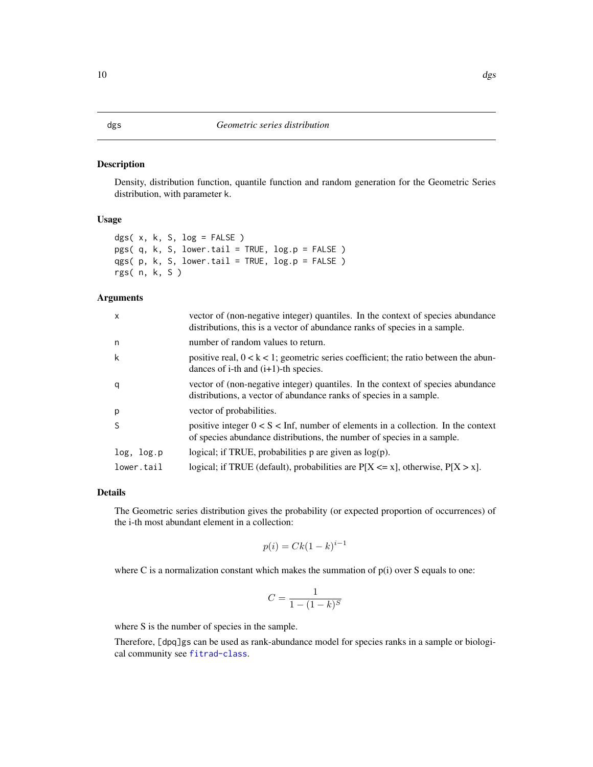# <span id="page-9-0"></span>Description

Density, distribution function, quantile function and random generation for the Geometric Series distribution, with parameter k.

#### Usage

```
dgs(x, k, S, log = FALSE)pgs( q, k, S, lower.tail = TRUE, log.p = FALSE )
qgs( p, k, S, lower.tail = TRUE, log.p = FALSE )
rgs( n, k, S )
```
# Arguments

| $\mathsf{x}$ | vector of (non-negative integer) quantiles. In the context of species abundance<br>distributions, this is a vector of abundance ranks of species in a sample.        |
|--------------|----------------------------------------------------------------------------------------------------------------------------------------------------------------------|
| n            | number of random values to return.                                                                                                                                   |
| k            | positive real, $0 < k < 1$ ; geometric series coefficient; the ratio between the abun-<br>dances of i-th and $(i+1)$ -th species.                                    |
| q            | vector of (non-negative integer) quantiles. In the context of species abundance<br>distributions, a vector of abundance ranks of species in a sample.                |
| p            | vector of probabilities.                                                                                                                                             |
| S            | positive integer $0 < S < \text{Inf}$ , number of elements in a collection. In the context<br>of species abundance distributions, the number of species in a sample. |
| log, log.p   | logical; if TRUE, probabilities $p$ are given as $log(p)$ .                                                                                                          |
| lower.tail   | logical; if TRUE (default), probabilities are $P[X \le x]$ , otherwise, $P[X > x]$ .                                                                                 |

# Details

The Geometric series distribution gives the probability (or expected proportion of occurrences) of the i-th most abundant element in a collection:

$$
p(i) = Ck(1-k)^{i-1}
$$

where C is a normalization constant which makes the summation of  $p(i)$  over S equals to one:

$$
C = \frac{1}{1 - (1 - k)^S}
$$

where S is the number of species in the sample.

Therefore, [dpq]gs can be used as rank-abundance model for species ranks in a sample or biological community see [fitrad-class](#page-36-1).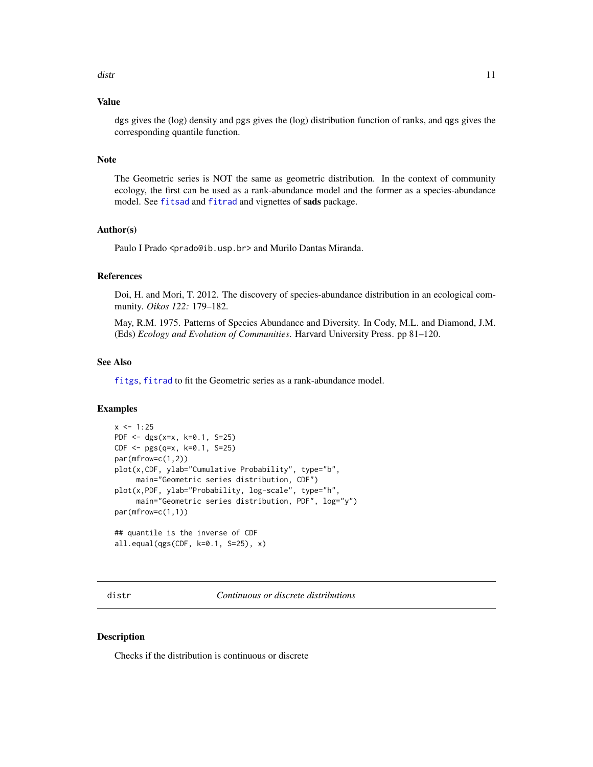# <span id="page-10-0"></span>Value

dgs gives the (log) density and pgs gives the (log) distribution function of ranks, and qgs gives the corresponding quantile function.

# Note

The Geometric series is NOT the same as geometric distribution. In the context of community ecology, the first can be used as a rank-abundance model and the former as a species-abundance model. See [fitsad](#page-38-1) and [fitrad](#page-34-1) and vignettes of sads package.

# Author(s)

Paulo I Prado <prado@ib.usp.br> and Murilo Dantas Miranda.

#### References

Doi, H. and Mori, T. 2012. The discovery of species-abundance distribution in an ecological community. *Oikos 122:* 179–182.

May, R.M. 1975. Patterns of Species Abundance and Diversity. In Cody, M.L. and Diamond, J.M. (Eds) *Ecology and Evolution of Communities*. Harvard University Press. pp 81–120.

#### See Also

[fitgs](#page-34-2), [fitrad](#page-34-1) to fit the Geometric series as a rank-abundance model.

# Examples

```
x < -1:25PDF <- dgs(x=x, k=0.1, S=25)
CDF <- pgs(q=x, k=0.1, S=25)
par(mfrow=c(1,2))
plot(x,CDF, ylab="Cumulative Probability", type="b",
     main="Geometric series distribution, CDF")
plot(x,PDF, ylab="Probability, log-scale", type="h",
     main="Geometric series distribution, PDF", log="y")
par(mfrow=c(1,1))
## quantile is the inverse of CDF
all.equal(qgs(CDF, k=0.1, S=25), x)
```
distr *Continuous or discrete distributions*

# Description

Checks if the distribution is continuous or discrete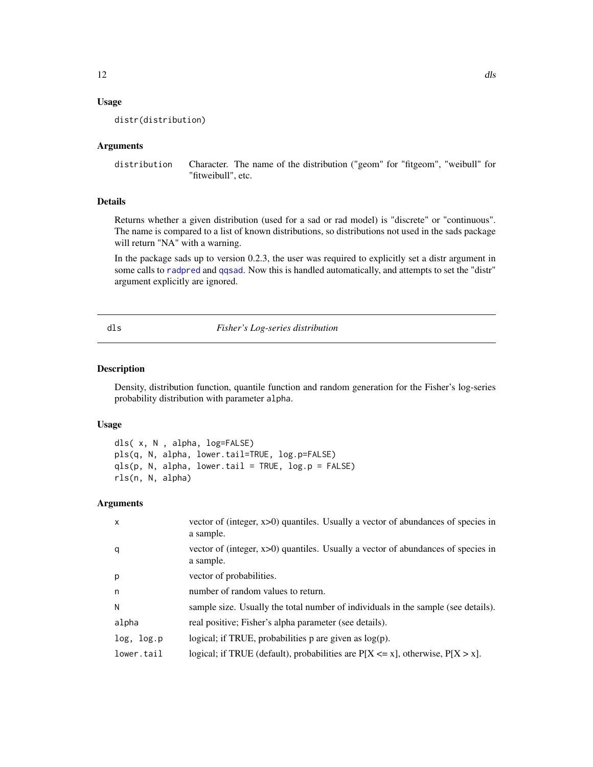# <span id="page-11-0"></span>Usage

distr(distribution)

# Arguments

distribution Character. The name of the distribution ("geom" for "fitgeom", "weibull" for "fitweibull", etc.

# Details

Returns whether a given distribution (used for a sad or rad model) is "discrete" or "continuous". The name is compared to a list of known distributions, so distributions not used in the sads package will return "NA" with a warning.

In the package sads up to version 0.2.3, the user was required to explicitly set a distr argument in some calls to [radpred](#page-63-1) and [qqsad](#page-58-1). Now this is handled automatically, and attempts to set the "distr" argument explicitly are ignored.

#### <span id="page-11-1"></span>dls *Fisher's Log-series distribution*

# Description

Density, distribution function, quantile function and random generation for the Fisher's log-series probability distribution with parameter alpha.

#### Usage

dls( x, N , alpha, log=FALSE) pls(q, N, alpha, lower.tail=TRUE, log.p=FALSE)  $qls(p, N, alpha, lower.tail = TRUE, log.p = FALSE)$ rls(n, N, alpha)

# Arguments

| $\mathsf{x}$ | vector of (integer, x>0) quantiles. Usually a vector of abundances of species in<br>a sample. |
|--------------|-----------------------------------------------------------------------------------------------|
| q            | vector of (integer, x>0) quantiles. Usually a vector of abundances of species in<br>a sample. |
| p            | vector of probabilities.                                                                      |
| n            | number of random values to return.                                                            |
| N            | sample size. Usually the total number of individuals in the sample (see details).             |
| alpha        | real positive; Fisher's alpha parameter (see details).                                        |
| log, log.p   | logical; if TRUE, probabilities $p$ are given as $log(p)$ .                                   |
| lower.tail   | logical; if TRUE (default), probabilities are $P[X \le x]$ , otherwise, $P[X > x]$ .          |
|              |                                                                                               |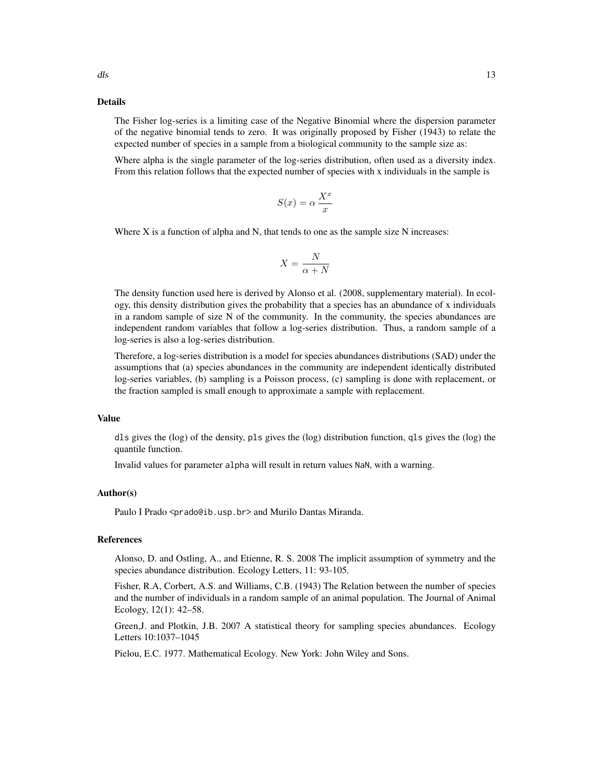# Details

The Fisher log-series is a limiting case of the Negative Binomial where the dispersion parameter of the negative binomial tends to zero. It was originally proposed by Fisher (1943) to relate the expected number of species in a sample from a biological community to the sample size as:

Where alpha is the single parameter of the log-series distribution, often used as a diversity index. From this relation follows that the expected number of species with x individuals in the sample is

$$
S(x)=\alpha\,\frac{X^x}{x}
$$

Where X is a function of alpha and N, that tends to one as the sample size N increases:

$$
X = \frac{N}{\alpha + N}
$$

The density function used here is derived by Alonso et al. (2008, supplementary material). In ecology, this density distribution gives the probability that a species has an abundance of x individuals in a random sample of size N of the community. In the community, the species abundances are independent random variables that follow a log-series distribution. Thus, a random sample of a log-series is also a log-series distribution.

Therefore, a log-series distribution is a model for species abundances distributions (SAD) under the assumptions that (a) species abundances in the community are independent identically distributed log-series variables, (b) sampling is a Poisson process, (c) sampling is done with replacement, or the fraction sampled is small enough to approximate a sample with replacement.

# Value

dls gives the (log) of the density, pls gives the (log) distribution function, qls gives the (log) the quantile function.

Invalid values for parameter alpha will result in return values NaN, with a warning.

#### Author(s)

Paulo I Prado <prado@ib.usp.br> and Murilo Dantas Miranda.

#### References

Alonso, D. and Ostling, A., and Etienne, R. S. 2008 The implicit assumption of symmetry and the species abundance distribution. Ecology Letters, 11: 93-105.

Fisher, R.A, Corbert, A.S. and Williams, C.B. (1943) The Relation between the number of species and the number of individuals in a random sample of an animal population. The Journal of Animal Ecology, 12(1): 42–58.

Green,J. and Plotkin, J.B. 2007 A statistical theory for sampling species abundances. Ecology Letters 10:1037–1045

Pielou, E.C. 1977. Mathematical Ecology. New York: John Wiley and Sons.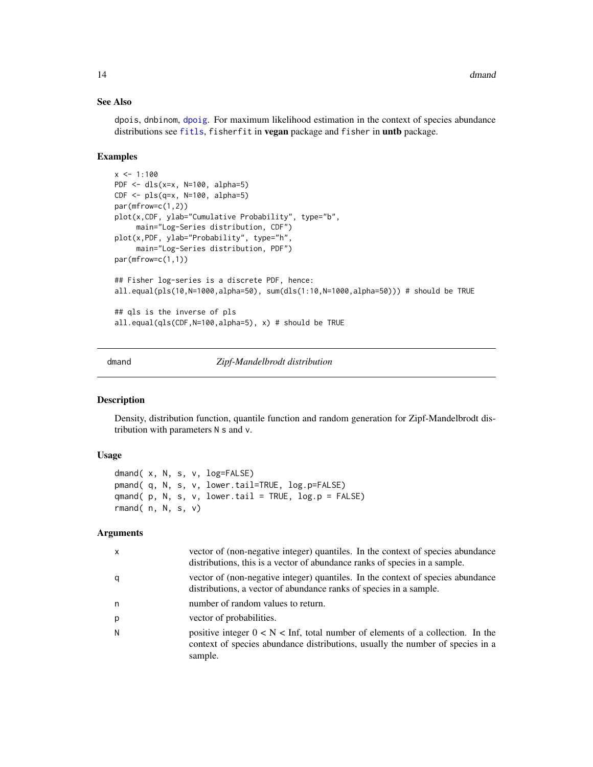# See Also

dpois, dnbinom, [dpoig](#page-19-1). For maximum likelihood estimation in the context of species abundance distributions see [fitls](#page-38-2), fisherfit in vegan package and fisher in untb package.

#### Examples

```
x \le -1:100PDF <- dls(x=x, N=100, alpha=5)
CDF <- pls(q=x, N=100, alpha=5)
par(mfrow=c(1,2))
plot(x,CDF, ylab="Cumulative Probability", type="b",
     main="Log-Series distribution, CDF")
plot(x,PDF, ylab="Probability", type="h",
     main="Log-Series distribution, PDF")
par(mfrow=c(1,1))
## Fisher log-series is a discrete PDF, hence:
all.equal(pls(10,N=1000,alpha=50), sum(dls(1:10,N=1000,alpha=50))) # should be TRUE
## qls is the inverse of pls
all.equal(qls(CDF,N=100,alpha=5), x) # should be TRUE
```
dmand *Zipf-Mandelbrodt distribution*

# Description

Density, distribution function, quantile function and random generation for Zipf-Mandelbrodt distribution with parameters N s and v.

# Usage

```
dmand( x, N, s, v, log=FALSE)
pmand( q, N, s, v, lower.tail=TRUE, log.p=FALSE)
qmand( p, N, s, v, lower.tail = TRUE, log.p = FALSE)
rmand(n, N, s, v)
```
# Arguments

| $\mathsf{x}$ | vector of (non-negative integer) quantiles. In the context of species abundance<br>distributions, this is a vector of abundance ranks of species in a sample.                 |
|--------------|-------------------------------------------------------------------------------------------------------------------------------------------------------------------------------|
| q            | vector of (non-negative integer) quantiles. In the context of species abundance<br>distributions, a vector of abundance ranks of species in a sample.                         |
| n            | number of random values to return.                                                                                                                                            |
| p            | vector of probabilities.                                                                                                                                                      |
| N            | positive integer $0 < N <$ Inf, total number of elements of a collection. In the<br>context of species abundance distributions, usually the number of species in a<br>sample. |

<span id="page-13-0"></span>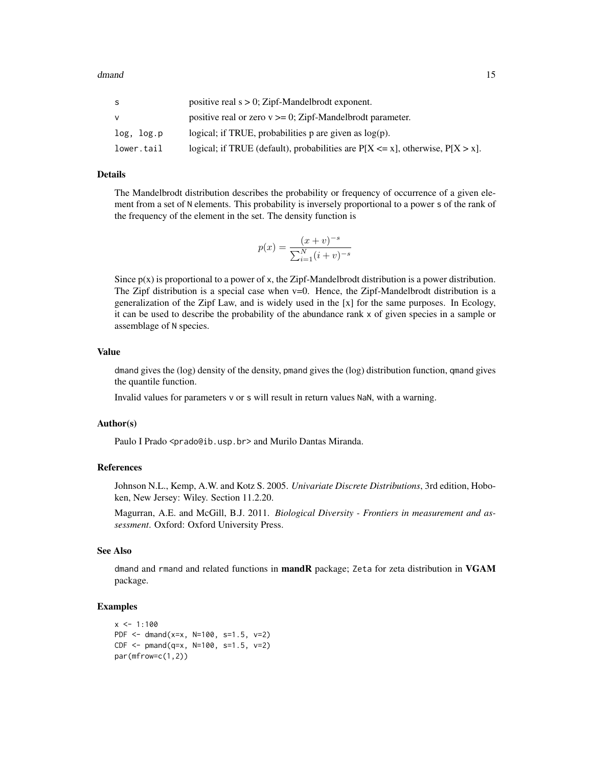| S          | positive real $s > 0$ ; Zipf-Mandelbrodt exponent.                                   |
|------------|--------------------------------------------------------------------------------------|
|            | positive real or zero $v \ge 0$ ; Zipf-Mandelbrodt parameter.                        |
| log, log.p | logical; if TRUE, probabilities p are given as $log(p)$ .                            |
| lower.tail | logical; if TRUE (default), probabilities are $P[X \le x]$ , otherwise, $P[X > x]$ . |

# Details

The Mandelbrodt distribution describes the probability or frequency of occurrence of a given element from a set of N elements. This probability is inversely proportional to a power s of the rank of the frequency of the element in the set. The density function is

$$
p(x) = \frac{(x+v)^{-s}}{\sum_{i=1}^{N} (i+v)^{-s}}
$$

Since  $p(x)$  is proportional to a power of x, the Zipf-Mandelbrodt distribution is a power distribution. The Zipf distribution is a special case when  $v=0$ . Hence, the Zipf-Mandelbrodt distribution is a generalization of the Zipf Law, and is widely used in the [x] for the same purposes. In Ecology, it can be used to describe the probability of the abundance rank x of given species in a sample or assemblage of N species.

### Value

dmand gives the (log) density of the density, pmand gives the (log) distribution function, qmand gives the quantile function.

Invalid values for parameters v or s will result in return values NaN, with a warning.

#### Author(s)

Paulo I Prado <prado@ib.usp.br> and Murilo Dantas Miranda.

# References

Johnson N.L., Kemp, A.W. and Kotz S. 2005. *Univariate Discrete Distributions*, 3rd edition, Hoboken, New Jersey: Wiley. Section 11.2.20.

Magurran, A.E. and McGill, B.J. 2011. *Biological Diversity - Frontiers in measurement and assessment*. Oxford: Oxford University Press.

# See Also

dmand and rmand and related functions in mandR package; Zeta for zeta distribution in VGAM package.

# Examples

```
x \le -1:100PDF <- dmand(x=x, N=100, s=1.5, v=2)
CDF < - pmand(q=x, N=100, s=1.5, v=2)
par(mfrow=c(1,2))
```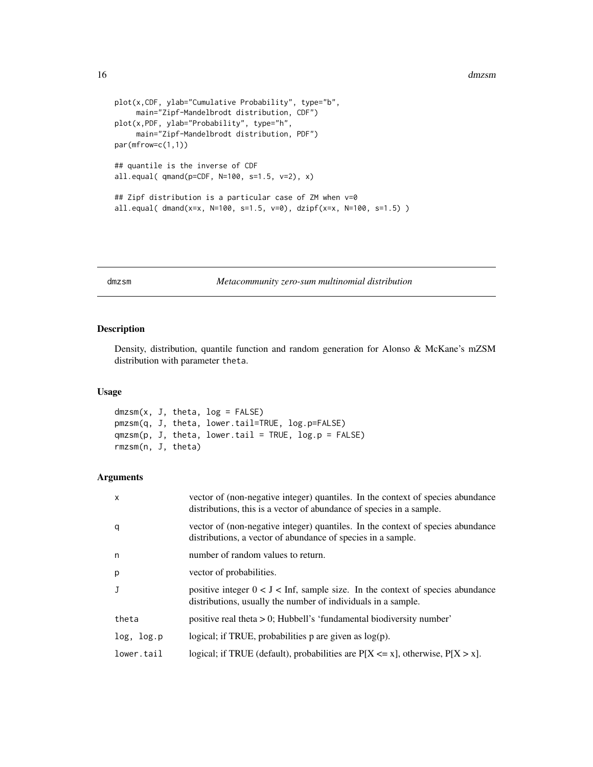```
plot(x,CDF, ylab="Cumulative Probability", type="b",
     main="Zipf-Mandelbrodt distribution, CDF")
plot(x,PDF, ylab="Probability", type="h",
     main="Zipf-Mandelbrodt distribution, PDF")
par(mfrow=c(1,1))
## quantile is the inverse of CDF
all.equal( qmand(p=CDF, N=100, s=1.5, v=2), x)
## Zipf distribution is a particular case of ZM when v=0
all.equal( dmand(x=x, N=100, s=1.5, v=0), dzipf(x=x, N=100, s=1.5) )
```
<span id="page-15-1"></span>dmzsm *Metacommunity zero-sum multinomial distribution*

# Description

Density, distribution, quantile function and random generation for Alonso & McKane's mZSM distribution with parameter theta.

#### Usage

```
dmzsm(x, J, theta, log = FALSE)pmzsm(q, J, theta, lower.tail=TRUE, log.p=FALSE)
qmzsm(p, J, theta, lower.tail = TRUE, log.p = FALSE)rmzsm(n, J, theta)
```
### Arguments

| $\mathsf{x}$ | vector of (non-negative integer) quantiles. In the context of species abundance<br>distributions, this is a vector of abundance of species in a sample.   |
|--------------|-----------------------------------------------------------------------------------------------------------------------------------------------------------|
| q            | vector of (non-negative integer) quantiles. In the context of species abundance<br>distributions, a vector of abundance of species in a sample.           |
| n            | number of random values to return.                                                                                                                        |
| p            | vector of probabilities.                                                                                                                                  |
| J            | positive integer $0 < J < \text{Inf}$ , sample size. In the context of species abundance<br>distributions, usually the number of individuals in a sample. |
| theta        | positive real theta $> 0$ ; Hubbell's 'fundamental biodiversity number'                                                                                   |
| log, log.p   | logical; if TRUE, probabilities $p$ are given as $log(p)$ .                                                                                               |
| lower.tail   | logical; if TRUE (default), probabilities are $P[X \le x]$ , otherwise, $P[X > x]$ .                                                                      |

<span id="page-15-0"></span>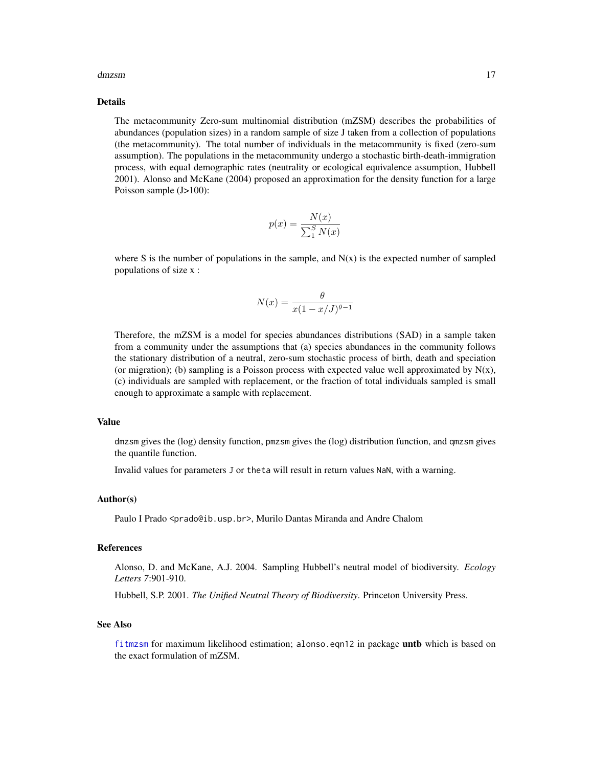#### dmzsm and the contract of the contract of the contract of the contract of the contract of the contract of the contract of the contract of the contract of the contract of the contract of the contract of the contract of the

# Details

The metacommunity Zero-sum multinomial distribution (mZSM) describes the probabilities of abundances (population sizes) in a random sample of size J taken from a collection of populations (the metacommunity). The total number of individuals in the metacommunity is fixed (zero-sum assumption). The populations in the metacommunity undergo a stochastic birth-death-immigration process, with equal demographic rates (neutrality or ecological equivalence assumption, Hubbell 2001). Alonso and McKane (2004) proposed an approximation for the density function for a large Poisson sample (J>100):

$$
p(x) = \frac{N(x)}{\sum_{1}^{S} N(x)}
$$

where S is the number of populations in the sample, and  $N(x)$  is the expected number of sampled populations of size x :

$$
N(x) = \frac{\theta}{x(1 - x/J)^{\theta - 1}}
$$

Therefore, the mZSM is a model for species abundances distributions (SAD) in a sample taken from a community under the assumptions that (a) species abundances in the community follows the stationary distribution of a neutral, zero-sum stochastic process of birth, death and speciation (or migration); (b) sampling is a Poisson process with expected value well approximated by  $N(x)$ , (c) individuals are sampled with replacement, or the fraction of total individuals sampled is small enough to approximate a sample with replacement.

#### Value

dmzsm gives the (log) density function, pmzsm gives the (log) distribution function, and qmzsm gives the quantile function.

Invalid values for parameters J or theta will result in return values NaN, with a warning.

#### Author(s)

Paulo I Prado <prado@ib.usp.br>, Murilo Dantas Miranda and Andre Chalom

#### References

Alonso, D. and McKane, A.J. 2004. Sampling Hubbell's neutral model of biodiversity. *Ecology Letters 7*:901-910.

Hubbell, S.P. 2001. *The Unified Neutral Theory of Biodiversity*. Princeton University Press.

#### See Also

[fitmzsm](#page-38-2) for maximum likelihood estimation; alonso.eqn12 in package untb which is based on the exact formulation of mZSM.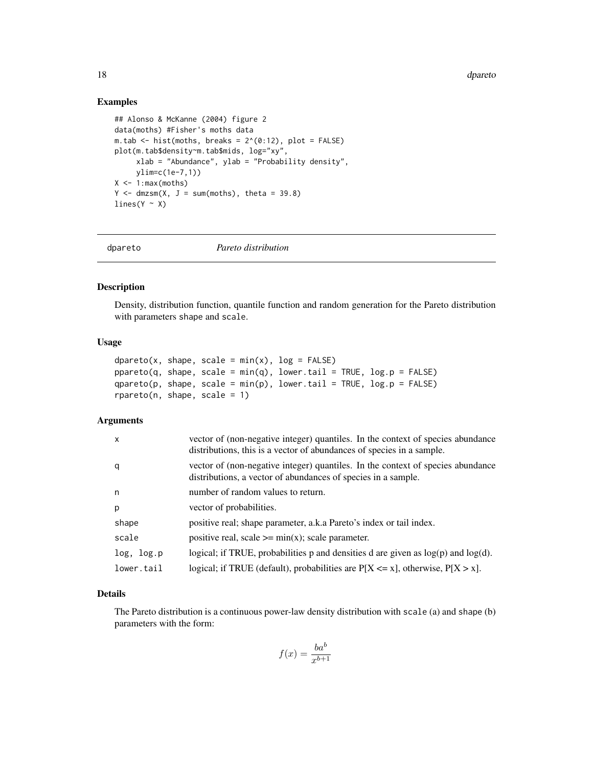<span id="page-17-0"></span>18 degree of the contract of the contract of the contract of the contract of the contract of the contract of the contract of the contract of the contract of the contract of the contract of the contract of the contract of t

# Examples

```
## Alonso & McKanne (2004) figure 2
data(moths) #Fisher's moths data
m.tab \le hist(moths, breaks = 2^(0:12), plot = FALSE)
plot(m.tab$density~m.tab$mids, log="xy",
     xlab = "Abundance", ylab = "Probability density",
     ylim=c(1e-7,1))
X \leftarrow 1: max(moths)Y \le - dmzsm(X, J = sum(moths), theta = 39.8)lines(Y \sim X)
```
dpareto *Pareto distribution*

# Description

Density, distribution function, quantile function and random generation for the Pareto distribution with parameters shape and scale.

# Usage

```
dpareto(x, shape, scale = min(x), log = FALSE)
ppareto(q, shape, scale = min(q), lower.tail = TRUE, log.p = FALSE)qpareto(p, shape, scale = min(p), lower.tail = TRUE, log.p = FALSE)rpareto(n, shape, scale = 1)
```
# Arguments

| $\mathsf{x}$ | vector of (non-negative integer) quantiles. In the context of species abundance<br>distributions, this is a vector of abundances of species in a sample. |
|--------------|----------------------------------------------------------------------------------------------------------------------------------------------------------|
| q            | vector of (non-negative integer) quantiles. In the context of species abundance<br>distributions, a vector of abundances of species in a sample.         |
| n            | number of random values to return.                                                                                                                       |
| p            | vector of probabilities.                                                                                                                                 |
| shape        | positive real; shape parameter, a.k.a Pareto's index or tail index.                                                                                      |
| scale        | positive real, scale $\geq$ = min(x); scale parameter.                                                                                                   |
| log, log.p   | logical; if TRUE, probabilities p and densities d are given as $log(p)$ and $log(d)$ .                                                                   |
| lower.tail   | logical; if TRUE (default), probabilities are $P[X \le x]$ , otherwise, $P[X > x]$ .                                                                     |

# Details

The Pareto distribution is a continuous power-law density distribution with scale (a) and shape (b) parameters with the form:

$$
f(x) = \frac{ba^b}{x^{b+1}}
$$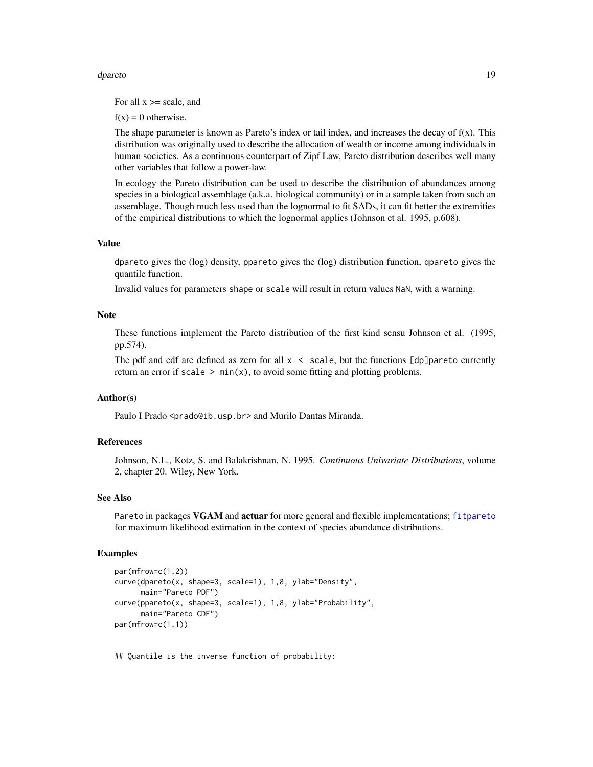#### dpareto the contract of the contract of the contract of the contract of the contract of the contract of the contract of the contract of the contract of the contract of the contract of the contract of the contract of the co

For all  $x \ge$  scale, and

 $f(x) = 0$  otherwise.

The shape parameter is known as Pareto's index or tail index, and increases the decay of  $f(x)$ . This distribution was originally used to describe the allocation of wealth or income among individuals in human societies. As a continuous counterpart of Zipf Law, Pareto distribution describes well many other variables that follow a power-law.

In ecology the Pareto distribution can be used to describe the distribution of abundances among species in a biological assemblage (a.k.a. biological community) or in a sample taken from such an assemblage. Though much less used than the lognormal to fit SADs, it can fit better the extremities of the empirical distributions to which the lognormal applies (Johnson et al. 1995, p.608).

# Value

dpareto gives the (log) density, ppareto gives the (log) distribution function, qpareto gives the quantile function.

Invalid values for parameters shape or scale will result in return values NaN, with a warning.

# Note

These functions implement the Pareto distribution of the first kind sensu Johnson et al. (1995, pp.574).

The pdf and cdf are defined as zero for all  $x <$  scale, but the functions  $\lceil dp \rceil$  pareto currently return an error if scale  $> min(x)$ , to avoid some fitting and plotting problems.

# Author(s)

Paulo I Prado <prado@ib.usp.br> and Murilo Dantas Miranda.

# References

Johnson, N.L., Kotz, S. and Balakrishnan, N. 1995. *Continuous Univariate Distributions*, volume 2, chapter 20. Wiley, New York.

#### See Also

Pareto in packages VGAM and actuar for more general and flexible implementations; [fitpareto](#page-38-2) for maximum likelihood estimation in the context of species abundance distributions.

#### Examples

```
par(mfrow=c(1,2))
curve(dpareto(x, shape=3, scale=1), 1,8, ylab="Density",
      main="Pareto PDF")
curve(ppareto(x, shape=3, scale=1), 1,8, ylab="Probability",
     main="Pareto CDF")
par(mfrow=c(1,1))
```
## Quantile is the inverse function of probability: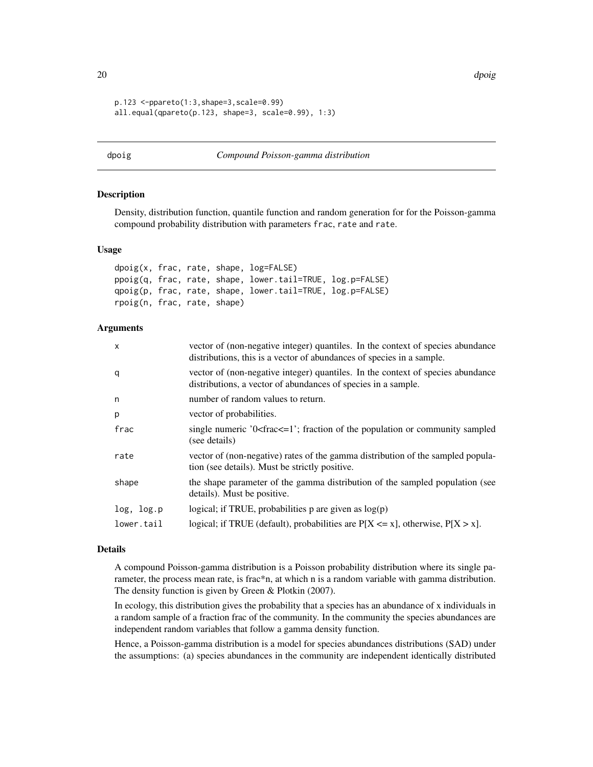20 dpoig and the contract of the contract of the contract of the contract of the contract of the contract of the contract of the contract of the contract of the contract of the contract of the contract of the contract of t

```
p.123 <-ppareto(1:3,shape=3,scale=0.99)
all.equal(qpareto(p.123, shape=3, scale=0.99), 1:3)
```
#### <span id="page-19-1"></span>dpoig *Compound Poisson-gamma distribution*

# Description

Density, distribution function, quantile function and random generation for for the Poisson-gamma compound probability distribution with parameters frac, rate and rate.

#### Usage

```
dpoig(x, frac, rate, shape, log=FALSE)
ppoig(q, frac, rate, shape, lower.tail=TRUE, log.p=FALSE)
qpoig(p, frac, rate, shape, lower.tail=TRUE, log.p=FALSE)
rpoig(n, frac, rate, shape)
```
# Arguments

| X          | vector of (non-negative integer) quantiles. In the context of species abundance<br>distributions, this is a vector of abundances of species in a sample. |
|------------|----------------------------------------------------------------------------------------------------------------------------------------------------------|
| q          | vector of (non-negative integer) quantiles. In the context of species abundance<br>distributions, a vector of abundances of species in a sample.         |
| n          | number of random values to return.                                                                                                                       |
| p          | vector of probabilities.                                                                                                                                 |
| frac       | single numeric $0$ < frac $\leq$ = 1 $\cdot$ ; fraction of the population or community sampled<br>(see details)                                          |
| rate       | vector of (non-negative) rates of the gamma distribution of the sampled popula-<br>tion (see details). Must be strictly positive.                        |
| shape      | the shape parameter of the gamma distribution of the sampled population (see<br>details). Must be positive.                                              |
| log, log.p | logical; if TRUE, probabilities p are given as $log(p)$                                                                                                  |
| lower.tail | logical; if TRUE (default), probabilities are $P[X \le x]$ , otherwise, $P[X > x]$ .                                                                     |

#### Details

A compound Poisson-gamma distribution is a Poisson probability distribution where its single parameter, the process mean rate, is frac\*n, at which n is a random variable with gamma distribution. The density function is given by Green & Plotkin (2007).

In ecology, this distribution gives the probability that a species has an abundance of x individuals in a random sample of a fraction frac of the community. In the community the species abundances are independent random variables that follow a gamma density function.

Hence, a Poisson-gamma distribution is a model for species abundances distributions (SAD) under the assumptions: (a) species abundances in the community are independent identically distributed

<span id="page-19-0"></span>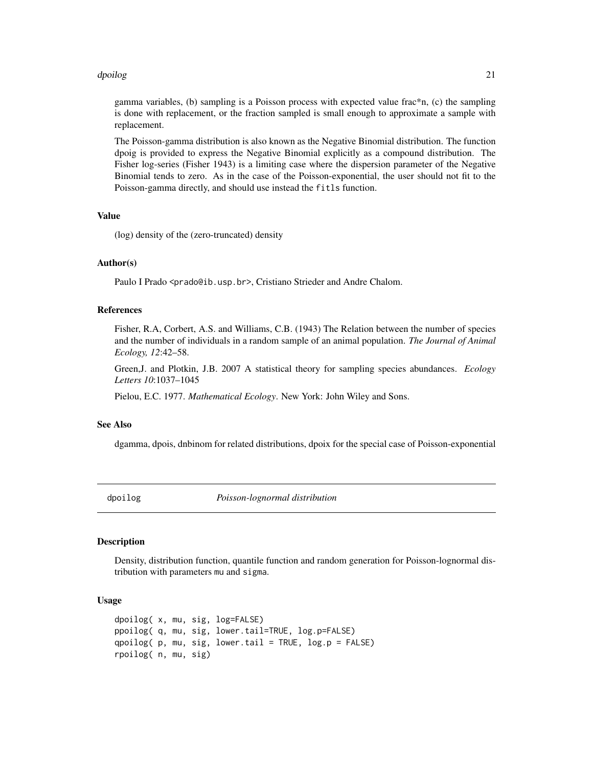#### <span id="page-20-0"></span>dpoilog 21

gamma variables, (b) sampling is a Poisson process with expected value frac\*n, (c) the sampling is done with replacement, or the fraction sampled is small enough to approximate a sample with replacement.

The Poisson-gamma distribution is also known as the Negative Binomial distribution. The function dpoig is provided to express the Negative Binomial explicitly as a compound distribution. The Fisher log-series (Fisher 1943) is a limiting case where the dispersion parameter of the Negative Binomial tends to zero. As in the case of the Poisson-exponential, the user should not fit to the Poisson-gamma directly, and should use instead the fitls function.

# Value

(log) density of the (zero-truncated) density

# Author(s)

Paulo I Prado <prado@ib.usp.br>, Cristiano Strieder and Andre Chalom.

# References

Fisher, R.A, Corbert, A.S. and Williams, C.B. (1943) The Relation between the number of species and the number of individuals in a random sample of an animal population. *The Journal of Animal Ecology, 12*:42–58.

Green,J. and Plotkin, J.B. 2007 A statistical theory for sampling species abundances. *Ecology Letters 10*:1037–1045

Pielou, E.C. 1977. *Mathematical Ecology*. New York: John Wiley and Sons.

#### See Also

dgamma, dpois, dnbinom for related distributions, dpoix for the special case of Poisson-exponential

dpoilog *Poisson-lognormal distribution*

# **Description**

Density, distribution function, quantile function and random generation for Poisson-lognormal distribution with parameters mu and sigma.

# Usage

```
dpoilog( x, mu, sig, log=FALSE)
ppoilog( q, mu, sig, lower.tail=TRUE, log.p=FALSE)
qpoilog(p, mu, sig, lower.tail = TRUE, log.p = FALSE)
rpoilog( n, mu, sig)
```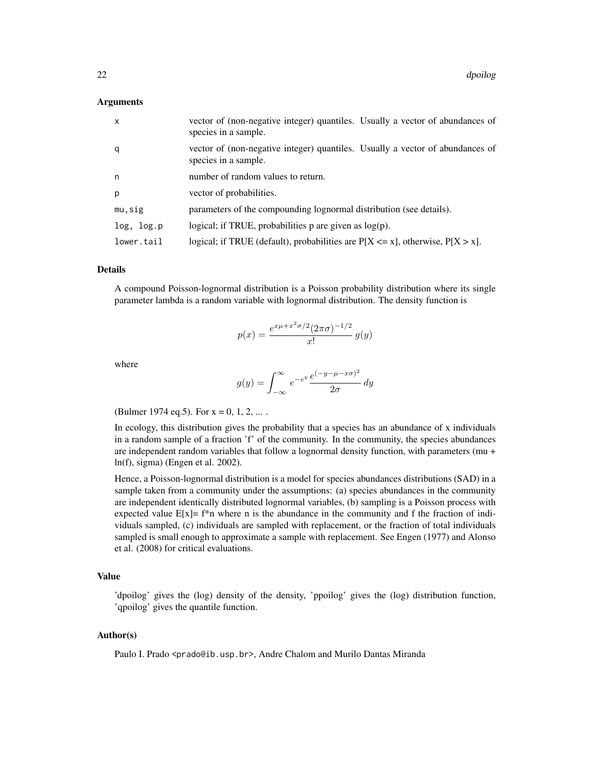# Arguments

| $\mathsf{x}$ | vector of (non-negative integer) quantiles. Usually a vector of abundances of<br>species in a sample. |
|--------------|-------------------------------------------------------------------------------------------------------|
| q            | vector of (non-negative integer) quantiles. Usually a vector of abundances of<br>species in a sample. |
| n            | number of random values to return.                                                                    |
| p            | vector of probabilities.                                                                              |
| mu,sig       | parameters of the compounding lognormal distribution (see details).                                   |
| log, log.p   | logical; if TRUE, probabilities $p$ are given as $log(p)$ .                                           |
| lower.tail   | logical; if TRUE (default), probabilities are $P[X \le x]$ , otherwise, $P[X > x]$ .                  |

#### Details

A compound Poisson-lognormal distribution is a Poisson probability distribution where its single parameter lambda is a random variable with lognormal distribution. The density function is

$$
p(x) = \frac{e^{x\mu + x^2\sigma/2} (2\pi\sigma)^{-1/2}}{x!} g(y)
$$

where

$$
g(y) = \int_{-\infty}^{\infty} e^{-e^y} \frac{e^{(-y - \mu - x\sigma)^2}}{2\sigma} dy
$$

(Bulmer 1974 eq. 5). For  $x = 0, 1, 2, ...$ .

In ecology, this distribution gives the probability that a species has an abundance of x individuals in a random sample of a fraction 'f' of the community. In the community, the species abundances are independent random variables that follow a lognormal density function, with parameters (mu + ln(f), sigma) (Engen et al. 2002).

Hence, a Poisson-lognormal distribution is a model for species abundances distributions (SAD) in a sample taken from a community under the assumptions: (a) species abundances in the community are independent identically distributed lognormal variables, (b) sampling is a Poisson process with expected value  $E[x] = f^*n$  where n is the abundance in the community and f the fraction of individuals sampled, (c) individuals are sampled with replacement, or the fraction of total individuals sampled is small enough to approximate a sample with replacement. See Engen (1977) and Alonso et al. (2008) for critical evaluations.

# Value

'dpoilog' gives the (log) density of the density, 'ppoilog' gives the (log) distribution function, 'qpoilog' gives the quantile function.

# Author(s)

Paulo I. Prado <prado@ib.usp.br>, Andre Chalom and Murilo Dantas Miranda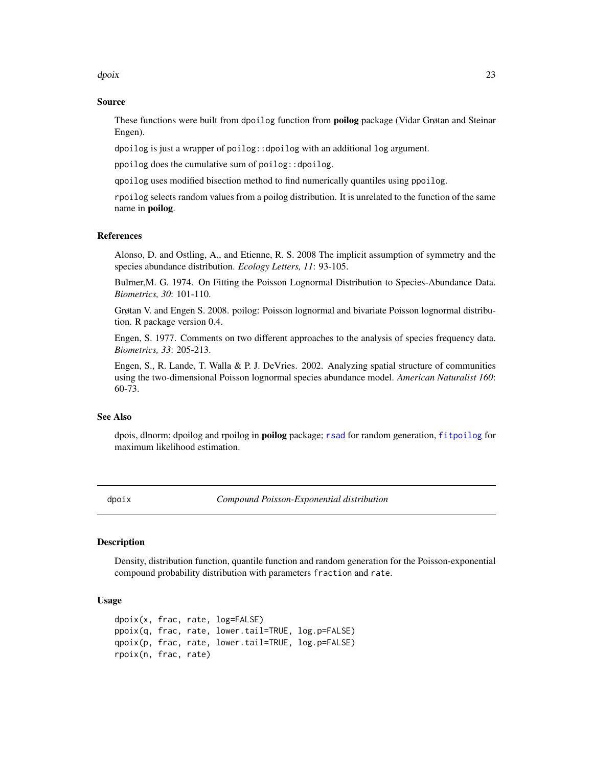#### <span id="page-22-0"></span>dpoix 23

# Source

These functions were built from dpoilog function from **poilog** package (Vidar Grøtan and Steinar Engen).

dpoilog is just a wrapper of poilog::dpoilog with an additional log argument.

ppoilog does the cumulative sum of poilog::dpoilog.

qpoilog uses modified bisection method to find numerically quantiles using ppoilog.

rpoilog selects random values from a poilog distribution. It is unrelated to the function of the same name in poilog.

# References

Alonso, D. and Ostling, A., and Etienne, R. S. 2008 The implicit assumption of symmetry and the species abundance distribution. *Ecology Letters, 11*: 93-105.

Bulmer,M. G. 1974. On Fitting the Poisson Lognormal Distribution to Species-Abundance Data. *Biometrics, 30*: 101-110.

Grøtan V. and Engen S. 2008. poilog: Poisson lognormal and bivariate Poisson lognormal distribution. R package version 0.4.

Engen, S. 1977. Comments on two different approaches to the analysis of species frequency data. *Biometrics, 33*: 205-213.

Engen, S., R. Lande, T. Walla & P. J. DeVries. 2002. Analyzing spatial structure of communities using the two-dimensional Poisson lognormal species abundance model. *American Naturalist 160*: 60-73.

#### See Also

dpois, dlnorm; dpoilog and rpoilog in **poilog** package; [rsad](#page-65-1) for random generation, [fitpoilog](#page-38-2) for maximum likelihood estimation.

dpoix *Compound Poisson-Exponential distribution*

# **Description**

Density, distribution function, quantile function and random generation for the Poisson-exponential compound probability distribution with parameters fraction and rate.

# Usage

```
dpoix(x, frac, rate, log=FALSE)
ppoix(q, frac, rate, lower.tail=TRUE, log.p=FALSE)
qpoix(p, frac, rate, lower.tail=TRUE, log.p=FALSE)
rpoix(n, frac, rate)
```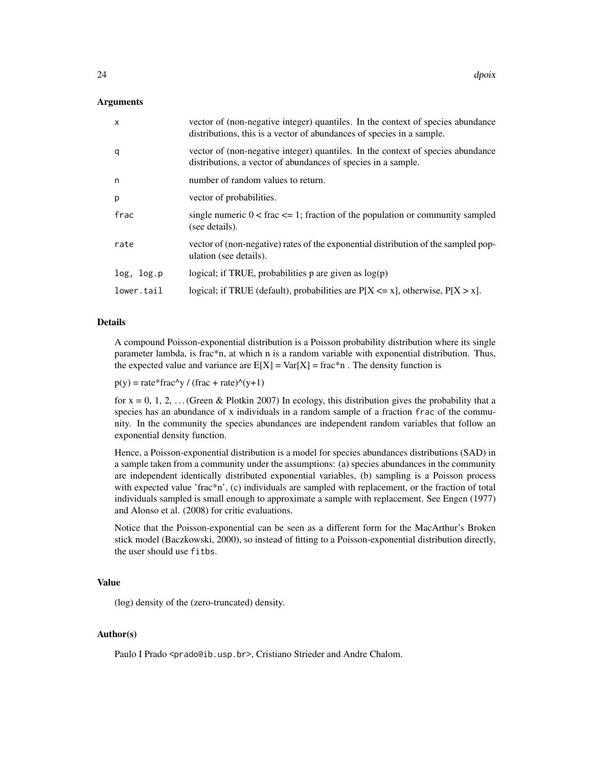# Arguments

| $\mathsf{x}$ | vector of (non-negative integer) quantiles. In the context of species abundance<br>distributions, this is a vector of abundances of species in a sample. |
|--------------|----------------------------------------------------------------------------------------------------------------------------------------------------------|
| q            | vector of (non-negative integer) quantiles. In the context of species abundance<br>distributions, a vector of abundances of species in a sample.         |
| n            | number of random values to return.                                                                                                                       |
| p            | vector of probabilities.                                                                                                                                 |
| frac         | single numeric $0 <$ frac $\leq$ 1; fraction of the population or community sampled<br>(see details).                                                    |
| rate         | vector of (non-negative) rates of the exponential distribution of the sampled pop-<br>ulation (see details).                                             |
| log, log.p   | logical; if TRUE, probabilities p are given as $log(p)$                                                                                                  |
| lower.tail   | logical; if TRUE (default), probabilities are $P[X \le x]$ , otherwise, $P[X > x]$ .                                                                     |

# Details

A compound Poisson-exponential distribution is a Poisson probability distribution where its single parameter lambda, is frac\*n, at which n is a random variable with exponential distribution. Thus, the expected value and variance are  $E[X] = Var[X] = frac*n$ . The density function is

 $p(y) = rate*frac\wedge y / (frac + rate)\wedge(y+1)$ 

for  $x = 0, 1, 2, \ldots$  (Green & Plotkin 2007) In ecology, this distribution gives the probability that a species has an abundance of x individuals in a random sample of a fraction frac of the community. In the community the species abundances are independent random variables that follow an exponential density function.

Hence, a Poisson-exponential distribution is a model for species abundances distributions (SAD) in a sample taken from a community under the assumptions: (a) species abundances in the community are independent identically distributed exponential variables, (b) sampling is a Poisson process with expected value 'frac\*n', (c) individuals are sampled with replacement, or the fraction of total individuals sampled is small enough to approximate a sample with replacement. See Engen (1977) and Alonso et al. (2008) for critic evaluations.

Notice that the Poisson-exponential can be seen as a different form for the MacArthur's Broken stick model (Baczkowski, 2000), so instead of fitting to a Poisson-exponential distribution directly, the user should use fitbs.

#### Value

(log) density of the (zero-truncated) density.

# Author(s)

Paulo I Prado <prado@ib.usp.br>, Cristiano Strieder and Andre Chalom.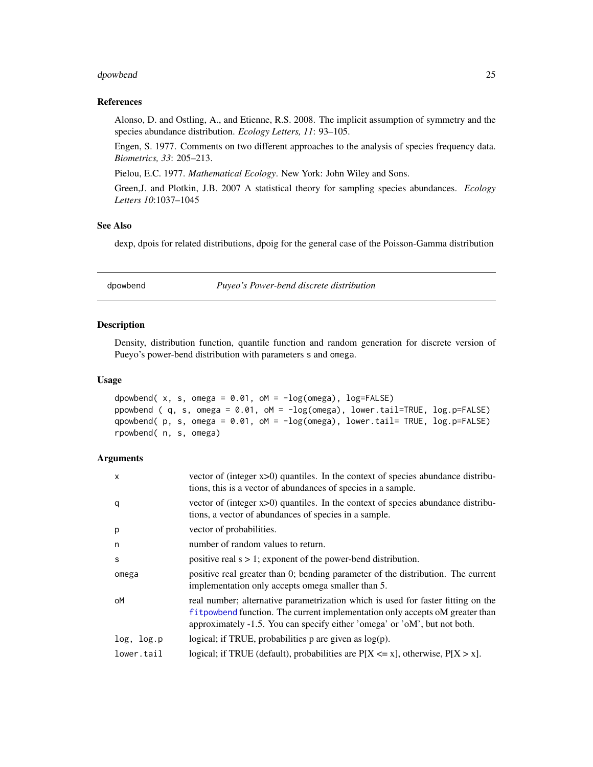#### <span id="page-24-0"></span>dpowbend 25

#### References

Alonso, D. and Ostling, A., and Etienne, R.S. 2008. The implicit assumption of symmetry and the species abundance distribution. *Ecology Letters, 11*: 93–105.

Engen, S. 1977. Comments on two different approaches to the analysis of species frequency data. *Biometrics, 33*: 205–213.

Pielou, E.C. 1977. *Mathematical Ecology*. New York: John Wiley and Sons.

Green,J. and Plotkin, J.B. 2007 A statistical theory for sampling species abundances. *Ecology Letters 10*:1037–1045

# See Also

dexp, dpois for related distributions, dpoig for the general case of the Poisson-Gamma distribution

dpowbend *Puyeo's Power-bend discrete distribution*

# Description

Density, distribution function, quantile function and random generation for discrete version of Pueyo's power-bend distribution with parameters s and omega.

#### Usage

```
dpowbend(x, s, omega = 0.01, oM = -log(omega), log=FALSE)
ppowbend ( q, s, omega = 0.01, oM = -log(omega), lower.tail=TRUE, log.p=FALSE)
qpowbend( p, s, omega = 0.01, oM = -log(omega), lower.tail= TRUE, log.p=FALSE)
rpowbend( n, s, omega)
```
# Arguments

| X          | vector of (integer $x>0$ ) quantiles. In the context of species abundance distribu-<br>tions, this is a vector of abundances of species in a sample.                                                                                             |
|------------|--------------------------------------------------------------------------------------------------------------------------------------------------------------------------------------------------------------------------------------------------|
| q          | vector of (integer $x>0$ ) quantiles. In the context of species abundance distribu-<br>tions, a vector of abundances of species in a sample.                                                                                                     |
| p          | vector of probabilities.                                                                                                                                                                                                                         |
| n          | number of random values to return.                                                                                                                                                                                                               |
| S          | positive real $s > 1$ ; exponent of the power-bend distribution.                                                                                                                                                                                 |
| omega      | positive real greater than 0; bending parameter of the distribution. The current<br>implementation only accepts omega smaller than 5.                                                                                                            |
| оM         | real number; alternative parametrization which is used for faster fitting on the<br>f i t powbend function. The current implementation only accepts of greater than<br>approximately -1.5. You can specify either 'omega' or 'oM', but not both. |
| log, log.p | logical; if TRUE, probabilities $p$ are given as $log(p)$ .                                                                                                                                                                                      |
| lower.tail | logical; if TRUE (default), probabilities are $P[X \le x]$ , otherwise, $P[X > x]$ .                                                                                                                                                             |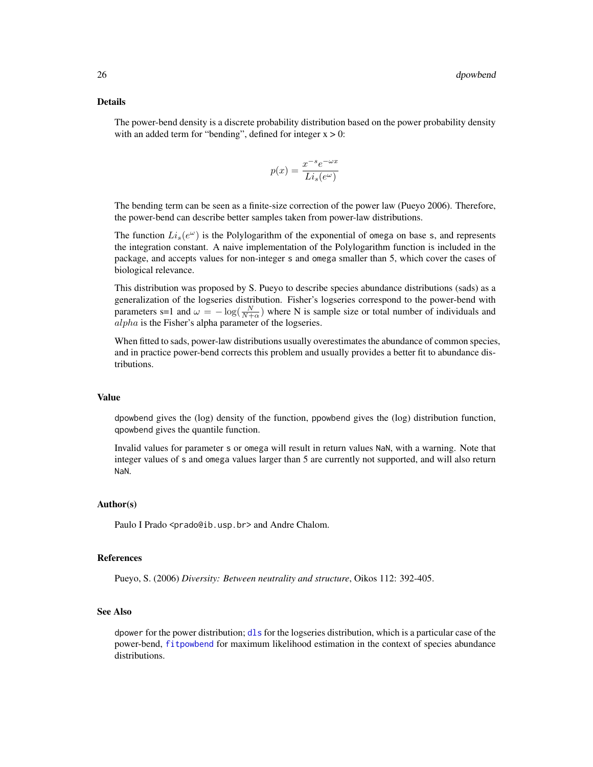# Details

The power-bend density is a discrete probability distribution based on the power probability density with an added term for "bending", defined for integer  $x > 0$ :

$$
p(x) = \frac{x^{-s}e^{-\omega x}}{Li_s(e^{\omega})}
$$

The bending term can be seen as a finite-size correction of the power law (Pueyo 2006). Therefore, the power-bend can describe better samples taken from power-law distributions.

The function  $Li_s(e^{\omega})$  is the Polylogarithm of the exponential of omega on base s, and represents the integration constant. A naive implementation of the Polylogarithm function is included in the package, and accepts values for non-integer s and omega smaller than 5, which cover the cases of biological relevance.

This distribution was proposed by S. Pueyo to describe species abundance distributions (sads) as a generalization of the logseries distribution. Fisher's logseries correspond to the power-bend with parameters s=1 and  $\omega = -\log(\frac{N}{N+\alpha})$  where N is sample size or total number of individuals and alpha is the Fisher's alpha parameter of the logseries.

When fitted to sads, power-law distributions usually overestimates the abundance of common species, and in practice power-bend corrects this problem and usually provides a better fit to abundance distributions.

#### Value

dpowbend gives the (log) density of the function, ppowbend gives the (log) distribution function, qpowbend gives the quantile function.

Invalid values for parameter s or omega will result in return values NaN, with a warning. Note that integer values of s and omega values larger than 5 are currently not supported, and will also return NaN.

#### Author(s)

Paulo I Prado <prado@ib.usp.br> and Andre Chalom.

# References

Pueyo, S. (2006) *Diversity: Between neutrality and structure*, Oikos 112: 392-405.

# See Also

dpower for the power distribution; [dls](#page-11-1) for the logseries distribution, which is a particular case of the power-bend, [fitpowbend](#page-38-2) for maximum likelihood estimation in the context of species abundance distributions.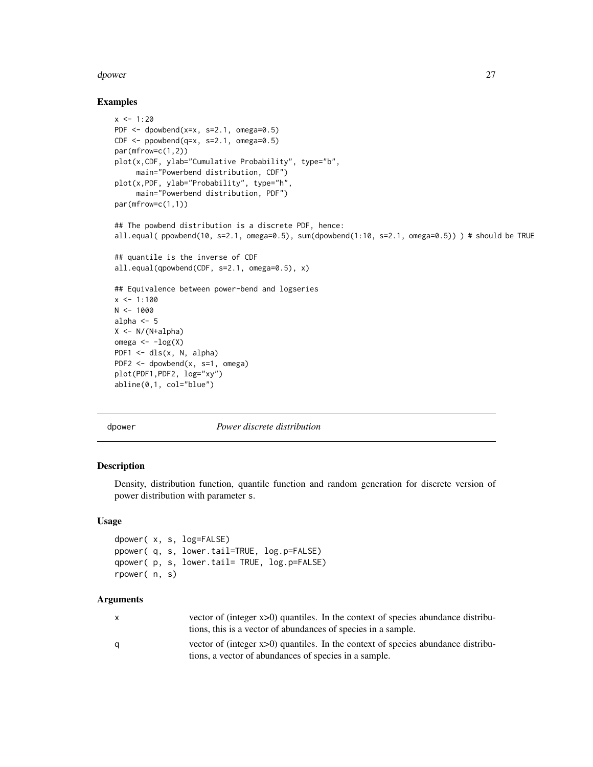#### <span id="page-26-0"></span>dpower 27

#### Examples

```
x < -1:20PDF \leq dpowbend(x=x, s=2.1, omega=0.5)
CDF \leq-pppowbend(q=x, s=2.1, \text{omega})par(mfrow=c(1,2))
plot(x,CDF, ylab="Cumulative Probability", type="b",
     main="Powerbend distribution, CDF")
plot(x,PDF, ylab="Probability", type="h",
     main="Powerbend distribution, PDF")
par(mfrow=c(1,1))
## The powbend distribution is a discrete PDF, hence:
all.equal( ppowbend(10, s=2.1, omega=0.5), sum(dpowbend(1:10, s=2.1, omega=0.5)) ) # should be TRUE
## quantile is the inverse of CDF
all.equal(qpowbend(CDF, s=2.1, omega=0.5), x)
## Equivalence between power-bend and logseries
x < -1:100N < - 1000alpha <-5X <- N/(N+alpha)
omega \leftarrow -\log(X)PDF1 <- dls(x, N, alpha)
PDF2 <- dpowbend(x, s=1, omega)
plot(PDF1,PDF2, log="xy")
abline(0,1, col="blue")
```
dpower *Power discrete distribution*

# Description

Density, distribution function, quantile function and random generation for discrete version of power distribution with parameter s.

# Usage

```
dpower( x, s, log=FALSE)
ppower( q, s, lower.tail=TRUE, log.p=FALSE)
qpower( p, s, lower.tail= TRUE, log.p=FALSE)
rpower( n, s)
```
# Arguments

| X | vector of (integer $x>0$ ) quantiles. In the context of species abundance distribu- |
|---|-------------------------------------------------------------------------------------|
|   | tions, this is a vector of abundances of species in a sample.                       |
| q | vector of (integer $x>0$ ) quantiles. In the context of species abundance distribu- |
|   | tions, a vector of abundances of species in a sample.                               |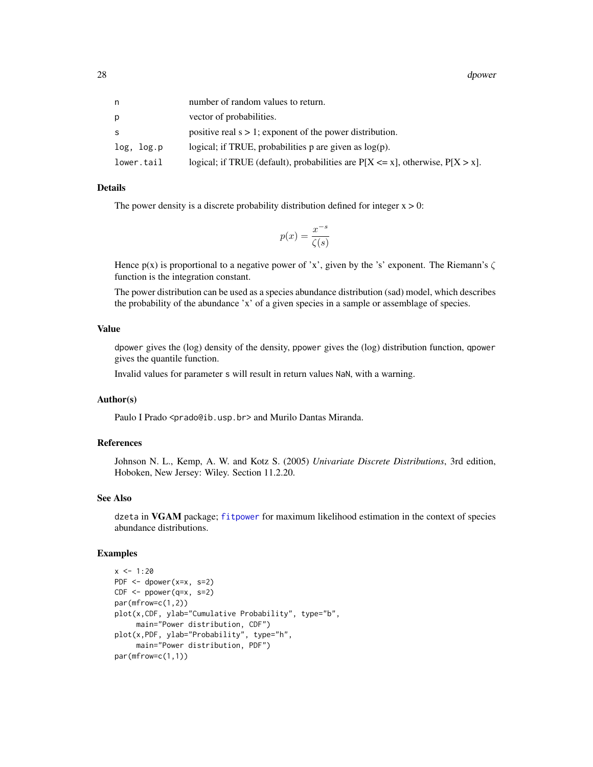28 dpower and the contract of the contract of the contract of the contract of the contract of the contract of the contract of the contract of the contract of the contract of the contract of the contract of the contract of

| n          | number of random values to return.                                                   |
|------------|--------------------------------------------------------------------------------------|
| p          | vector of probabilities.                                                             |
| S          | positive real $s > 1$ ; exponent of the power distribution.                          |
| log, log.p | logical; if TRUE, probabilities p are given as $log(p)$ .                            |
| lower.tail | logical; if TRUE (default), probabilities are $P[X \le x]$ , otherwise, $P[X > x]$ . |
|            |                                                                                      |

# Details

The power density is a discrete probability distribution defined for integer  $x > 0$ :

$$
p(x) = \frac{x^{-s}}{\zeta(s)}
$$

Hence  $p(x)$  is proportional to a negative power of 'x', given by the 's' exponent. The Riemann's  $\zeta$ function is the integration constant.

The power distribution can be used as a species abundance distribution (sad) model, which describes the probability of the abundance 'x' of a given species in a sample or assemblage of species.

# Value

dpower gives the (log) density of the density, ppower gives the (log) distribution function, qpower gives the quantile function.

Invalid values for parameter s will result in return values NaN, with a warning.

# Author(s)

Paulo I Prado <prado@ib.usp.br> and Murilo Dantas Miranda.

# References

Johnson N. L., Kemp, A. W. and Kotz S. (2005) *Univariate Discrete Distributions*, 3rd edition, Hoboken, New Jersey: Wiley. Section 11.2.20.

#### See Also

dzeta in VGAM package; [fitpower](#page-38-2) for maximum likelihood estimation in the context of species abundance distributions.

#### Examples

```
x < -1:20PDF <- dpower(x=x, s=2)
CDF < - ppower(q=x, s=2)
par(mfrow=c(1,2))
plot(x,CDF, ylab="Cumulative Probability", type="b",
     main="Power distribution, CDF")
plot(x,PDF, ylab="Probability", type="h",
     main="Power distribution, PDF")
par(mfrow=c(1,1))
```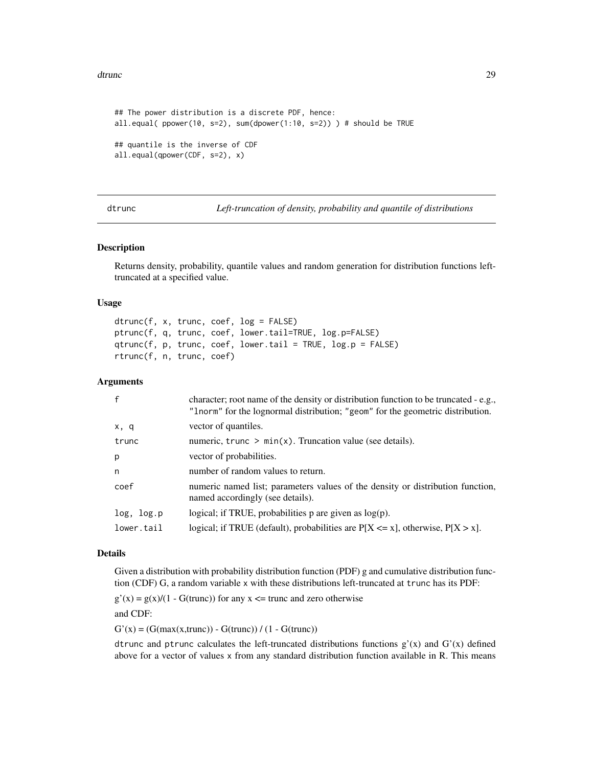#### <span id="page-28-0"></span>dtrunc 29

```
## The power distribution is a discrete PDF, hence:
all.equal( ppower(10, s=2), sum(dpower(1:10, s=2)) ) # should be TRUE
## quantile is the inverse of CDF
all.equal(qpower(CDF, s=2), x)
```
dtrunc *Left-truncation of density, probability and quantile of distributions*

# Description

Returns density, probability, quantile values and random generation for distribution functions lefttruncated at a specified value.

# Usage

```
dtrunc(f, x, trunc, coef, log = FALSE)
ptrunc(f, q, trunc, coef, lower.tail=TRUE, log.p=FALSE)
qtrunc(f, p, trunc, coef, lower.tail = TRUE, log.p = FALSE)rtrunc(f, n, trunc, coef)
```
#### Arguments

| $\mathsf{f}$ | character; root name of the density or distribution function to be truncated - e.g.,<br>"Inorm" for the lognormal distribution; "geom" for the geometric distribution. |
|--------------|------------------------------------------------------------------------------------------------------------------------------------------------------------------------|
| x, q         | vector of quantiles.                                                                                                                                                   |
| trunc        | numeric, $trunc > min(x)$ . Truncation value (see details).                                                                                                            |
| p            | vector of probabilities.                                                                                                                                               |
| n            | number of random values to return.                                                                                                                                     |
| coef         | numeric named list; parameters values of the density or distribution function,<br>named accordingly (see details).                                                     |
| log, log.p   | logical; if TRUE, probabilities $p$ are given as $log(p)$ .                                                                                                            |
| lower.tail   | logical; if TRUE (default), probabilities are $P[X \le x]$ , otherwise, $P[X > x]$ .                                                                                   |

# Details

Given a distribution with probability distribution function (PDF) g and cumulative distribution function (CDF) G, a random variable x with these distributions left-truncated at trunc has its PDF:

 $g'(x) = g(x)/(1 - G(true))$  for any  $x \le$  trunc and zero otherwise

and CDF:

 $G'(x) = (G(max(x, trunc)) - G(true)) / (1 - G(true))$ 

dtrunc and ptrunc calculates the left-truncated distributions functions  $g'(x)$  and  $G'(x)$  defined above for a vector of values x from any standard distribution function available in R. This means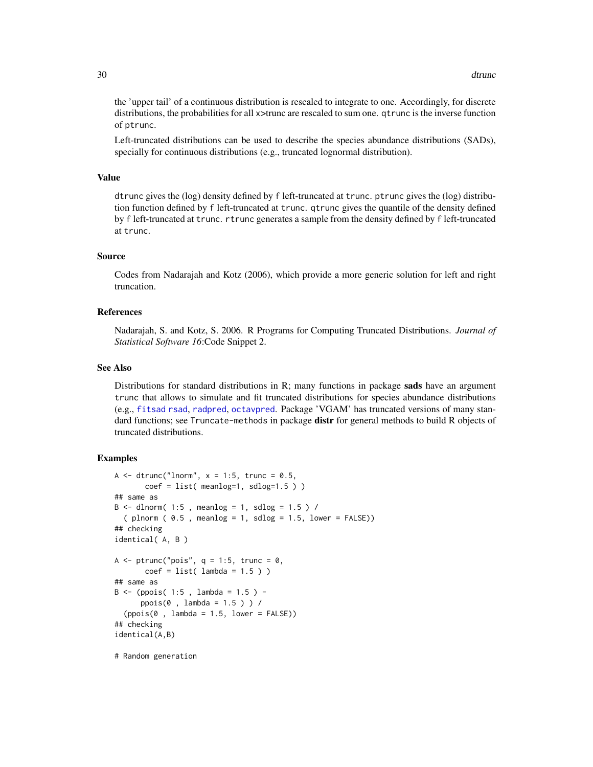the 'upper tail' of a continuous distribution is rescaled to integrate to one. Accordingly, for discrete distributions, the probabilities for all x>trunc are rescaled to sum one. qtrunc is the inverse function of ptrunc.

Left-truncated distributions can be used to describe the species abundance distributions (SADs), specially for continuous distributions (e.g., truncated lognormal distribution).

#### Value

dtrunc gives the (log) density defined by f left-truncated at trunc. ptrunc gives the (log) distribution function defined by f left-truncated at trunc. qtrunc gives the quantile of the density defined by f left-truncated at trunc. rtrunc generates a sample from the density defined by f left-truncated at trunc.

# Source

Codes from Nadarajah and Kotz (2006), which provide a more generic solution for left and right truncation.

# References

Nadarajah, S. and Kotz, S. 2006. R Programs for Computing Truncated Distributions. *Journal of Statistical Software 16*:Code Snippet 2.

# See Also

Distributions for standard distributions in R; many functions in package sads have an argument trunc that allows to simulate and fit truncated distributions for species abundance distributions (e.g., [fitsad](#page-38-1) [rsad](#page-65-1), [radpred](#page-63-1), [octavpred](#page-50-1). Package 'VGAM' has truncated versions of many standard functions; see Truncate-methods in package distr for general methods to build R objects of truncated distributions.

# **Examples**

```
A \le dtrunc("lnorm", x = 1:5, trunc = 0.5,
       coef = list(meanlog=1, sdlog=1.5))
## same as
B \le - dlnorm( 1:5, meanlog = 1, sdlog = 1.5) /
  (plnorm ( 0.5 , meanlog = 1, sdlog = 1.5, lower = FALSE))## checking
identical( A, B )
A \le ptrunc("pois", q = 1:5, trunc = 0,
       coef = list( lambda = 1.5 ) )## same as
B \le - (ppois( 1:5, lambda = 1.5) -
      ppois(0 , lambda = 1.5 ) ) /
  (ppois(0, lambda = 1.5, lower = FALSE))## checking
identical(A,B)
```
# Random generation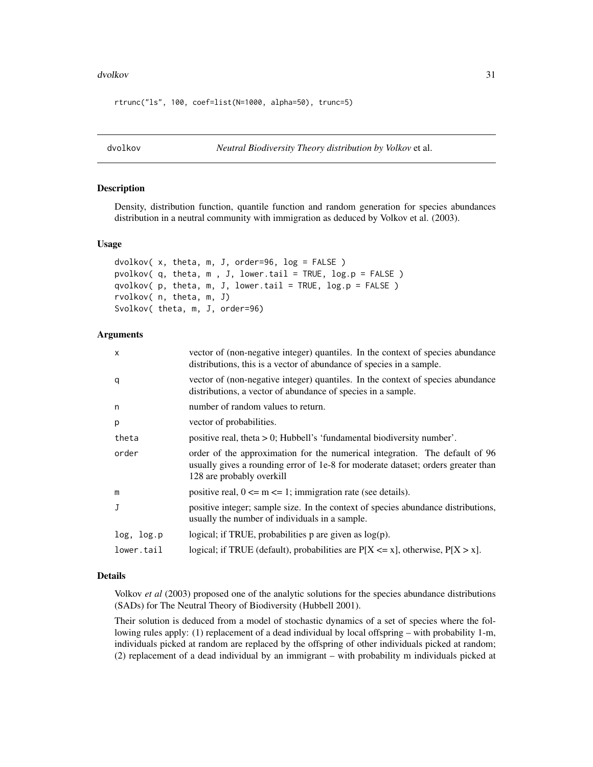#### <span id="page-30-0"></span>dvolkov 31

rtrunc("ls", 100, coef=list(N=1000, alpha=50), trunc=5)

dvolkov *Neutral Biodiversity Theory distribution by Volkov* et al.

# Description

Density, distribution function, quantile function and random generation for species abundances distribution in a neutral community with immigration as deduced by Volkov et al. (2003).

# Usage

```
dvolkov( x, theta, m, J, order=96, log = FALSE )
pvolkov(q, theta, m, J, lower.tail = TRUE, log.p = FALSE)
qvolkov( p, theta, m, J, lower.tail = TRUE, log.p = FALSE )
rvolkov( n, theta, m, J)
Svolkov( theta, m, J, order=96)
```
# Arguments

| X          | vector of (non-negative integer) quantiles. In the context of species abundance<br>distributions, this is a vector of abundance of species in a sample.                                      |
|------------|----------------------------------------------------------------------------------------------------------------------------------------------------------------------------------------------|
| q          | vector of (non-negative integer) quantiles. In the context of species abundance<br>distributions, a vector of abundance of species in a sample.                                              |
| n          | number of random values to return.                                                                                                                                                           |
| p          | vector of probabilities.                                                                                                                                                                     |
| theta      | positive real, theta > 0; Hubbell's 'fundamental biodiversity number'.                                                                                                                       |
| order      | order of the approximation for the numerical integration. The default of 96<br>usually gives a rounding error of 1e-8 for moderate dataset; orders greater than<br>128 are probably overkill |
| m          | positive real, $0 \le m \le 1$ ; immigration rate (see details).                                                                                                                             |
| J          | positive integer; sample size. In the context of species abundance distributions,<br>usually the number of individuals in a sample.                                                          |
| log, log.p | logical; if TRUE, probabilities $p$ are given as $log(p)$ .                                                                                                                                  |
| lower.tail | logical; if TRUE (default), probabilities are $P[X \le x]$ , otherwise, $P[X > x]$ .                                                                                                         |

# Details

Volkov *et al* (2003) proposed one of the analytic solutions for the species abundance distributions (SADs) for The Neutral Theory of Biodiversity (Hubbell 2001).

Their solution is deduced from a model of stochastic dynamics of a set of species where the following rules apply: (1) replacement of a dead individual by local offspring – with probability 1-m, individuals picked at random are replaced by the offspring of other individuals picked at random; (2) replacement of a dead individual by an immigrant – with probability m individuals picked at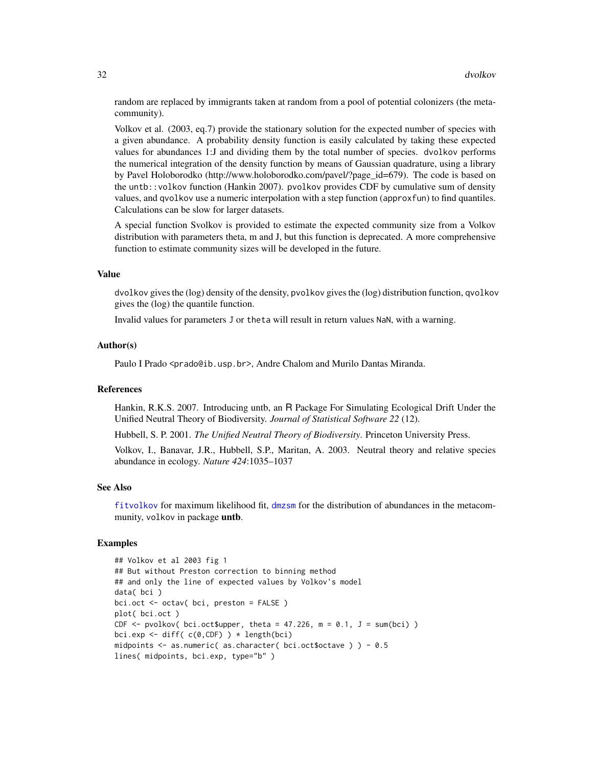random are replaced by immigrants taken at random from a pool of potential colonizers (the metacommunity).

Volkov et al. (2003, eq.7) provide the stationary solution for the expected number of species with a given abundance. A probability density function is easily calculated by taking these expected values for abundances 1:J and dividing them by the total number of species. dvolkov performs the numerical integration of the density function by means of Gaussian quadrature, using a library by Pavel Holoborodko (http://www.holoborodko.com/pavel/?page\_id=679). The code is based on the untb::volkov function (Hankin 2007). pvolkov provides CDF by cumulative sum of density values, and qvolkov use a numeric interpolation with a step function (approxfun) to find quantiles. Calculations can be slow for larger datasets.

A special function Svolkov is provided to estimate the expected community size from a Volkov distribution with parameters theta, m and J, but this function is deprecated. A more comprehensive function to estimate community sizes will be developed in the future.

# Value

dvolkov gives the (log) density of the density, pvolkov gives the (log) distribution function, qvolkov gives the (log) the quantile function.

Invalid values for parameters J or theta will result in return values NaN, with a warning.

# Author(s)

Paulo I Prado <prado@ib.usp.br>, Andre Chalom and Murilo Dantas Miranda.

# References

Hankin, R.K.S. 2007. Introducing untb, an R Package For Simulating Ecological Drift Under the Unified Neutral Theory of Biodiversity. *Journal of Statistical Software 22* (12).

Hubbell, S. P. 2001. *The Unified Neutral Theory of Biodiversity*. Princeton University Press.

Volkov, I., Banavar, J.R., Hubbell, S.P., Maritan, A. 2003. Neutral theory and relative species abundance in ecology. *Nature 424*:1035–1037

#### See Also

[fitvolkov](#page-38-2) for maximum likelihood fit, [dmzsm](#page-15-1) for the distribution of abundances in the metacommunity, volkov in package untb.

# Examples

```
## Volkov et al 2003 fig 1
## But without Preston correction to binning method
## and only the line of expected values by Volkov's model
data( bci )
bci.oct <- octav( bci, preston = FALSE )
plot( bci.oct )
CDF \leq- pvolkov( bci.oct$upper, theta = 47.226, m = 0.1, J = sum(bci))
bci.exp <- diff(c(\emptyset, CDF)) * length(bci)
midpoints <- as.numeric( as.character( bci.oct$octave ) ) - 0.5
lines( midpoints, bci.exp, type="b" )
```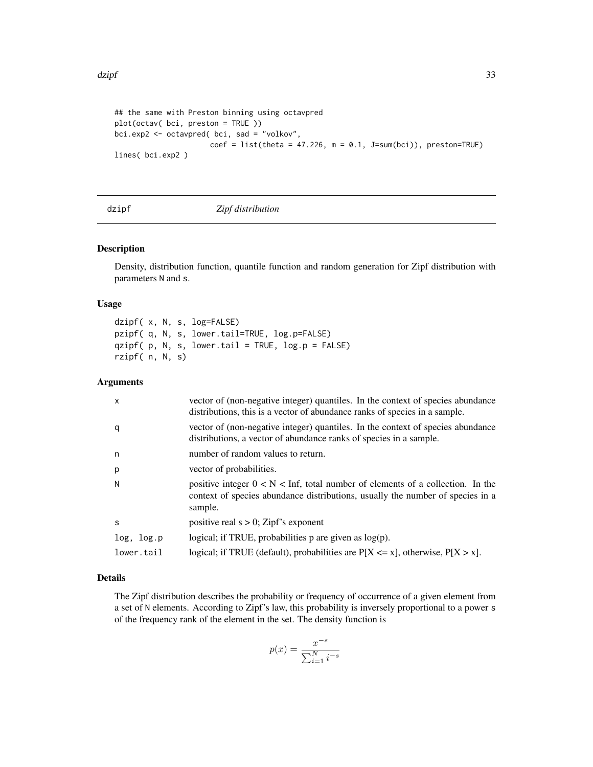```
## the same with Preston binning using octavpred
plot(octav( bci, preston = TRUE ))
bci.exp2 <- octavpred( bci, sad = "volkov",
                     coef = list(theta = 47.226, m = 0.1, J=sum(bci)), preston=TRUE)lines( bci.exp2 )
```
dzipf *Zipf distribution*

# Description

Density, distribution function, quantile function and random generation for Zipf distribution with parameters N and s.

# Usage

dzipf( x, N, s, log=FALSE) pzipf( q, N, s, lower.tail=TRUE, log.p=FALSE) qzipf( p, N, s, lower.tail = TRUE, log.p = FALSE) rzipf( n, N, s)

# Arguments

| $\mathsf{x}$ | vector of (non-negative integer) quantiles. In the context of species abundance<br>distributions, this is a vector of abundance ranks of species in a sample.                 |
|--------------|-------------------------------------------------------------------------------------------------------------------------------------------------------------------------------|
| q            | vector of (non-negative integer) quantiles. In the context of species abundance<br>distributions, a vector of abundance ranks of species in a sample.                         |
| n            | number of random values to return.                                                                                                                                            |
| p            | vector of probabilities.                                                                                                                                                      |
| N            | positive integer $0 < N <$ Inf, total number of elements of a collection. In the<br>context of species abundance distributions, usually the number of species in a<br>sample. |
| S            | positive real $s > 0$ ; Zipf's exponent                                                                                                                                       |
| log, log.p   | logical; if TRUE, probabilities $p$ are given as $log(p)$ .                                                                                                                   |
| lower.tail   | logical; if TRUE (default), probabilities are $P[X \le x]$ , otherwise, $P[X > x]$ .                                                                                          |
|              |                                                                                                                                                                               |

# Details

The Zipf distribution describes the probability or frequency of occurrence of a given element from a set of N elements. According to Zipf's law, this probability is inversely proportional to a power s of the frequency rank of the element in the set. The density function is

$$
p(x) = \frac{x^{-s}}{\sum_{i=1}^{N} i^{-s}}
$$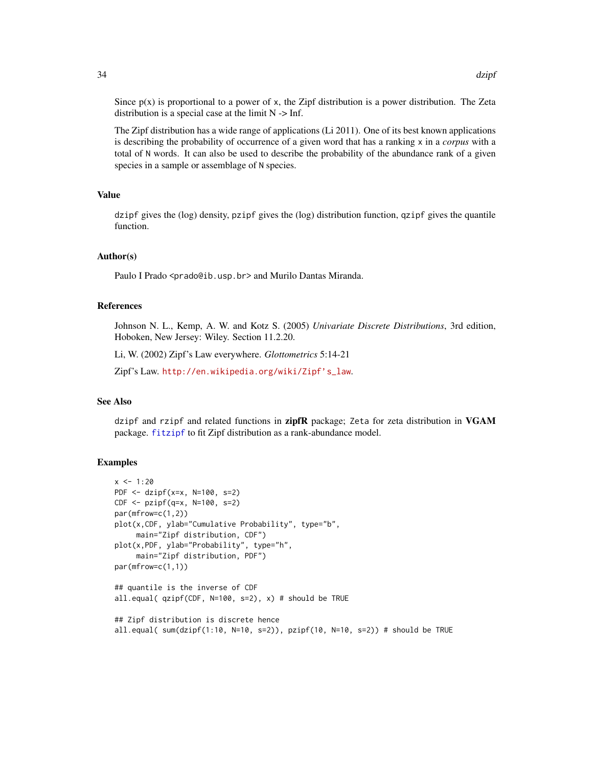Since  $p(x)$  is proportional to a power of x, the Zipf distribution is a power distribution. The Zeta distribution is a special case at the limit  $N > Inf$ .

The Zipf distribution has a wide range of applications (Li 2011). One of its best known applications is describing the probability of occurrence of a given word that has a ranking x in a *corpus* with a total of N words. It can also be used to describe the probability of the abundance rank of a given species in a sample or assemblage of N species.

# Value

dzipf gives the (log) density, pzipf gives the (log) distribution function, qzipf gives the quantile function.

#### Author(s)

Paulo I Prado <prado@ib.usp.br> and Murilo Dantas Miranda.

#### References

Johnson N. L., Kemp, A. W. and Kotz S. (2005) *Univariate Discrete Distributions*, 3rd edition, Hoboken, New Jersey: Wiley. Section 11.2.20.

Li, W. (2002) Zipf's Law everywhere. *Glottometrics* 5:14-21

Zipf's Law. [http://en.wikipedia.org/wiki/Zipf's\\_law](http://en.wikipedia.org/wiki/Zipf).

# See Also

dzipf and rzipf and related functions in zipfR package; Zeta for zeta distribution in VGAM package. [fitzipf](#page-34-2) to fit Zipf distribution as a rank-abundance model.

#### Examples

```
x < -1:20PDF <- dzipf(x=x, N=100, s=2)
CDF <- pzipf(q=x, N=100, s=2)
par(mfrow=c(1,2))
plot(x,CDF, ylab="Cumulative Probability", type="b",
     main="Zipf distribution, CDF")
plot(x,PDF, ylab="Probability", type="h",
     main="Zipf distribution, PDF")
par(mfrow=c(1,1))
## quantile is the inverse of CDF
all.equal( qzipf(CDF, N=100, s=2), x) # should be TRUE
## Zipf distribution is discrete hence
all.equal( sum(dzipf(1:10, N=10, s=2)), pzipf(10, N=10, s=2)) # should be TRUE
```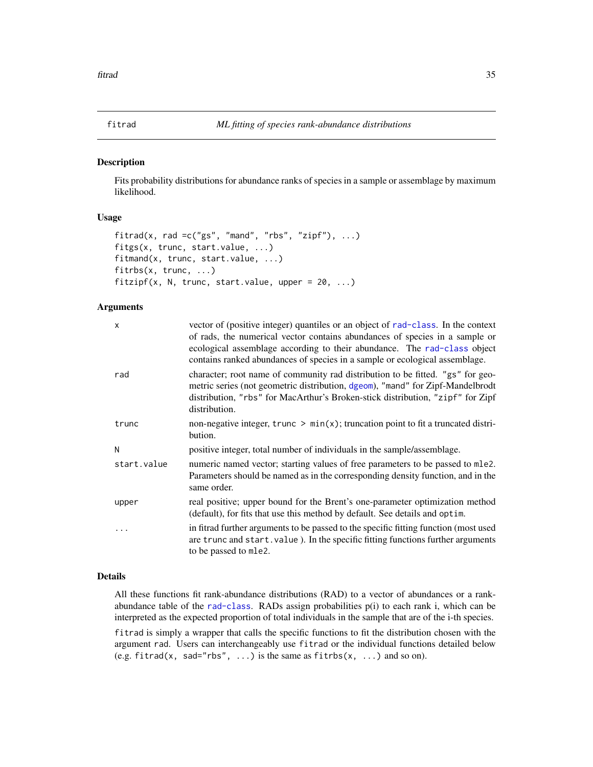<span id="page-34-1"></span><span id="page-34-0"></span>

#### <span id="page-34-2"></span>Description

Fits probability distributions for abundance ranks of species in a sample or assemblage by maximum likelihood.

# Usage

```
fitrad(x, rad =c("gs", "mand", "rbs", "zipf"), ...)fitgs(x, trunc, start.value, ...)
fitmand(x, trunc, start.value, ...)
fitrbs(x, trunc, ...)
fitzipf(x, N, trunc, start.value, upper = 20, ...)
```
# Arguments

| X           | vector of (positive integer) quantiles or an object of rad-class. In the context<br>of rads, the numerical vector contains abundances of species in a sample or<br>ecological assemblage according to their abundance. The rad-class object<br>contains ranked abundances of species in a sample or ecological assemblage. |
|-------------|----------------------------------------------------------------------------------------------------------------------------------------------------------------------------------------------------------------------------------------------------------------------------------------------------------------------------|
| rad         | character; root name of community rad distribution to be fitted. "gs" for geo-<br>metric series (not geometric distribution, dgeom), "mand" for Zipf-Mandelbrodt<br>distribution, "rbs" for MacArthur's Broken-stick distribution, "zipf" for Zipf<br>distribution.                                                        |
| trunc       | non-negative integer, trunc $\geq \min(x)$ ; truncation point to fit a truncated distri-<br>bution.                                                                                                                                                                                                                        |
| N           | positive integer, total number of individuals in the sample/assemblage.                                                                                                                                                                                                                                                    |
| start.value | numeric named vector; starting values of free parameters to be passed to mle2.<br>Parameters should be named as in the corresponding density function, and in the<br>same order.                                                                                                                                           |
| upper       | real positive; upper bound for the Brent's one-parameter optimization method<br>(default), for fits that use this method by default. See details and optim.                                                                                                                                                                |
|             | in fitrad further arguments to be passed to the specific fitting function (most used<br>are trunc and start. value). In the specific fitting functions further arguments<br>to be passed to mle2.                                                                                                                          |

# Details

All these functions fit rank-abundance distributions (RAD) to a vector of abundances or a rankabundance table of the [rad-class](#page-61-1). RADs assign probabilities p(i) to each rank i, which can be interpreted as the expected proportion of total individuals in the sample that are of the i-th species.

fitrad is simply a wrapper that calls the specific functions to fit the distribution chosen with the argument rad. Users can interchangeably use fitrad or the individual functions detailed below (e.g. fitrad(x, sad="rbs", ...) is the same as fitrbs(x, ...) and so on).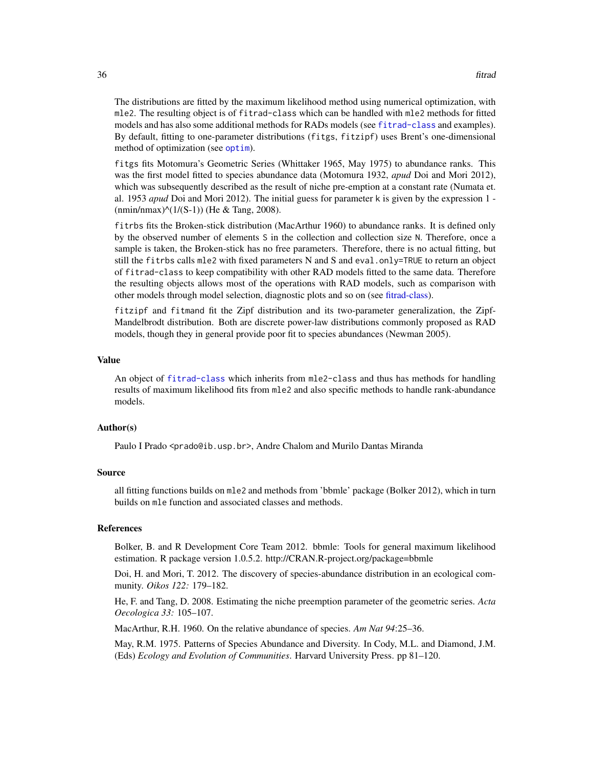The distributions are fitted by the maximum likelihood method using numerical optimization, with mle2. The resulting object is of fitrad-class which can be handled with mle2 methods for fitted models and has also some additional methods for RADs models (see [fitrad-class](#page-36-1) and examples). By default, fitting to one-parameter distributions (fitgs, fitzipf) uses Brent's one-dimensional method of optimization (see [optim](#page-0-0)).

fitgs fits Motomura's Geometric Series (Whittaker 1965, May 1975) to abundance ranks. This was the first model fitted to species abundance data (Motomura 1932, *apud* Doi and Mori 2012), which was subsequently described as the result of niche pre-emption at a constant rate (Numata et. al. 1953 *apud* Doi and Mori 2012). The initial guess for parameter k is given by the expression 1 -  $(nmin/nmax)^(1/(S-1))$  (He & Tang, 2008).

fitrbs fits the Broken-stick distribution (MacArthur 1960) to abundance ranks. It is defined only by the observed number of elements S in the collection and collection size N. Therefore, once a sample is taken, the Broken-stick has no free parameters. Therefore, there is no actual fitting, but still the fitrbs calls mle2 with fixed parameters N and S and eval. only=TRUE to return an object of fitrad-class to keep compatibility with other RAD models fitted to the same data. Therefore the resulting objects allows most of the operations with RAD models, such as comparison with other models through model selection, diagnostic plots and so on (see [fitrad-class\)](#page-36-1).

fitzipf and fitmand fit the Zipf distribution and its two-parameter generalization, the Zipf-Mandelbrodt distribution. Both are discrete power-law distributions commonly proposed as RAD models, though they in general provide poor fit to species abundances (Newman 2005).

#### Value

An object of [fitrad-class](#page-36-1) which inherits from mle2-class and thus has methods for handling results of maximum likelihood fits from mle2 and also specific methods to handle rank-abundance models.

# Author(s)

Paulo I Prado <prado@ib.usp.br>, Andre Chalom and Murilo Dantas Miranda

#### Source

all fitting functions builds on mle2 and methods from 'bbmle' package (Bolker 2012), which in turn builds on mle function and associated classes and methods.

#### References

Bolker, B. and R Development Core Team 2012. bbmle: Tools for general maximum likelihood estimation. R package version 1.0.5.2. http://CRAN.R-project.org/package=bbmle

Doi, H. and Mori, T. 2012. The discovery of species-abundance distribution in an ecological community. *Oikos 122:* 179–182.

He, F. and Tang, D. 2008. Estimating the niche preemption parameter of the geometric series. *Acta Oecologica 33:* 105–107.

MacArthur, R.H. 1960. On the relative abundance of species. *Am Nat 94*:25–36.

May, R.M. 1975. Patterns of Species Abundance and Diversity. In Cody, M.L. and Diamond, J.M. (Eds) *Ecology and Evolution of Communities*. Harvard University Press. pp 81–120.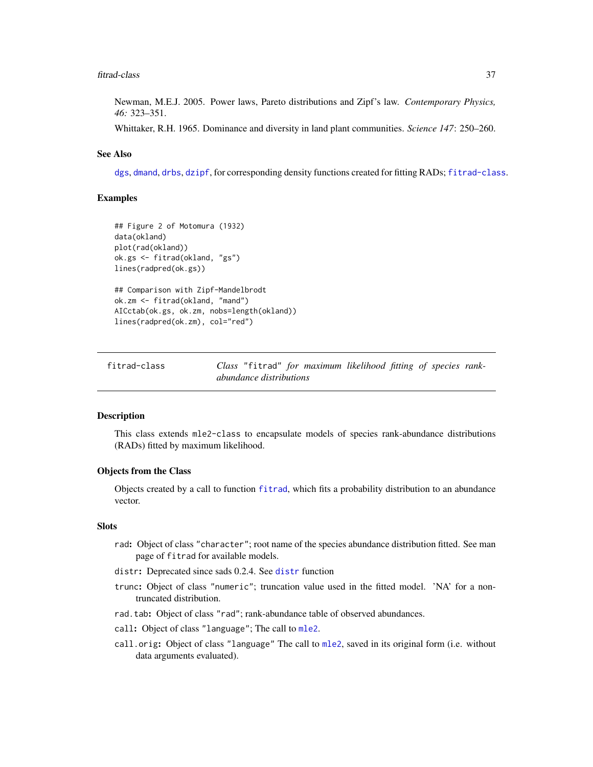#### <span id="page-36-1"></span>fitrad-class 37

Newman, M.E.J. 2005. Power laws, Pareto distributions and Zipf's law. *Contemporary Physics, 46:* 323–351.

Whittaker, R.H. 1965. Dominance and diversity in land plant communities. *Science 147*: 250–260.

# See Also

[dgs](#page-9-0), [dmand](#page-13-0), [drbs](#page-6-0), [dzipf](#page-32-0), for corresponding density functions created for fitting RADs; [fitrad-class](#page-36-0).

# Examples

```
## Figure 2 of Motomura (1932)
data(okland)
plot(rad(okland))
ok.gs <- fitrad(okland, "gs")
lines(radpred(ok.gs))
## Comparison with Zipf-Mandelbrodt
ok.zm <- fitrad(okland, "mand")
AICctab(ok.gs, ok.zm, nobs=length(okland))
lines(radpred(ok.zm), col="red")
```
<span id="page-36-0"></span>

| fitrad-class | Class "fitrad" for maximum likelihood fitting of species rank- |  |  |  |
|--------------|----------------------------------------------------------------|--|--|--|
|              | abundance distributions                                        |  |  |  |

# Description

This class extends mle2-class to encapsulate models of species rank-abundance distributions (RADs) fitted by maximum likelihood.

## Objects from the Class

Objects created by a call to function [fitrad](#page-34-0), which fits a probability distribution to an abundance vector.

#### **Slots**

- rad: Object of class "character"; root name of the species abundance distribution fitted. See man page of fitrad for available models.
- [distr](#page-10-0): Deprecated since sads 0.2.4. See distr function
- trunc: Object of class "numeric"; truncation value used in the fitted model. 'NA' for a nontruncated distribution.
- rad.tab: Object of class "rad"; rank-abundance table of observed abundances.
- call: Object of class "language"; The call to [mle2](#page-0-0).
- call.orig: Object of class "language" The call to [mle2](#page-0-0), saved in its original form (i.e. without data arguments evaluated).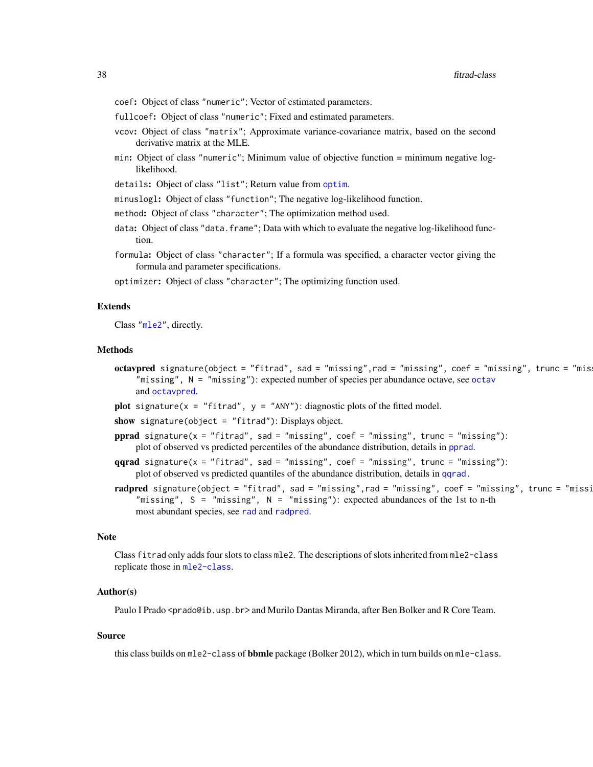- <span id="page-37-0"></span>coef: Object of class "numeric"; Vector of estimated parameters.
- fullcoef: Object of class "numeric"; Fixed and estimated parameters.
- vcov: Object of class "matrix"; Approximate variance-covariance matrix, based on the second derivative matrix at the MLE.
- min: Object of class "numeric"; Minimum value of objective function = minimum negative loglikelihood.
- details: Object of class "list"; Return value from [optim](#page-0-0).
- minuslogl: Object of class "function"; The negative log-likelihood function.
- method: Object of class "character"; The optimization method used.
- data: Object of class "data. frame"; Data with which to evaluate the negative log-likelihood function.
- formula: Object of class "character"; If a formula was specified, a character vector giving the formula and parameter specifications.

optimizer: Object of class "character"; The optimizing function used.

#### Extends

Class ["mle2"](#page-0-0), directly.

#### Methods

- octavpred signature(object = "fitrad", sad = "missing",rad = "missing", coef = "missing", trunc = "mis "missing",  $N =$  "missing"): expected number of species per abundance [octav](#page-49-0)e, see octav and [octavpred](#page-50-0).
- **plot** signature(x = "fitrad",  $y =$  "ANY"): diagnostic plots of the fitted model.
- show signature(object = "fitrad"): Displays object.
- pprad signature( $x =$  "fitrad", sad = "missing", coef = "missing", trunc = "missing"): plot of observed vs predicted percentiles of the abundance distribution, details in [pprad](#page-55-0).
- qqrad signature( $x =$  "fitrad", sad = "missing", coef = "missing", trunc = "missing"): plot of observed vs predicted quantiles of the abundance distribution, details in [qqrad.](#page-58-0)
- radpred signature(object = "fitrad", sad = "missing",rad = "missing", coef = "missing", trunc = "missi "missing",  $S =$  "missing",  $N =$  "missing"): expected abundances of the 1st to n-th most abundant species, see [rad](#page-60-0) and [radpred](#page-63-0).

## **Note**

Class fitrad only adds four slots to class mle2. The descriptions of slots inherited from mle2-class replicate those in [mle2-class](#page-0-0).

## Author(s)

Paulo I Prado <prado@ib.usp.br> and Murilo Dantas Miranda, after Ben Bolker and R Core Team.

#### Source

this class builds on mle2-class of **bbmle** package (Bolker 2012), which in turn builds on mle-class.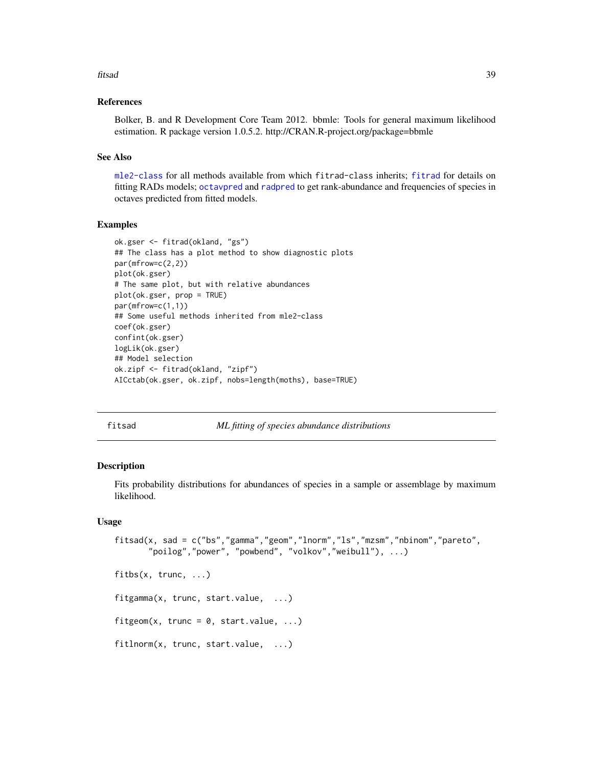#### <span id="page-38-2"></span>fitsad 39

## References

Bolker, B. and R Development Core Team 2012. bbmle: Tools for general maximum likelihood estimation. R package version 1.0.5.2. http://CRAN.R-project.org/package=bbmle

## See Also

[mle2-class](#page-0-0) for all methods available from which fitrad-class inherits; [fitrad](#page-34-0) for details on fitting RADs models; [octavpred](#page-50-0) and [radpred](#page-63-0) to get rank-abundance and frequencies of species in octaves predicted from fitted models.

#### Examples

```
ok.gser <- fitrad(okland, "gs")
## The class has a plot method to show diagnostic plots
par(mfrow=c(2,2))
plot(ok.gser)
# The same plot, but with relative abundances
plot(ok.gser, prop = TRUE)
par(mfrow=c(1,1))
## Some useful methods inherited from mle2-class
coef(ok.gser)
confint(ok.gser)
logLik(ok.gser)
## Model selection
ok.zipf <- fitrad(okland, "zipf")
AICctab(ok.gser, ok.zipf, nobs=length(moths), base=TRUE)
```
<span id="page-38-0"></span>fitsad *ML fitting of species abundance distributions*

## <span id="page-38-1"></span>Description

Fits probability distributions for abundances of species in a sample or assemblage by maximum likelihood.

# Usage

```
fitsad(x, sad = c("bs","gamma","geom","lnorm","ls","mzsm","nbinom","pareto",
       "poilog","power", "powbend", "volkov","weibull"), ...)
fitbs(x, trunc, ...)
```
fitgamma(x, trunc, start.value, ...)

fitgeom(x, trunc =  $0$ , start.value, ...)

fitlnorm(x, trunc, start.value, ...)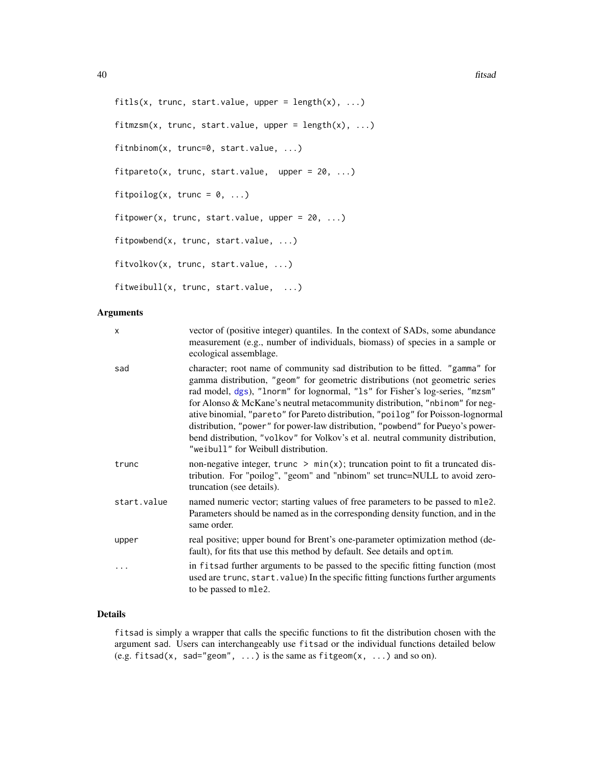```
fitls(x, trunc, start.value, upper = length(x), ...)
fitmzsm(x, trunc, start.value, upper = length(x), ...)
fitnbinom(x, trunc=0, start.value, ...)
fitpareto(x, trunc, start.value, upper = 20, ...)
fitpoilog(x, trunc = 0, ...)
fitpower(x, trunc, start.value, upper = 20, ...)
fitpowbend(x, trunc, start.value, ...)
fitvolkov(x, trunc, start.value, ...)
fitweibull(x, trunc, start.value, ...)
```
## Arguments

| x           | vector of (positive integer) quantiles. In the context of SADs, some abundance<br>measurement (e.g., number of individuals, biomass) of species in a sample or<br>ecological assemblage.                                                                                                                                                                                                                                                                                                                                                                                                                                    |
|-------------|-----------------------------------------------------------------------------------------------------------------------------------------------------------------------------------------------------------------------------------------------------------------------------------------------------------------------------------------------------------------------------------------------------------------------------------------------------------------------------------------------------------------------------------------------------------------------------------------------------------------------------|
| sad         | character; root name of community sad distribution to be fitted. "gamma" for<br>gamma distribution, "geom" for geometric distributions (not geometric series<br>rad model, dgs), "lnorm" for lognormal, "1s" for Fisher's log-series, "mzsm"<br>for Alonso & McKane's neutral metacommunity distribution, "nbinom" for neg-<br>ative binomial, "pareto" for Pareto distribution, "poilog" for Poisson-lognormal<br>distribution, "power" for power-law distribution, "powbend" for Pueyo's power-<br>bend distribution, "volkov" for Volkov's et al. neutral community distribution,<br>"weibull" for Weibull distribution. |
| trunc       | non-negative integer, trunc $> min(x)$ ; truncation point to fit a truncated dis-<br>tribution. For "poilog", "geom" and "nbinom" set trunc=NULL to avoid zero-<br>truncation (see details).                                                                                                                                                                                                                                                                                                                                                                                                                                |
| start.value | named numeric vector; starting values of free parameters to be passed to mle2.<br>Parameters should be named as in the corresponding density function, and in the<br>same order.                                                                                                                                                                                                                                                                                                                                                                                                                                            |
| upper       | real positive; upper bound for Brent's one-parameter optimization method (de-<br>fault), for fits that use this method by default. See details and optim.                                                                                                                                                                                                                                                                                                                                                                                                                                                                   |
| $\cdots$    | in fitsad further arguments to be passed to the specific fitting function (most<br>used are trunc, start. value) In the specific fitting functions further arguments<br>to be passed to mle2.                                                                                                                                                                                                                                                                                                                                                                                                                               |

## Details

fitsad is simply a wrapper that calls the specific functions to fit the distribution chosen with the argument sad. Users can interchangeably use fitsad or the individual functions detailed below (e.g. fitsad(x, sad="geom", ...) is the same as fitgeom(x, ...) and so on).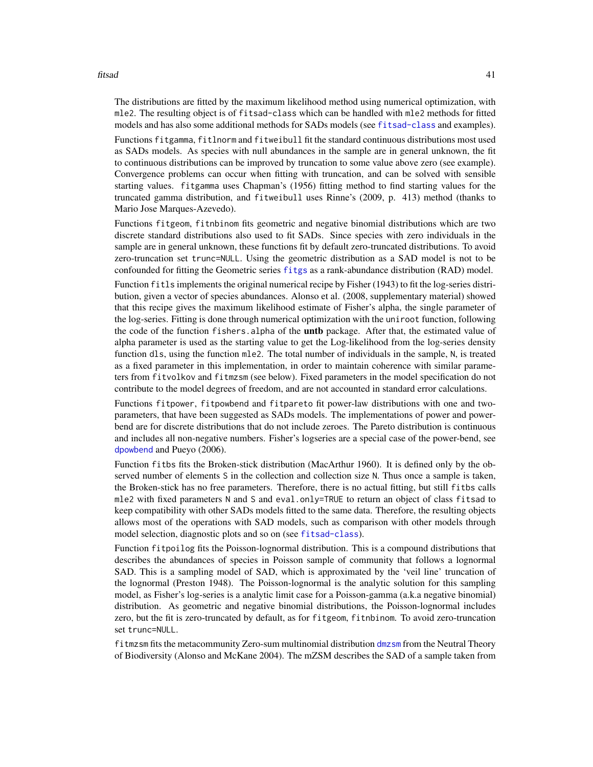#### <span id="page-40-0"></span>fitsad 41

The distributions are fitted by the maximum likelihood method using numerical optimization, with mle2. The resulting object is of fitsad-class which can be handled with mle2 methods for fitted models and has also some additional methods for SADs models (see [fitsad-class](#page-43-0) and examples).

Functions fitgamma, fitlnorm and fitweibull fit the standard continuous distributions most used as SADs models. As species with null abundances in the sample are in general unknown, the fit to continuous distributions can be improved by truncation to some value above zero (see example). Convergence problems can occur when fitting with truncation, and can be solved with sensible starting values. fitgamma uses Chapman's (1956) fitting method to find starting values for the truncated gamma distribution, and fitweibull uses Rinne's (2009, p. 413) method (thanks to Mario Jose Marques-Azevedo).

Functions fitgeom, fitnbinom fits geometric and negative binomial distributions which are two discrete standard distributions also used to fit SADs. Since species with zero individuals in the sample are in general unknown, these functions fit by default zero-truncated distributions. To avoid zero-truncation set trunc=NULL. Using the geometric distribution as a SAD model is not to be confounded for fitting the Geometric series [fitgs](#page-34-1) as a rank-abundance distribution (RAD) model.

Function fitls implements the original numerical recipe by Fisher (1943) to fit the log-series distribution, given a vector of species abundances. Alonso et al. (2008, supplementary material) showed that this recipe gives the maximum likelihood estimate of Fisher's alpha, the single parameter of the log-series. Fitting is done through numerical optimization with the uniroot function, following the code of the function fishers.alpha of the untb package. After that, the estimated value of alpha parameter is used as the starting value to get the Log-likelihood from the log-series density function dls, using the function mle2. The total number of individuals in the sample, N, is treated as a fixed parameter in this implementation, in order to maintain coherence with similar parameters from fitvolkov and fitmzsm (see below). Fixed parameters in the model specification do not contribute to the model degrees of freedom, and are not accounted in standard error calculations.

Functions fitpower, fitpowbend and fitpareto fit power-law distributions with one and twoparameters, that have been suggested as SADs models. The implementations of power and powerbend are for discrete distributions that do not include zeroes. The Pareto distribution is continuous and includes all non-negative numbers. Fisher's logseries are a special case of the power-bend, see [dpowbend](#page-24-0) and Pueyo (2006).

Function fitbs fits the Broken-stick distribution (MacArthur 1960). It is defined only by the observed number of elements S in the collection and collection size N. Thus once a sample is taken, the Broken-stick has no free parameters. Therefore, there is no actual fitting, but still fitbs calls mle2 with fixed parameters N and S and eval.only=TRUE to return an object of class fitsad to keep compatibility with other SADs models fitted to the same data. Therefore, the resulting objects allows most of the operations with SAD models, such as comparison with other models through model selection, diagnostic plots and so on (see [fitsad-class](#page-43-0)).

Function fitpoilog fits the Poisson-lognormal distribution. This is a compound distributions that describes the abundances of species in Poisson sample of community that follows a lognormal SAD. This is a sampling model of SAD, which is approximated by the 'veil line' truncation of the lognormal (Preston 1948). The Poisson-lognormal is the analytic solution for this sampling model, as Fisher's log-series is a analytic limit case for a Poisson-gamma (a.k.a negative binomial) distribution. As geometric and negative binomial distributions, the Poisson-lognormal includes zero, but the fit is zero-truncated by default, as for fitgeom, fitnbinom. To avoid zero-truncation set trunc=NULL.

fitmzsm fits the metacommunity Zero-sum multinomial distribution [dmzsm](#page-15-0) from the Neutral Theory of Biodiversity (Alonso and McKane 2004). The mZSM describes the SAD of a sample taken from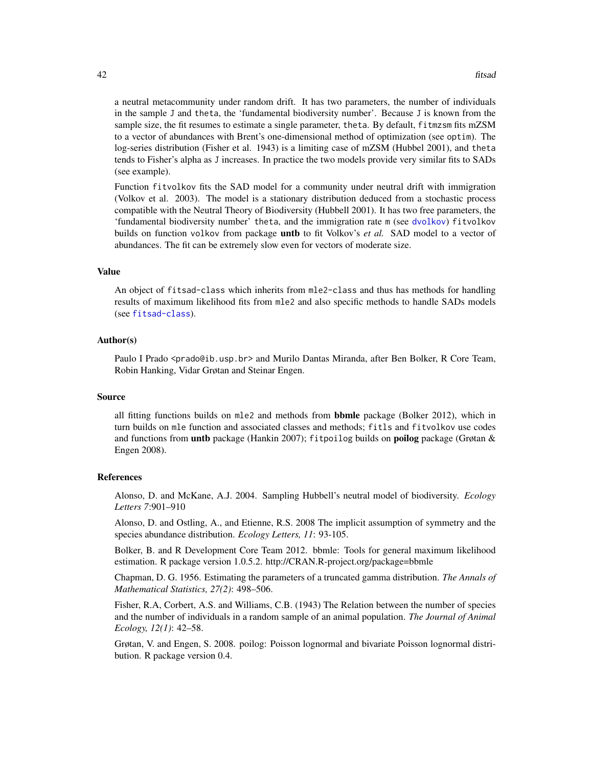<span id="page-41-0"></span>a neutral metacommunity under random drift. It has two parameters, the number of individuals in the sample J and theta, the 'fundamental biodiversity number'. Because J is known from the sample size, the fit resumes to estimate a single parameter, theta. By default, fitmzsm fits mZSM to a vector of abundances with Brent's one-dimensional method of optimization (see optim). The log-series distribution (Fisher et al. 1943) is a limiting case of mZSM (Hubbel 2001), and theta tends to Fisher's alpha as J increases. In practice the two models provide very similar fits to SADs (see example).

Function fitvolkov fits the SAD model for a community under neutral drift with immigration (Volkov et al. 2003). The model is a stationary distribution deduced from a stochastic process compatible with the Neutral Theory of Biodiversity (Hubbell 2001). It has two free parameters, the 'fundamental biodiversity number' theta, and the immigration rate m (see [dvolkov](#page-30-0)) fitvolkov builds on function volkov from package **unth** to fit Volkov's *et al.* SAD model to a vector of abundances. The fit can be extremely slow even for vectors of moderate size.

# Value

An object of fitsad-class which inherits from mle2-class and thus has methods for handling results of maximum likelihood fits from mle2 and also specific methods to handle SADs models (see [fitsad-class](#page-43-0)).

## Author(s)

Paulo I Prado <prado@ib.usp.br> and Murilo Dantas Miranda, after Ben Bolker, R Core Team, Robin Hanking, Vidar Grøtan and Steinar Engen.

## Source

all fitting functions builds on  $m$ le2 and methods from **bbmle** package (Bolker 2012), which in turn builds on mle function and associated classes and methods; fitls and fitvolkov use codes and functions from **untb** package (Hankin 2007); fitpoilog builds on **poilog** package (Grøtan & Engen 2008).

#### References

Alonso, D. and McKane, A.J. 2004. Sampling Hubbell's neutral model of biodiversity. *Ecology Letters 7*:901–910

Alonso, D. and Ostling, A., and Etienne, R.S. 2008 The implicit assumption of symmetry and the species abundance distribution. *Ecology Letters, 11*: 93-105.

Bolker, B. and R Development Core Team 2012. bbmle: Tools for general maximum likelihood estimation. R package version 1.0.5.2. http://CRAN.R-project.org/package=bbmle

Chapman, D. G. 1956. Estimating the parameters of a truncated gamma distribution. *The Annals of Mathematical Statistics, 27(2)*: 498–506.

Fisher, R.A, Corbert, A.S. and Williams, C.B. (1943) The Relation between the number of species and the number of individuals in a random sample of an animal population. *The Journal of Animal Ecology, 12(1)*: 42–58.

Grøtan, V. and Engen, S. 2008. poilog: Poisson lognormal and bivariate Poisson lognormal distribution. R package version 0.4.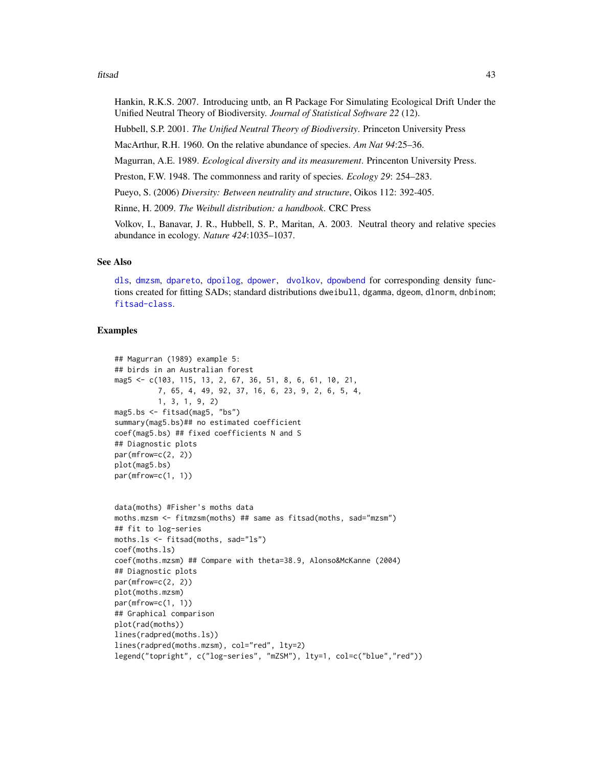#### <span id="page-42-0"></span>fitsad 43

Hankin, R.K.S. 2007. Introducing untb, an R Package For Simulating Ecological Drift Under the Unified Neutral Theory of Biodiversity. *Journal of Statistical Software 22* (12).

Hubbell, S.P. 2001. *The Unified Neutral Theory of Biodiversity*. Princeton University Press

MacArthur, R.H. 1960. On the relative abundance of species. *Am Nat 94*:25–36.

Magurran, A.E. 1989. *Ecological diversity and its measurement*. Princenton University Press.

Preston, F.W. 1948. The commonness and rarity of species. *Ecology 29*: 254–283.

Pueyo, S. (2006) *Diversity: Between neutrality and structure*, Oikos 112: 392-405.

Rinne, H. 2009. *The Weibull distribution: a handbook*. CRC Press

Volkov, I., Banavar, J. R., Hubbell, S. P., Maritan, A. 2003. Neutral theory and relative species abundance in ecology. *Nature 424*:1035–1037.

# See Also

[dls](#page-11-0), [dmzsm](#page-15-0), [dpareto](#page-17-0), [dpoilog](#page-20-0), [dpower](#page-26-0), [dvolkov](#page-30-0), [dpowbend](#page-24-0) for corresponding density functions created for fitting SADs; standard distributions dweibull, dgamma, dgeom, dlnorm, dnbinom; [fitsad-class](#page-43-0).

## Examples

```
## Magurran (1989) example 5:
## birds in an Australian forest
mag5 <- c(103, 115, 13, 2, 67, 36, 51, 8, 6, 61, 10, 21,
          7, 65, 4, 49, 92, 37, 16, 6, 23, 9, 2, 6, 5, 4,
          1, 3, 1, 9, 2)
mag5.bs <- fitsad(mag5, "bs")
summary(mag5.bs)## no estimated coefficient
coef(mag5.bs) ## fixed coefficients N and S
## Diagnostic plots
par(mfrow=c(2, 2))plot(mag5.bs)
par(mfrow=c(1, 1))data(moths) #Fisher's moths data
moths.mzsm <- fitmzsm(moths) ## same as fitsad(moths, sad="mzsm")
## fit to log-series
moths.ls <- fitsad(moths, sad="ls")
coef(moths.ls)
coef(moths.mzsm) ## Compare with theta=38.9, Alonso&McKanne (2004)
## Diagnostic plots
par(mfrow=c(2, 2))plot(moths.mzsm)
par(mfrow=c(1, 1))
## Graphical comparison
plot(rad(moths))
lines(radpred(moths.ls))
lines(radpred(moths.mzsm), col="red", lty=2)
legend("topright", c("log-series", "mZSM"), lty=1, col=c("blue","red"))
```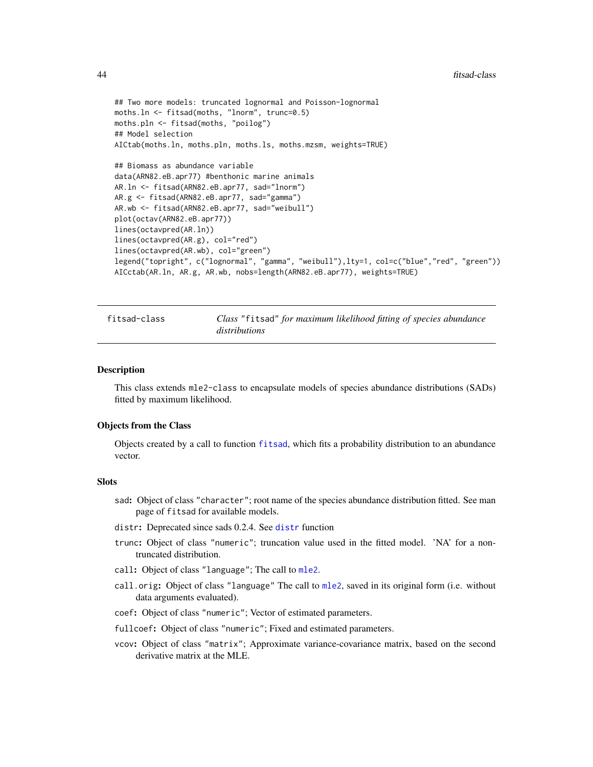```
## Two more models: truncated lognormal and Poisson-lognormal
moths.ln <- fitsad(moths, "lnorm", trunc=0.5)
moths.pln <- fitsad(moths, "poilog")
## Model selection
AICtab(moths.ln, moths.pln, moths.ls, moths.mzsm, weights=TRUE)
## Biomass as abundance variable
data(ARN82.eB.apr77) #benthonic marine animals
AR.ln <- fitsad(ARN82.eB.apr77, sad="lnorm")
AR.g <- fitsad(ARN82.eB.apr77, sad="gamma")
AR.wb <- fitsad(ARN82.eB.apr77, sad="weibull")
plot(octav(ARN82.eB.apr77))
lines(octavpred(AR.ln))
lines(octavpred(AR.g), col="red")
lines(octavpred(AR.wb), col="green")
legend("topright", c("lognormal", "gamma", "weibull"),lty=1, col=c("blue","red", "green"))
AICctab(AR.ln, AR.g, AR.wb, nobs=length(ARN82.eB.apr77), weights=TRUE)
```
<span id="page-43-0"></span>fitsad-class *Class* "fitsad" *for maximum likelihood fitting of species abundance distributions*

#### **Description**

This class extends mle2-class to encapsulate models of species abundance distributions (SADs) fitted by maximum likelihood.

## Objects from the Class

Objects created by a call to function [fitsad](#page-38-0), which fits a probability distribution to an abundance vector.

#### Slots

- sad: Object of class "character"; root name of the species abundance distribution fitted. See man page of fitsad for available models.
- distr: Deprecated since sads 0.2.4. See [distr](#page-10-0) function
- trunc: Object of class "numeric"; truncation value used in the fitted model. 'NA' for a nontruncated distribution.
- call: Object of class "language"; The call to [mle2](#page-0-0).
- call.orig: Object of class "language" The call to [mle2](#page-0-0), saved in its original form (i.e. without data arguments evaluated).
- coef: Object of class "numeric"; Vector of estimated parameters.
- fullcoef: Object of class "numeric"; Fixed and estimated parameters.
- vcov: Object of class "matrix"; Approximate variance-covariance matrix, based on the second derivative matrix at the MLE.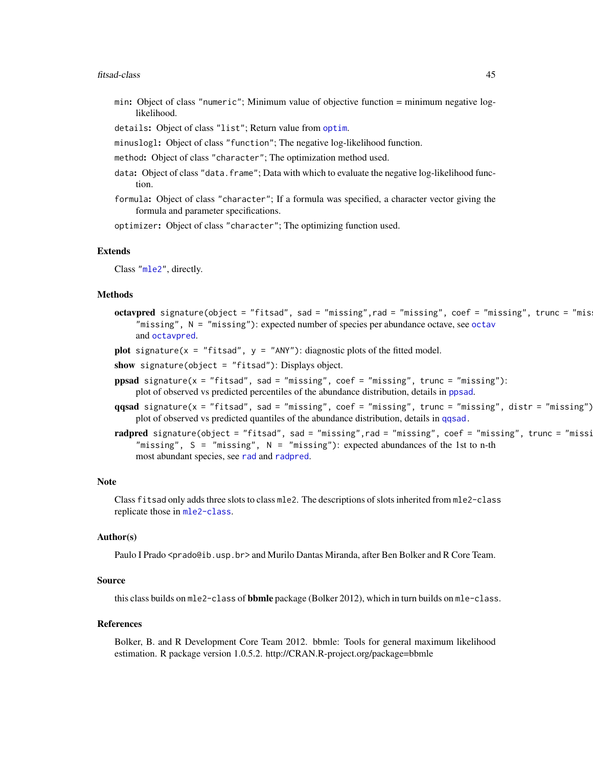#### <span id="page-44-0"></span>fitsad-class 45

- min: Object of class "numeric"; Minimum value of objective function = minimum negative loglikelihood.
- details: Object of class "list"; Return value from [optim](#page-0-0).
- minuslogl: Object of class "function"; The negative log-likelihood function.
- method: Object of class "character"; The optimization method used.
- data: Object of class "data. frame"; Data with which to evaluate the negative log-likelihood function.
- formula: Object of class "character"; If a formula was specified, a character vector giving the formula and parameter specifications.

optimizer: Object of class "character"; The optimizing function used.

# Extends

Class ["mle2"](#page-0-0), directly.

## Methods

- octavpred signature(object = "fitsad", sad = "missing", rad = "missing", coef = "missing", trunc = "mis "missing",  $N =$  "missing"): expected number of species per abundance [octav](#page-49-0)e, see octav and [octavpred](#page-50-0).
- plot signature( $x =$  "fitsad",  $y =$  "ANY"): diagnostic plots of the fitted model.
- show signature(object = "fitsad"): Displays object.
- ppsad signature(x = "fitsad", sad = "missing", coef = "missing", trunc = "missing"): plot of observed vs predicted percentiles of the abundance distribution, details in [ppsad](#page-55-0).
- $qqsad$  signature(x = "fitsad", sad = "missing", coef = "missing", trunc = "missing", distr = "missing") plot of observed vs predicted quantiles of the abundance distribution, details in [qqsad.](#page-58-0)
- radpred signature(object = "fitsad", sad = "missing",rad = "missing", coef = "missing", trunc = "missi "missing",  $S =$  "missing",  $N =$  "missing"): expected abundances of the 1st to n-th most abundant species, see [rad](#page-60-0) and [radpred](#page-63-0).

#### Note

Class fitsad only adds three slots to class mle2. The descriptions of slots inherited from mle2-class replicate those in [mle2-class](#page-0-0).

#### Author(s)

Paulo I Prado <prado@ib.usp.br> and Murilo Dantas Miranda, after Ben Bolker and R Core Team.

## Source

this class builds on mle2-class of **bbmle** package (Bolker 2012), which in turn builds on mle-class.

## References

Bolker, B. and R Development Core Team 2012. bbmle: Tools for general maximum likelihood estimation. R package version 1.0.5.2. http://CRAN.R-project.org/package=bbmle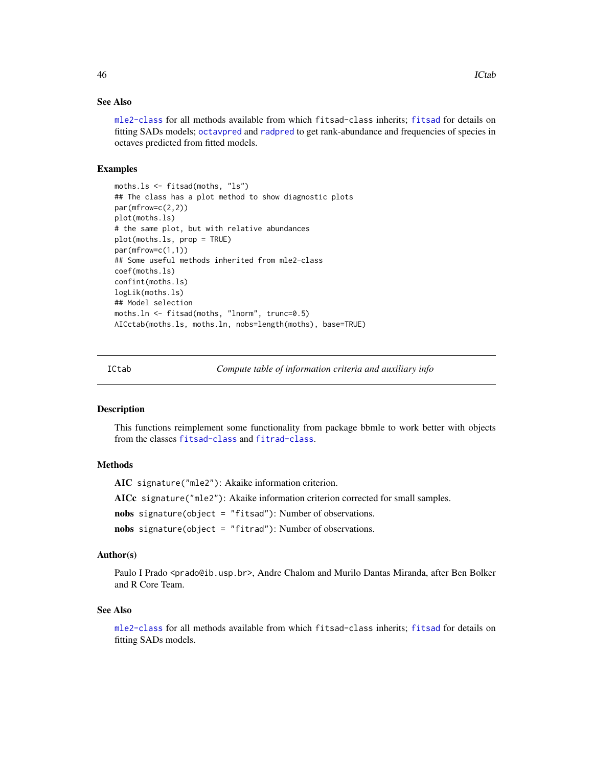## <span id="page-45-0"></span>See Also

[mle2-class](#page-0-0) for all methods available from which fitsad-class inherits; [fitsad](#page-38-0) for details on fitting SADs models; [octavpred](#page-50-0) and [radpred](#page-63-0) to get rank-abundance and frequencies of species in octaves predicted from fitted models.

## Examples

```
moths.ls <- fitsad(moths, "ls")
## The class has a plot method to show diagnostic plots
par(mfrow=c(2,2))
plot(moths.ls)
# the same plot, but with relative abundances
plot(moths.ls, prop = TRUE)
par(mfrow=c(1,1))
## Some useful methods inherited from mle2-class
coef(moths.ls)
confint(moths.ls)
logLik(moths.ls)
## Model selection
moths.ln <- fitsad(moths, "lnorm", trunc=0.5)
AICctab(moths.ls, moths.ln, nobs=length(moths), base=TRUE)
```
ICtab *Compute table of information criteria and auxiliary info*

# **Description**

This functions reimplement some functionality from package bbmle to work better with objects from the classes [fitsad-class](#page-43-0) and [fitrad-class](#page-36-0).

## Methods

AIC signature("mle2"): Akaike information criterion.

AICc signature("mle2"): Akaike information criterion corrected for small samples.

nobs signature(object = "fitsad"): Number of observations.

nobs signature(object = "fitrad"): Number of observations.

## Author(s)

Paulo I Prado <prado@ib.usp.br>, Andre Chalom and Murilo Dantas Miranda, after Ben Bolker and R Core Team.

#### See Also

[mle2-class](#page-0-0) for all methods available from which fitsad-class inherits; [fitsad](#page-38-0) for details on fitting SADs models.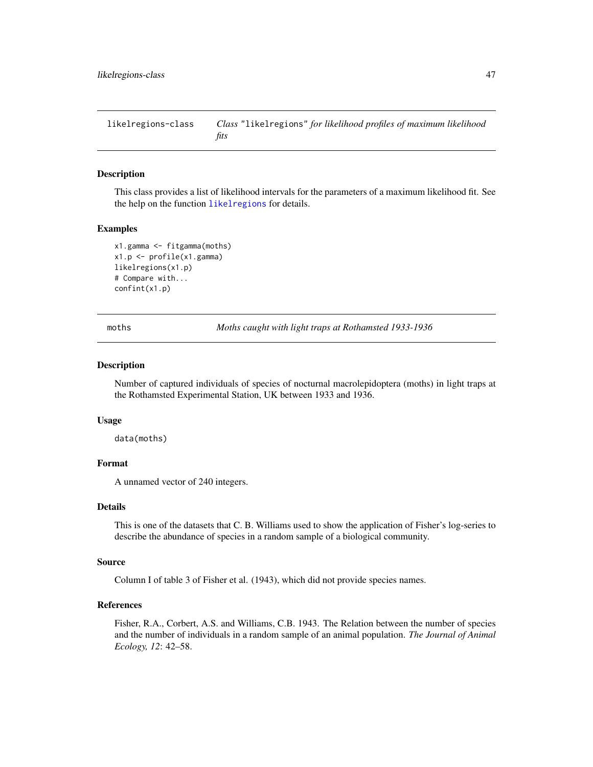<span id="page-46-0"></span>likelregions-class *Class* "likelregions" *for likelihood profiles of maximum likelihood fits*

## Description

This class provides a list of likelihood intervals for the parameters of a maximum likelihood fit. See the help on the function [likelregions](#page-53-0) for details.

#### Examples

```
x1.gamma <- fitgamma(moths)
x1.p <- profile(x1.gamma)
likelregions(x1.p)
# Compare with...
confint(x1.p)
```
moths *Moths caught with light traps at Rothamsted 1933-1936*

#### Description

Number of captured individuals of species of nocturnal macrolepidoptera (moths) in light traps at the Rothamsted Experimental Station, UK between 1933 and 1936.

#### Usage

data(moths)

# Format

A unnamed vector of 240 integers.

## Details

This is one of the datasets that C. B. Williams used to show the application of Fisher's log-series to describe the abundance of species in a random sample of a biological community.

#### Source

Column I of table 3 of Fisher et al. (1943), which did not provide species names.

## References

Fisher, R.A., Corbert, A.S. and Williams, C.B. 1943. The Relation between the number of species and the number of individuals in a random sample of an animal population. *The Journal of Animal Ecology, 12*: 42–58.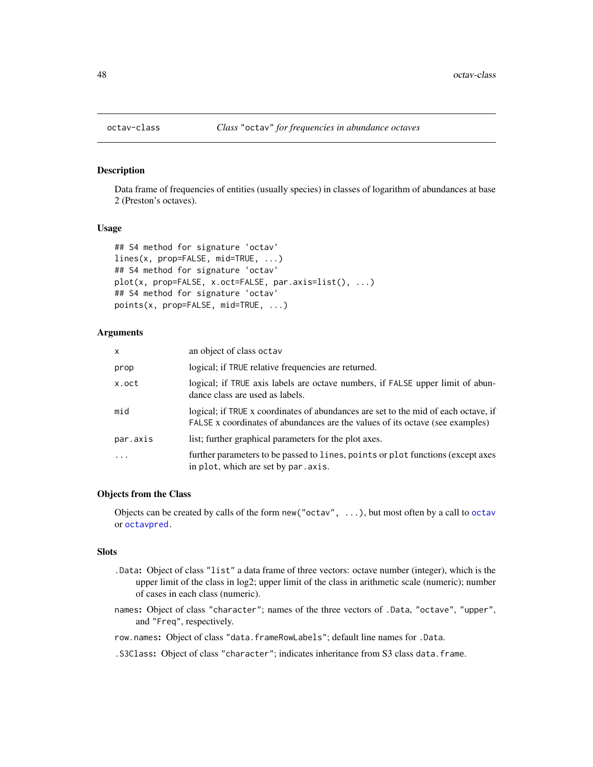# Description

Data frame of frequencies of entities (usually species) in classes of logarithm of abundances at base 2 (Preston's octaves).

# Usage

```
## S4 method for signature 'octav'
lines(x, prop=FALSE, mid=TRUE, ...)
## S4 method for signature 'octav'
plot(x, prop=FALSE, x.oct=FALSE, par.axis=list(), ...)
## S4 method for signature 'octav'
points(x, prop=FALSE, mid=TRUE, ...)
```
## Arguments

| $\mathsf{x}$ | an object of class octav                                                                                                                                            |
|--------------|---------------------------------------------------------------------------------------------------------------------------------------------------------------------|
| prop         | logical; if TRUE relative frequencies are returned.                                                                                                                 |
| x.oct        | logical; if TRUE axis labels are octave numbers, if FALSE upper limit of abun-<br>dance class are used as labels.                                                   |
| mid          | logical; if TRUE x coordinates of abundances are set to the mid of each octave, if<br>FALSE x coordinates of abundances are the values of its octave (see examples) |
| par.axis     | list; further graphical parameters for the plot axes.                                                                                                               |
| $\cdot$      | further parameters to be passed to lines, points or plot functions (except axes<br>in plot, which are set by par. axis.                                             |

## Objects from the Class

Objects can be created by calls of the form new("octav", ...), but most often by a call to [octav](#page-49-0) or [octavpred.](#page-50-0)

#### **Slots**

- .Data: Object of class "list" a data frame of three vectors: octave number (integer), which is the upper limit of the class in log2; upper limit of the class in arithmetic scale (numeric); number of cases in each class (numeric).
- names: Object of class "character"; names of the three vectors of .Data, "octave", "upper", and "Freq", respectively.
- row.names: Object of class "data.frameRowLabels"; default line names for .Data.

.S3Class: Object of class "character"; indicates inheritance from S3 class data.frame.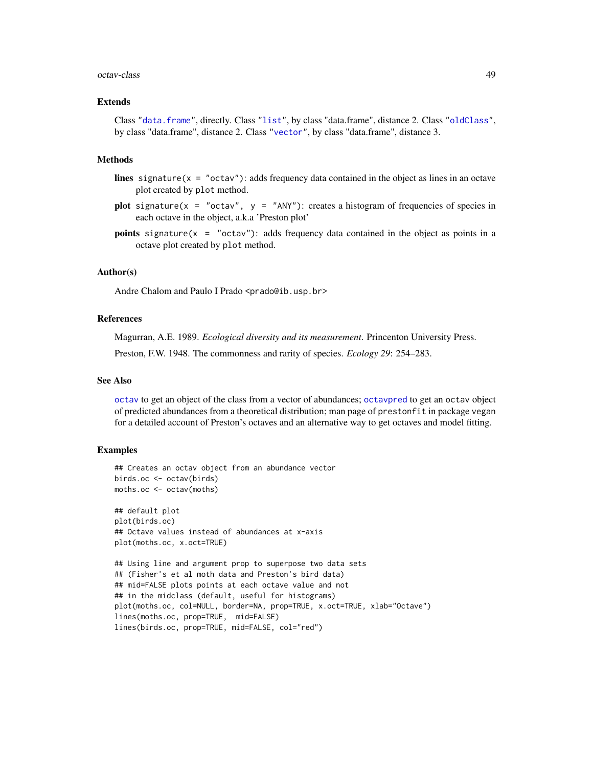#### <span id="page-48-0"></span>octav-class 49

#### Extends

Class ["data.frame"](#page-0-0), directly. Class ["list"](#page-0-0), by class "data.frame", distance 2. Class ["oldClass"](#page-0-0), by class "data.frame", distance 2. Class ["vector"](#page-0-0), by class "data.frame", distance 3.

## Methods

- lines signature( $x = "octav")$ : adds frequency data contained in the object as lines in an octave plot created by plot method.
- plot signature( $x = "octav", y = "ANY")$ : creates a histogram of frequencies of species in each octave in the object, a.k.a 'Preston plot'
- **points** signature( $x = "octav")$ : adds frequency data contained in the object as points in a octave plot created by plot method.

## Author(s)

Andre Chalom and Paulo I Prado <prado@ib.usp.br>

## References

Magurran, A.E. 1989. *Ecological diversity and its measurement*. Princenton University Press. Preston, F.W. 1948. The commonness and rarity of species. *Ecology 29*: 254–283.

#### See Also

[octav](#page-49-0) to get an object of the class from a vector of abundances; [octavpred](#page-50-0) to get an octav object of predicted abundances from a theoretical distribution; man page of prestonfit in package vegan for a detailed account of Preston's octaves and an alternative way to get octaves and model fitting.

## Examples

```
## Creates an octav object from an abundance vector
birds.oc <- octav(birds)
moths.oc <- octav(moths)
## default plot
plot(birds.oc)
## Octave values instead of abundances at x-axis
plot(moths.oc, x.oct=TRUE)
## Using line and argument prop to superpose two data sets
## (Fisher's et al moth data and Preston's bird data)
## mid=FALSE plots points at each octave value and not
## in the midclass (default, useful for histograms)
plot(moths.oc, col=NULL, border=NA, prop=TRUE, x.oct=TRUE, xlab="Octave")
lines(moths.oc, prop=TRUE, mid=FALSE)
lines(birds.oc, prop=TRUE, mid=FALSE, col="red")
```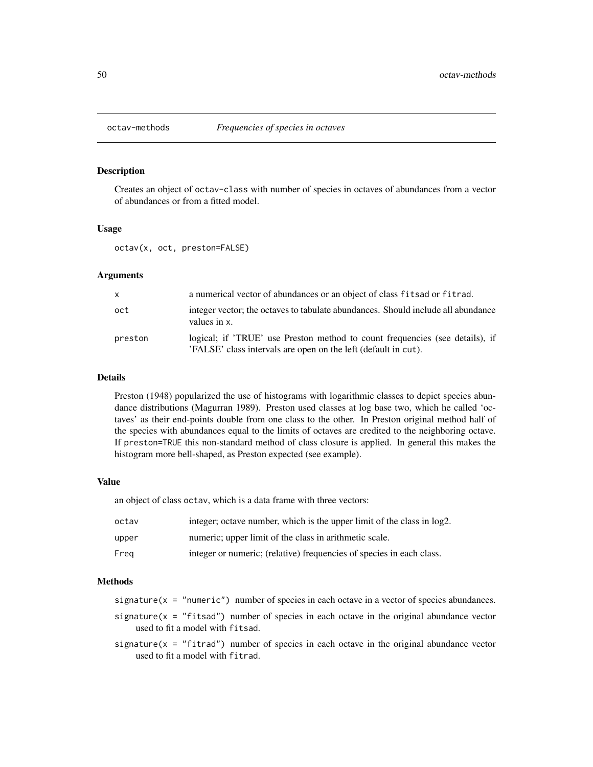<span id="page-49-1"></span>

# <span id="page-49-0"></span>**Description**

Creates an object of octav-class with number of species in octaves of abundances from a vector of abundances or from a fitted model.

# Usage

octav(x, oct, preston=FALSE)

#### **Arguments**

| $\mathsf{x}$ | a numerical vector of abundances or an object of class fits ad or fit rad.                                                                     |
|--------------|------------------------------------------------------------------------------------------------------------------------------------------------|
| oct          | integer vector; the octaves to tabulate abundances. Should include all abundance<br>values in x.                                               |
| preston      | logical; if 'TRUE' use Preston method to count frequencies (see details), if<br>'FALSE' class intervals are open on the left (default in cut). |

# Details

Preston (1948) popularized the use of histograms with logarithmic classes to depict species abundance distributions (Magurran 1989). Preston used classes at log base two, which he called 'octaves' as their end-points double from one class to the other. In Preston original method half of the species with abundances equal to the limits of octaves are credited to the neighboring octave. If preston=TRUE this non-standard method of class closure is applied. In general this makes the histogram more bell-shaped, as Preston expected (see example).

## Value

an object of class octav, which is a data frame with three vectors:

| octav | integer; octave number, which is the upper limit of the class in log2. |
|-------|------------------------------------------------------------------------|
| upper | numeric; upper limit of the class in arithmetic scale.                 |
| Frea  | integer or numeric; (relative) frequencies of species in each class.   |

# Methods

signature( $x = "numeric")$  number of species in each octave in a vector of species abundances.

- signature( $x =$  "fitsad") number of species in each octave in the original abundance vector used to fit a model with fitsad.
- signature( $x =$  "fitrad") number of species in each octave in the original abundance vector used to fit a model with fitrad.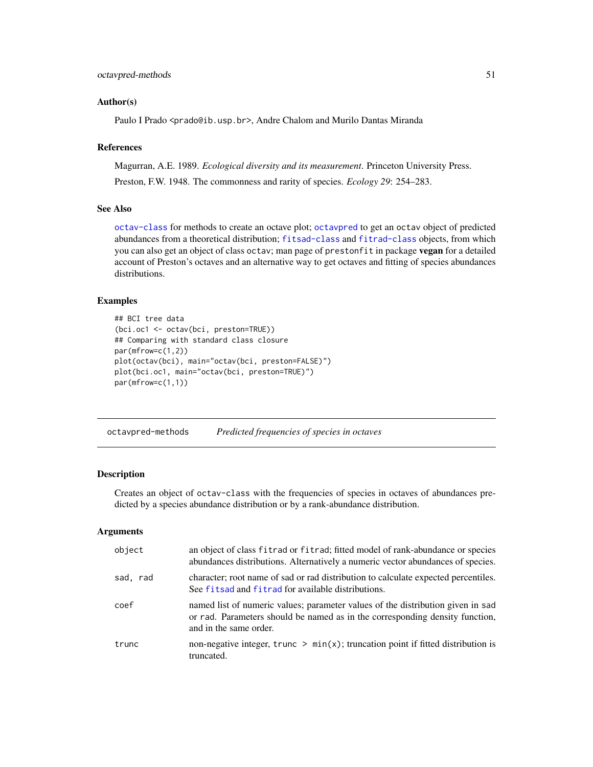# <span id="page-50-1"></span>octavpred-methods 51

#### Author(s)

Paulo I Prado <prado@ib.usp.br>, Andre Chalom and Murilo Dantas Miranda

## References

Magurran, A.E. 1989. *Ecological diversity and its measurement*. Princeton University Press. Preston, F.W. 1948. The commonness and rarity of species. *Ecology 29*: 254–283.

# See Also

[octav-class](#page-47-0) for methods to create an octave plot; [octavpred](#page-50-0) to get an octav object of predicted abundances from a theoretical distribution; [fitsad-class](#page-43-0) and [fitrad-class](#page-36-0) objects, from which you can also get an object of class octav; man page of prestonfit in package vegan for a detailed account of Preston's octaves and an alternative way to get octaves and fitting of species abundances distributions.

## Examples

```
## BCI tree data
(bci.oc1 <- octav(bci, preston=TRUE))
## Comparing with standard class closure
par(mfrow=c(1,2))
plot(octav(bci), main="octav(bci, preston=FALSE)")
plot(bci.oc1, main="octav(bci, preston=TRUE)")
par(mfrow=c(1,1))
```
octavpred-methods *Predicted frequencies of species in octaves*

# <span id="page-50-0"></span>**Description**

Creates an object of octav-class with the frequencies of species in octaves of abundances predicted by a species abundance distribution or by a rank-abundance distribution.

#### Arguments

| object   | an object of class fitrad or fitrad; fitted model of rank-abundance or species<br>abundances distributions. Alternatively a numeric vector abundances of species.                         |
|----------|-------------------------------------------------------------------------------------------------------------------------------------------------------------------------------------------|
| sad, rad | character; root name of sad or rad distribution to calculate expected percentiles.<br>See fits ad and fitrad for available distributions.                                                 |
| coef     | named list of numeric values; parameter values of the distribution given in sad<br>or rad. Parameters should be named as in the corresponding density function,<br>and in the same order. |
| trunc    | non-negative integer, trunc $> min(x)$ ; truncation point if fitted distribution is<br>truncated.                                                                                         |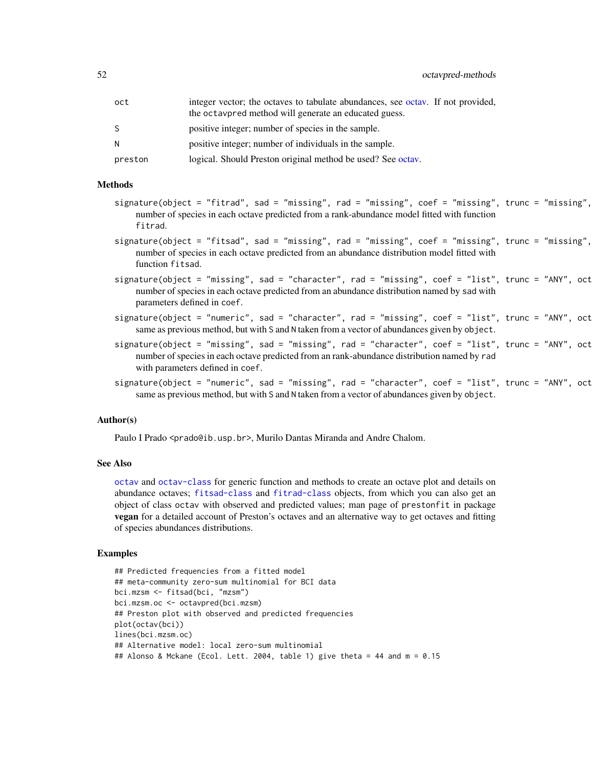<span id="page-51-0"></span>

| oct     | integer vector; the octaves to tabulate abundances, see octav. If not provided,<br>the octavpred method will generate an educated guess. |
|---------|------------------------------------------------------------------------------------------------------------------------------------------|
| S.      | positive integer; number of species in the sample.                                                                                       |
| N       | positive integer; number of individuals in the sample.                                                                                   |
| preston | logical. Should Preston original method be used? See octav.                                                                              |

#### Methods

- $signature(object = "fitrad", sad = "missing", rad = "missing", code = "missing", core; true = "missing", true = "missing",$ number of species in each octave predicted from a rank-abundance model fitted with function fitrad.
- $signature(object = "fitsad", sad = "missing", rad = "missing", code = "missing", coref = "missing", trunc = "missing",$ number of species in each octave predicted from an abundance distribution model fitted with function fitsad.
- $signature(object = "missing", sad = "character", rad = "missing", red = "missing", coeff = "list", trunc = "ANY", oct$ number of species in each octave predicted from an abundance distribution named by sad with parameters defined in coef.
- $signature(object = "numeric", sad = "character", rad = "missing", coef = "list", trunc = "ANY", oct$ same as previous method, but with S and N taken from a vector of abundances given by object.
- $signature(object = "missing", sad = "missing", rad = "character", coef = "list", trunc = "ANY", oct$ number of species in each octave predicted from an rank-abundance distribution named by rad with parameters defined in coef.
- $signature(object = "numeric", sad = "missing", rad = "character", code = "linear", core = "list", trunc = "ANY", oct$ same as previous method, but with S and N taken from a vector of abundances given by object.

## Author(s)

Paulo I Prado <prado@ib.usp.br>, Murilo Dantas Miranda and Andre Chalom.

#### See Also

[octav](#page-49-0) and [octav-class](#page-47-0) for generic function and methods to create an octave plot and details on abundance octaves; [fitsad-class](#page-43-0) and [fitrad-class](#page-36-0) objects, from which you can also get an object of class octav with observed and predicted values; man page of prestonfit in package vegan for a detailed account of Preston's octaves and an alternative way to get octaves and fitting of species abundances distributions.

#### Examples

```
## Predicted frequencies from a fitted model
## meta-community zero-sum multinomial for BCI data
bci.mzsm <- fitsad(bci, "mzsm")
bci.mzsm.oc <- octavpred(bci.mzsm)
## Preston plot with observed and predicted frequencies
plot(octav(bci))
lines(bci.mzsm.oc)
## Alternative model: local zero-sum multinomial
## Alonso & Mckane (Ecol. Lett. 2004, table 1) give theta = 44 and m = 0.15
```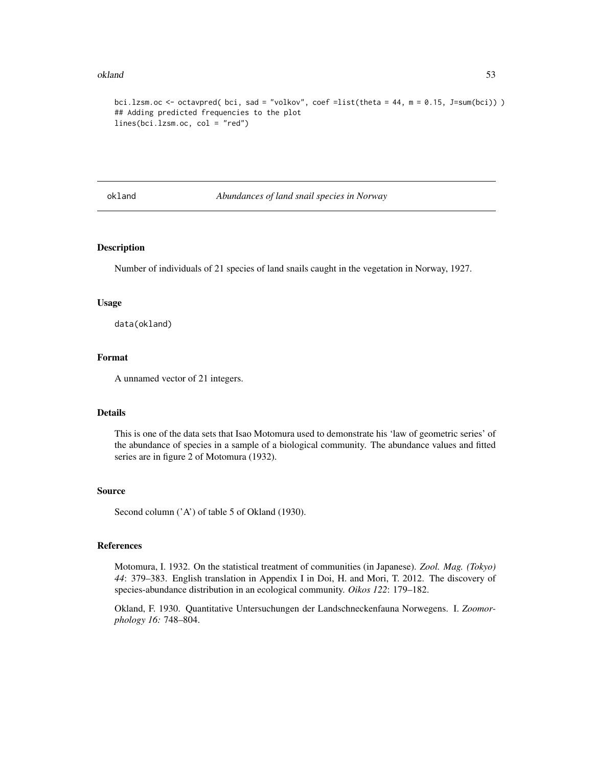#### <span id="page-52-0"></span>okland 53

```
bci.lzsm.oc <- octavpred( bci, sad = "volkov", coef =list(theta = 44, m = 0.15, J=sum(bci)) )
## Adding predicted frequencies to the plot
lines(bci.lzsm.oc, col = "red")
```
okland *Abundances of land snail species in Norway*

## Description

Number of individuals of 21 species of land snails caught in the vegetation in Norway, 1927.

## Usage

data(okland)

# Format

A unnamed vector of 21 integers.

# Details

This is one of the data sets that Isao Motomura used to demonstrate his 'law of geometric series' of the abundance of species in a sample of a biological community. The abundance values and fitted series are in figure 2 of Motomura (1932).

#### Source

Second column ('A') of table 5 of Okland (1930).

#### References

Motomura, I. 1932. On the statistical treatment of communities (in Japanese). *Zool. Mag. (Tokyo) 44*: 379–383. English translation in Appendix I in Doi, H. and Mori, T. 2012. The discovery of species-abundance distribution in an ecological community. *Oikos 122*: 179–182.

Okland, F. 1930. Quantitative Untersuchungen der Landschneckenfauna Norwegens. I. *Zoomorphology 16:* 748–804.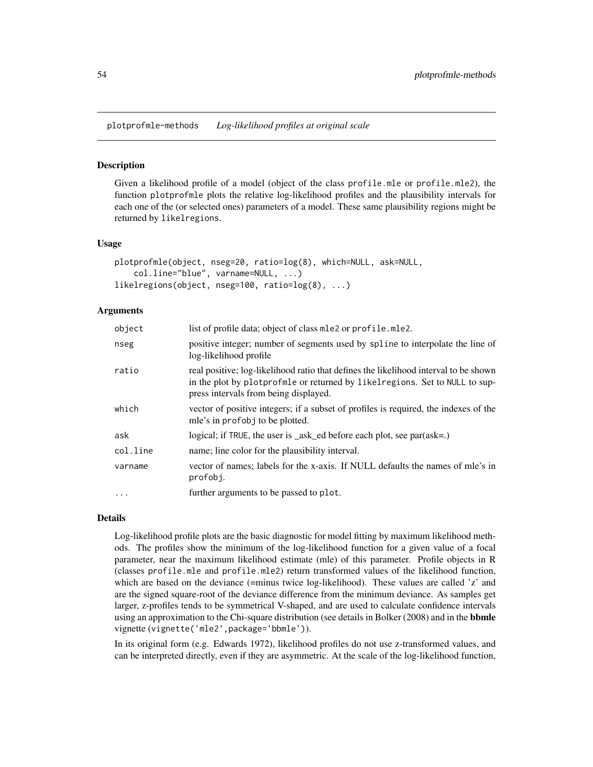<span id="page-53-1"></span>plotprofmle-methods *Log-likelihood profiles at original scale*

## <span id="page-53-0"></span>Description

Given a likelihood profile of a model (object of the class profile.mle or profile.mle2), the function plotprofmle plots the relative log-likelihood profiles and the plausibility intervals for each one of the (or selected ones) parameters of a model. These same plausibility regions might be returned by likelregions.

# Usage

```
plotprofmle(object, nseg=20, ratio=log(8), which=NULL, ask=NULL,
   col.line="blue", varname=NULL, ...)
likelregions(object, nseg=100, ratio=log(8), ...)
```
#### Arguments

| object    | list of profile data; object of class mle2 or profile.mle2.                                                                                                                                                  |
|-----------|--------------------------------------------------------------------------------------------------------------------------------------------------------------------------------------------------------------|
| nseg      | positive integer; number of segments used by spline to interpolate the line of<br>log-likelihood profile                                                                                                     |
| ratio     | real positive; log-likelihood ratio that defines the likelihood interval to be shown<br>in the plot by plotprofmle or returned by likelregions. Set to NULL to sup-<br>press intervals from being displayed. |
| which     | vector of positive integers; if a subset of profiles is required, the indexes of the<br>mle's in profobj to be plotted.                                                                                      |
| ask       | logical; if TRUE, the user is $\_\$ ask $\_\$ ed before each plot, see par $\left(\text{ask}=\right)$                                                                                                        |
| col.line  | name; line color for the plausibility interval.                                                                                                                                                              |
| varname   | vector of names; labels for the x-axis. If NULL defaults the names of mle's in<br>profobj.                                                                                                                   |
| $\ddotsc$ | further arguments to be passed to plot.                                                                                                                                                                      |

## Details

Log-likelihood profile plots are the basic diagnostic for model fitting by maximum likelihood methods. The profiles show the minimum of the log-likelihood function for a given value of a focal parameter, near the maximum likelihood estimate (mle) of this parameter. Profile objects in R (classes profile.mle and profile.mle2) return transformed values of the likelihood function, which are based on the deviance (=minus twice log-likelihood). These values are called 'z' and are the signed square-root of the deviance difference from the minimum deviance. As samples get larger, z-profiles tends to be symmetrical V-shaped, and are used to calculate confidence intervals using an approximation to the Chi-square distribution (see details in Bolker (2008) and in the **bbmle** vignette (vignette('mle2',package='bbmle')).

In its original form (e.g. Edwards 1972), likelihood profiles do not use z-transformed values, and can be interpreted directly, even if they are asymmetric. At the scale of the log-likelihood function,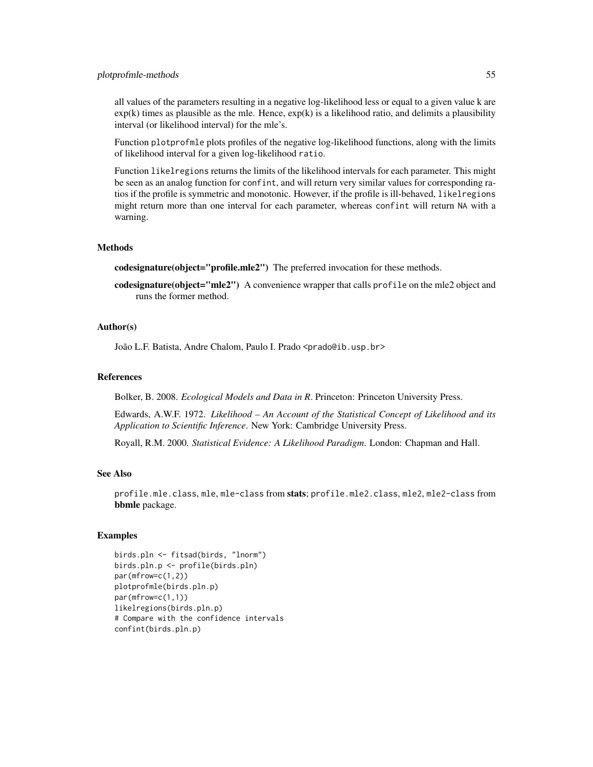#### plotprofmle-methods 55

all values of the parameters resulting in a negative log-likelihood less or equal to a given value k are  $exp(k)$  times as plausible as the mle. Hence,  $exp(k)$  is a likelihood ratio, and delimits a plausibility interval (or likelihood interval) for the mle's.

Function plotprofmle plots profiles of the negative log-likelihood functions, along with the limits of likelihood interval for a given log-likelihood ratio.

Function likelregions returns the limits of the likelihood intervals for each parameter. This might be seen as an analog function for confint, and will return very similar values for corresponding ratios if the profile is symmetric and monotonic. However, if the profile is ill-behaved, likelregions might return more than one interval for each parameter, whereas confint will return NA with a warning.

#### **Methods**

codesignature(object="profile.mle2") The preferred invocation for these methods.

codesignature(object="mle2") A convenience wrapper that calls profile on the mle2 object and runs the former method.

#### Author(s)

João L.F. Batista, Andre Chalom, Paulo I. Prado <prado@ib.usp.br>

## References

Bolker, B. 2008. *Ecological Models and Data in R*. Princeton: Princeton University Press.

Edwards, A.W.F. 1972. *Likelihood – An Account of the Statistical Concept of Likelihood and its Application to Scientific Inference*. New York: Cambridge University Press.

Royall, R.M. 2000. *Statistical Evidence: A Likelihood Paradigm*. London: Chapman and Hall.

# See Also

profile.mle.class, mle, mle-class from stats; profile.mle2.class, mle2, mle2-class from bbmle package.

## Examples

```
birds.pln <- fitsad(birds, "lnorm")
birds.pln.p <- profile(birds.pln)
par(mfrow=c(1,2))
plotprofmle(birds.pln.p)
par(mfrow=c(1,1))
likelregions(birds.pln.p)
# Compare with the confidence intervals
confint(birds.pln.p)
```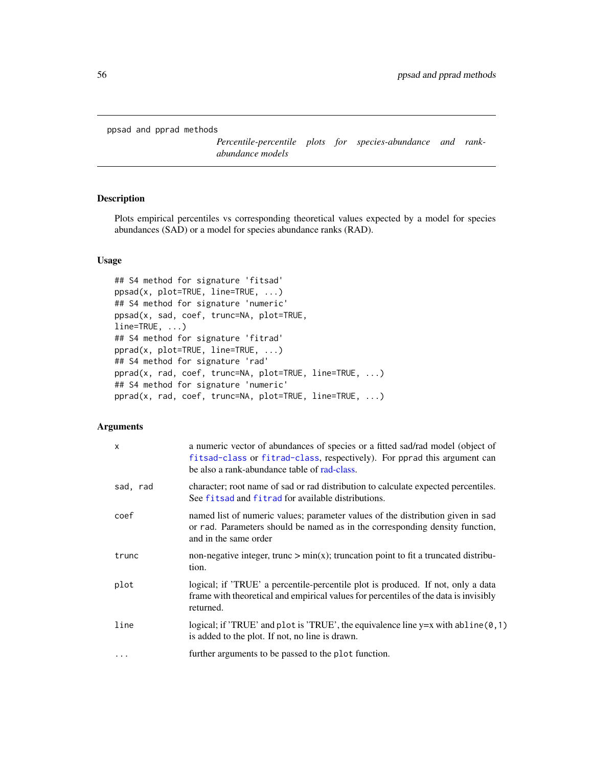<span id="page-55-1"></span>ppsad and pprad methods

*Percentile-percentile plots for species-abundance and rankabundance models*

# <span id="page-55-0"></span>Description

Plots empirical percentiles vs corresponding theoretical values expected by a model for species abundances (SAD) or a model for species abundance ranks (RAD).

# Usage

```
## S4 method for signature 'fitsad'
ppsad(x, plot=TRUE, line=TRUE, ...)
## S4 method for signature 'numeric'
ppsad(x, sad, coef, trunc=NA, plot=TRUE,
line=TRUE, ...)
## S4 method for signature 'fitrad'
pprad(x, plot=TRUE, line=TRUE, ...)
## S4 method for signature 'rad'
pprad(x, rad, coef, trunc=NA, plot=TRUE, line=TRUE, ...)
## S4 method for signature 'numeric'
pprad(x, rad, coef, trunc=NA, plot=TRUE, line=TRUE, ...)
```
# Arguments

| X        | a numeric vector of abundances of species or a fitted sad/rad model (object of<br>fitsad-class or fitrad-class, respectively). For pprad this argument can<br>be also a rank-abundance table of rad-class. |
|----------|------------------------------------------------------------------------------------------------------------------------------------------------------------------------------------------------------------|
| sad, rad | character; root name of sad or rad distribution to calculate expected percentiles.<br>See fitsad and fitrad for available distributions.                                                                   |
| coef     | named list of numeric values; parameter values of the distribution given in sad<br>or rad. Parameters should be named as in the corresponding density function,<br>and in the same order                   |
| trunc    | non-negative integer, trunc $> min(x)$ ; truncation point to fit a truncated distribu-<br>tion.                                                                                                            |
| plot     | logical; if 'TRUE' a percentile-percentile plot is produced. If not, only a data<br>frame with theoretical and empirical values for percentiles of the data is invisibly<br>returned.                      |
| line     | logical; if 'TRUE' and plot is 'TRUE', the equivalence line $y=x$ with abline $(0,1)$<br>is added to the plot. If not, no line is drawn.                                                                   |
| $\cdots$ | further arguments to be passed to the plot function.                                                                                                                                                       |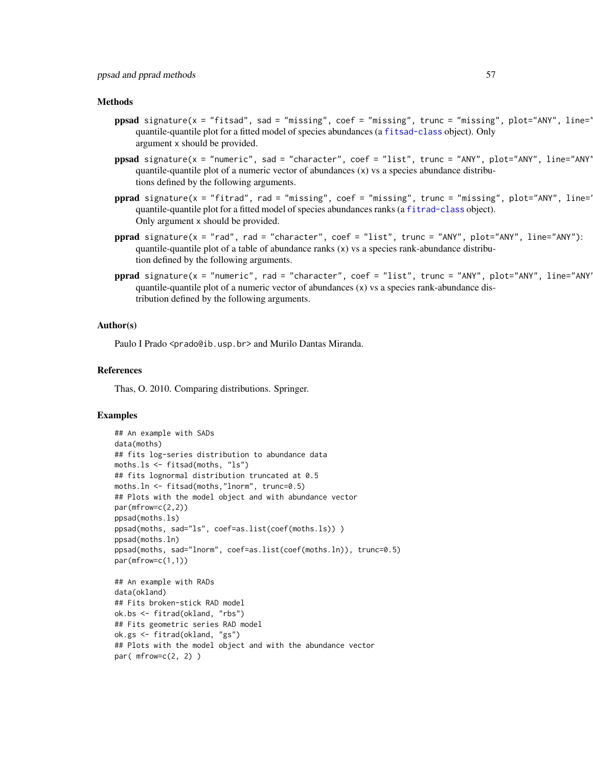#### Methods

- ppsad signature(x = "fitsad", sad = "missing", coef = "missing", trunc = "missing", plot="ANY", line=' quantile-quantile plot for a fitted model of species abundances (a [fitsad-class](#page-43-0) object). Only argument x should be provided.
- ppsad signature(x = "numeric", sad = "character", coef = "list", trunc = "ANY", plot="ANY", line="ANY quantile-quantile plot of a numeric vector of abundances  $(x)$  vs a species abundance distributions defined by the following arguments.
- pprad signature(x = "fitrad", rad = "missing", coef = "missing", trunc = "missing", plot="ANY", line=" quantile-quantile plot for a fitted model of species abundances ranks (a [fitrad-class](#page-36-0) object). Only argument x should be provided.
- pprad signature(x = "rad", rad = "character", coef = "list", trunc = "ANY", plot="ANY", line="ANY"): quantile-quantile plot of a table of abundance ranks  $(x)$  vs a species rank-abundance distribution defined by the following arguments.
- pprad signature(x = "numeric", rad = "character", coef = "list", trunc = "ANY", plot="ANY", line="ANY" quantile-quantile plot of a numeric vector of abundances  $(x)$  vs a species rank-abundance distribution defined by the following arguments.

## Author(s)

Paulo I Prado <prado@ib.usp.br> and Murilo Dantas Miranda.

#### References

Thas, O. 2010. Comparing distributions. Springer.

## Examples

```
## An example with SADs
data(moths)
## fits log-series distribution to abundance data
moths.ls <- fitsad(moths, "ls")
## fits lognormal distribution truncated at 0.5
moths.ln <- fitsad(moths,"lnorm", trunc=0.5)
## Plots with the model object and with abundance vector
par(mfrow=c(2,2))
ppsad(moths.ls)
ppsad(moths, sad="ls", coef=as.list(coef(moths.ls)) )
ppsad(moths.ln)
ppsad(moths, sad="lnorm", coef=as.list(coef(moths.ln)), trunc=0.5)
par(mfrow=c(1,1))
## An example with RADs
data(okland)
## Fits broken-stick RAD model
ok.bs <- fitrad(okland, "rbs")
## Fits geometric series RAD model
ok.gs <- fitrad(okland, "gs")
## Plots with the model object and with the abundance vector
par(mfrow=c(2, 2))
```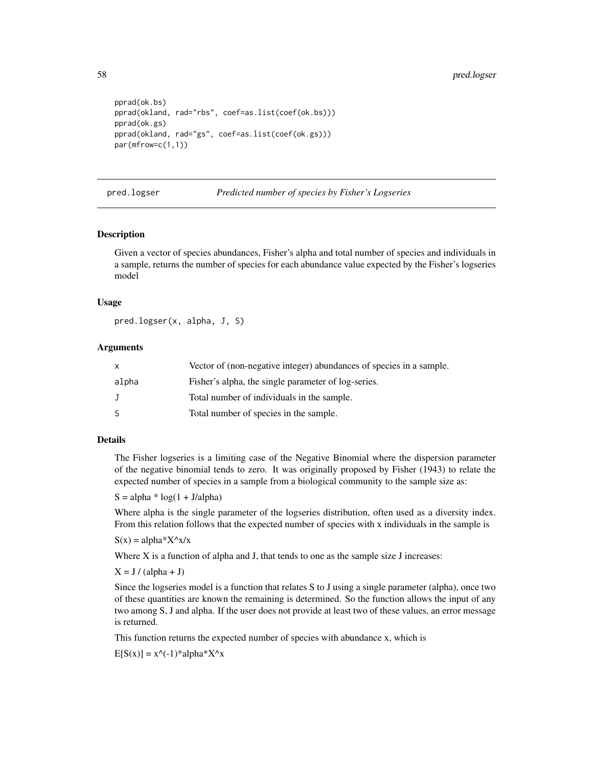```
pprad(ok.bs)
pprad(okland, rad="rbs", coef=as.list(coef(ok.bs)))
pprad(ok.gs)
pprad(okland, rad="gs", coef=as.list(coef(ok.gs)))
par(mfrow=c(1,1))
```
pred.logser *Predicted number of species by Fisher's Logseries*

## Description

Given a vector of species abundances, Fisher's alpha and total number of species and individuals in a sample, returns the number of species for each abundance value expected by the Fisher's logseries model

# Usage

pred.logser(x, alpha, J, S)

## Arguments

| $\mathsf{x}$ | Vector of (non-negative integer) abundances of species in a sample. |
|--------------|---------------------------------------------------------------------|
| alpha        | Fisher's alpha, the single parameter of log-series.                 |
| $\mathbf{J}$ | Total number of individuals in the sample.                          |
| <sup>S</sup> | Total number of species in the sample.                              |

## Details

The Fisher logseries is a limiting case of the Negative Binomial where the dispersion parameter of the negative binomial tends to zero. It was originally proposed by Fisher (1943) to relate the expected number of species in a sample from a biological community to the sample size as:

 $S = alpha * log(1 + J/alpha)$ 

Where alpha is the single parameter of the logseries distribution, often used as a diversity index. From this relation follows that the expected number of species with x individuals in the sample is

 $S(x) = alpha*X^x/x$ 

Where X is a function of alpha and J, that tends to one as the sample size J increases:

 $X = J / (alpha + J)$ 

Since the logseries model is a function that relates S to J using a single parameter (alpha), once two of these quantities are known the remaining is determined. So the function allows the input of any two among S, J and alpha. If the user does not provide at least two of these values, an error message is returned.

This function returns the expected number of species with abundance x, which is

 $E[S(x)] = x^{\wedge}(-1)^*$ alpha $*X^{\wedge}x$ 

<span id="page-57-0"></span>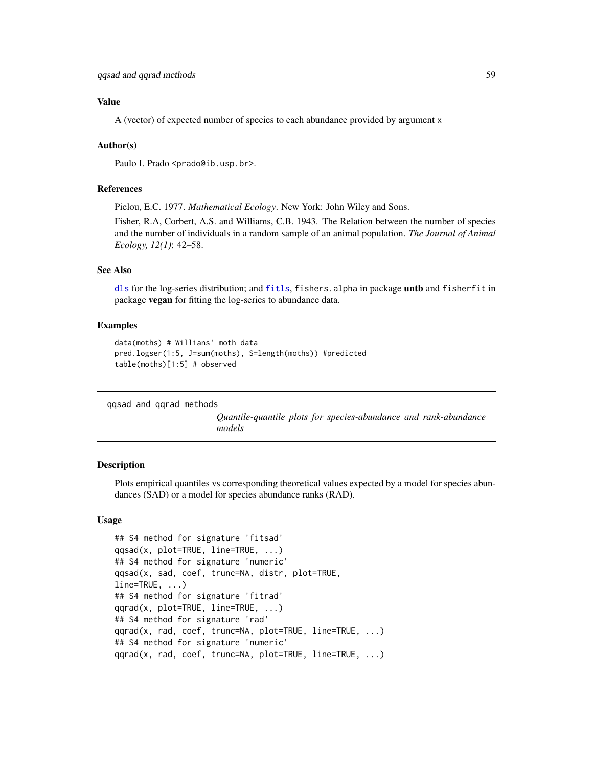# <span id="page-58-1"></span>Value

A (vector) of expected number of species to each abundance provided by argument x

#### Author(s)

Paulo I. Prado <prado@ib.usp.br>.

#### References

Pielou, E.C. 1977. *Mathematical Ecology*. New York: John Wiley and Sons.

Fisher, R.A, Corbert, A.S. and Williams, C.B. 1943. The Relation between the number of species and the number of individuals in a random sample of an animal population. *The Journal of Animal Ecology, 12(1)*: 42–58.

## See Also

[dls](#page-11-0) for the log-series distribution; and [fitls](#page-38-1), fishers.alpha in package untb and fisherfit in package vegan for fitting the log-series to abundance data.

## Examples

```
data(moths) # Willians' moth data
pred.logser(1:5, J=sum(moths), S=length(moths)) #predicted
table(moths)[1:5] # observed
```
qqsad and qqrad methods

*Quantile-quantile plots for species-abundance and rank-abundance models*

#### <span id="page-58-0"></span>Description

Plots empirical quantiles vs corresponding theoretical values expected by a model for species abundances (SAD) or a model for species abundance ranks (RAD).

## Usage

```
## S4 method for signature 'fitsad'
qqsad(x, plot=TRUE, line=TRUE, ...)
## S4 method for signature 'numeric'
qqsad(x, sad, coef, trunc=NA, distr, plot=TRUE,
line=TRUE, ...)
## S4 method for signature 'fitrad'
qqrad(x, plot=TRUE, line=TRUE, ...)
## S4 method for signature 'rad'
qqrad(x, rad, coef, trunc=NA, plot=TRUE, line=TRUE, ...)
## S4 method for signature 'numeric'
qqrad(x, rad, coef, trunc=NA, plot=TRUE, line=TRUE, ...)
```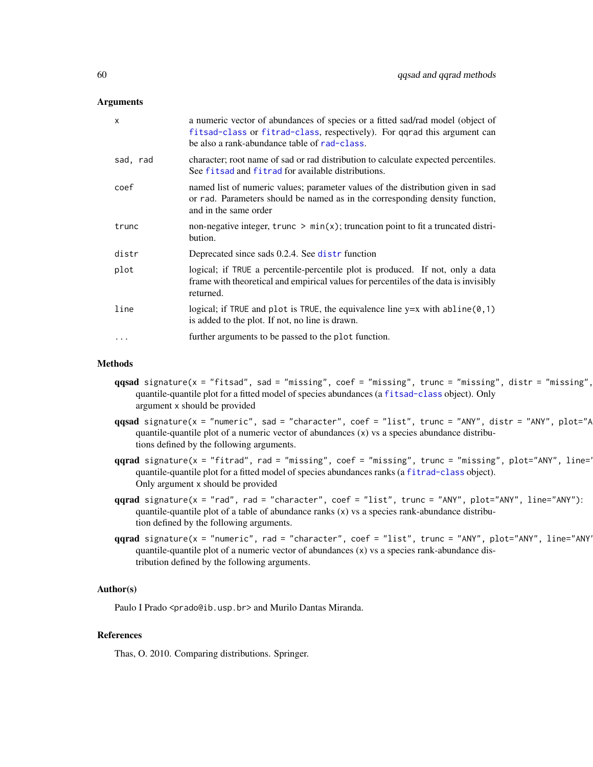#### <span id="page-59-0"></span>Arguments

| $\times$ | a numeric vector of abundances of species or a fitted sad/rad model (object of<br>fitsad-class or fitrad-class, respectively). For qqrad this argument can<br>be also a rank-abundance table of rad-class. |
|----------|------------------------------------------------------------------------------------------------------------------------------------------------------------------------------------------------------------|
| sad, rad | character; root name of sad or rad distribution to calculate expected percentiles.<br>See fitsad and fitrad for available distributions.                                                                   |
| coef     | named list of numeric values; parameter values of the distribution given in sad<br>or rad. Parameters should be named as in the corresponding density function,<br>and in the same order                   |
| trunc    | non-negative integer, trunc $\geq \min(x)$ ; truncation point to fit a truncated distri-<br>bution.                                                                                                        |
| distr    | Deprecated since sads 0.2.4. See distr function                                                                                                                                                            |
| plot     | logical; if TRUE a percentile-percentile plot is produced. If not, only a data<br>frame with theoretical and empirical values for percentiles of the data is invisibly<br>returned.                        |
| line     | logical; if TRUE and plot is TRUE, the equivalence line $y=x$ with abline $(0,1)$<br>is added to the plot. If not, no line is drawn.                                                                       |
|          | further arguments to be passed to the plot function.                                                                                                                                                       |

#### Methods

- $qqsad$  signature(x = "fitsad", sad = "missing", coef = "missing", trunc = "missing", distr = "missing", quantile-quantile plot for a fitted model of species abundances (a [fitsad-class](#page-43-0) object). Only argument x should be provided
- $qqsad$  signature(x = "numeric", sad = "character", coef = "list", trunc = "ANY", distr = "ANY", plot="A quantile-quantile plot of a numeric vector of abundances (x) vs a species abundance distributions defined by the following arguments.
- $qqrad$  signature(x = "fitrad", rad = "missing", coef = "missing", trunc = "missing", plot="ANY", line=" quantile-quantile plot for a fitted model of species abundances ranks (a [fitrad-class](#page-36-0) object). Only argument x should be provided
- qqrad signature(x = "rad", rad = "character", coef = "list", trunc = "ANY", plot="ANY", line="ANY"): quantile-quantile plot of a table of abundance ranks (x) vs a species rank-abundance distribution defined by the following arguments.
- $qqrad$  signature(x = "numeric", rad = "character", coef = "list", trunc = "ANY", plot="ANY", line="ANY" quantile-quantile plot of a numeric vector of abundances (x) vs a species rank-abundance distribution defined by the following arguments.

## Author(s)

Paulo I Prado <prado@ib.usp.br> and Murilo Dantas Miranda.

# References

Thas, O. 2010. Comparing distributions. Springer.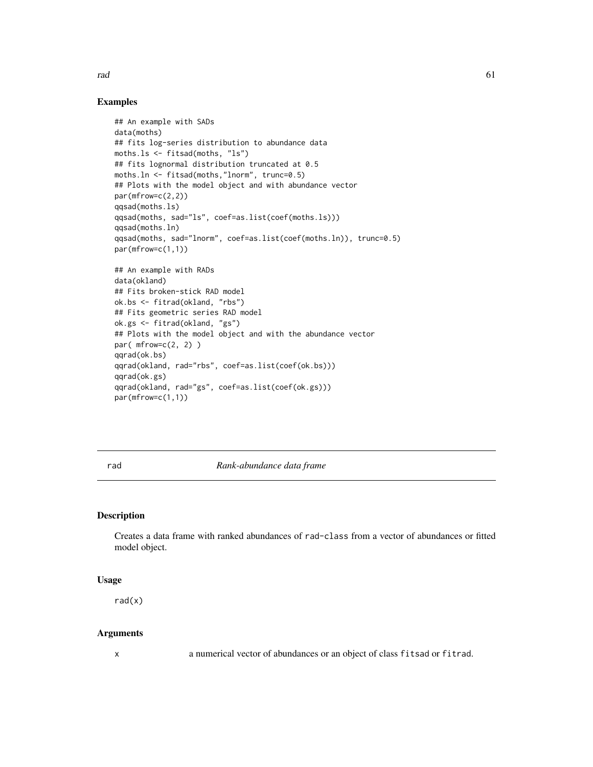<span id="page-60-1"></span>rad 61

## Examples

```
## An example with SADs
data(moths)
## fits log-series distribution to abundance data
moths.ls <- fitsad(moths, "ls")
## fits lognormal distribution truncated at 0.5
moths.ln <- fitsad(moths,"lnorm", trunc=0.5)
## Plots with the model object and with abundance vector
par(mfrow=c(2,2))
qqsad(moths.ls)
qqsad(moths, sad="ls", coef=as.list(coef(moths.ls)))
qqsad(moths.ln)
qqsad(moths, sad="lnorm", coef=as.list(coef(moths.ln)), trunc=0.5)
par(mfrow=c(1,1))
## An example with RADs
data(okland)
## Fits broken-stick RAD model
ok.bs <- fitrad(okland, "rbs")
## Fits geometric series RAD model
ok.gs <- fitrad(okland, "gs")
## Plots with the model object and with the abundance vector
par(mfrow=c(2, 2))
qqrad(ok.bs)
qqrad(okland, rad="rbs", coef=as.list(coef(ok.bs)))
qqrad(ok.gs)
qqrad(okland, rad="gs", coef=as.list(coef(ok.gs)))
par(mfrow=c(1,1))
```
<span id="page-60-0"></span>rad *Rank-abundance data frame*

#### Description

Creates a data frame with ranked abundances of rad-class from a vector of abundances or fitted model object.

## Usage

rad(x)

#### Arguments

x a numerical vector of abundances or an object of class fitsad or fitrad.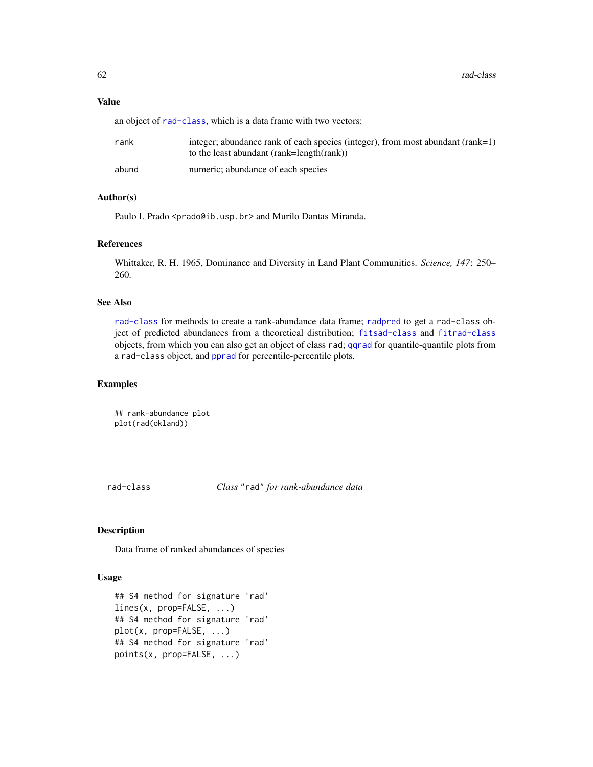# <span id="page-61-1"></span>Value

an object of [rad-class](#page-61-0), which is a data frame with two vectors:

| rank  | integer; abundance rank of each species (integer), from most abundant (rank=1)<br>to the least abundant (rank=length(rank)) |
|-------|-----------------------------------------------------------------------------------------------------------------------------|
| abund | numeric; abundance of each species                                                                                          |

# Author(s)

Paulo I. Prado <prado@ib.usp.br> and Murilo Dantas Miranda.

#### References

Whittaker, R. H. 1965, Dominance and Diversity in Land Plant Communities. *Science, 147*: 250– 260.

# See Also

[rad-class](#page-61-0) for methods to create a rank-abundance data frame; [radpred](#page-63-0) to get a rad-class object of predicted abundances from a theoretical distribution; [fitsad-class](#page-43-0) and [fitrad-class](#page-36-0) objects, from which you can also get an object of class rad; [qqrad](#page-58-0) for quantile-quantile plots from a rad-class object, and [pprad](#page-55-0) for percentile-percentile plots.

# Examples

```
## rank-abundance plot
plot(rad(okland))
```
<span id="page-61-0"></span>rad-class *Class* "rad" *for rank-abundance data*

## Description

Data frame of ranked abundances of species

#### Usage

```
## S4 method for signature 'rad'
lines(x, prop=FALSE, ...)
## S4 method for signature 'rad'
plot(x, prop=FALSE, ...)
## S4 method for signature 'rad'
points(x, prop=FALSE, ...)
```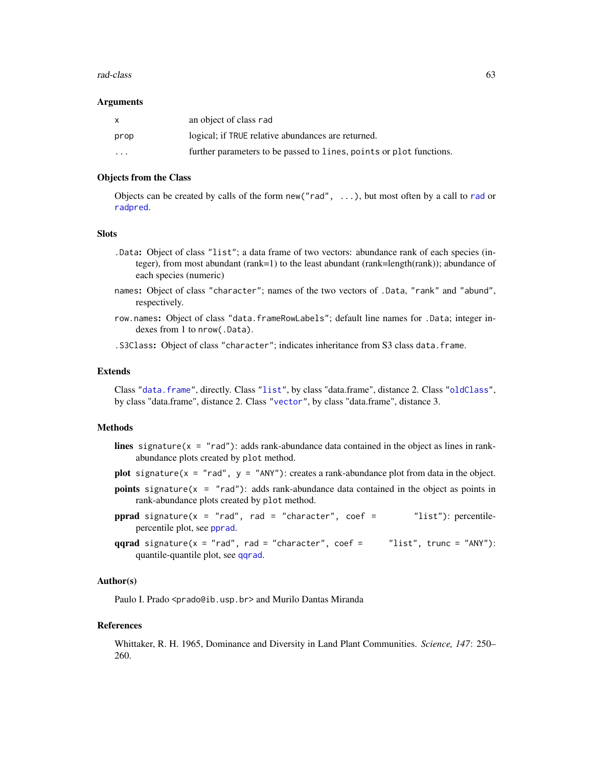#### <span id="page-62-0"></span>rad-class 63

#### **Arguments**

| X        | an object of class rad                                              |
|----------|---------------------------------------------------------------------|
| prop     | logical; if TRUE relative abundances are returned.                  |
| $\cdots$ | further parameters to be passed to lines, points or plot functions. |

## Objects from the Class

Objects can be created by calls of the form new("rad", ...), but most often by a call to [rad](#page-60-0) or [radpred](#page-63-0).

## **Slots**

- .Data: Object of class "list"; a data frame of two vectors: abundance rank of each species (integer), from most abundant (rank=1) to the least abundant (rank=length(rank)); abundance of each species (numeric)
- names: Object of class "character"; names of the two vectors of .Data, "rank" and "abund", respectively.
- row.names: Object of class "data.frameRowLabels"; default line names for .Data; integer indexes from 1 to nrow(.Data).

.S3Class: Object of class "character"; indicates inheritance from S3 class data.frame.

#### Extends

Class ["data.frame"](#page-0-0), directly. Class ["list"](#page-0-0), by class "data.frame", distance 2. Class ["oldClass"](#page-0-0), by class "data.frame", distance 2. Class ["vector"](#page-0-0), by class "data.frame", distance 3.

# **Methods**

- lines signature( $x = "rad"$ ): adds rank-abundance data contained in the object as lines in rankabundance plots created by plot method.
- plot signature( $x = "rad", y = "ANY":$  creates a rank-abundance plot from data in the object.
- points signature(x = "rad"): adds rank-abundance data contained in the object as points in rank-abundance plots created by plot method.
- pprad signature( $x = "rad"$ , rad = "character", coef =  $"list")$ : percentilepercentile plot, see [pprad](#page-55-0).
- qqrad signature( $x = "rad", rad = "character", coef = "list", trunc = "ANY");$ quantile-quantile plot, see [qqrad](#page-58-0).

#### Author(s)

Paulo I. Prado <prado@ib.usp.br> and Murilo Dantas Miranda

#### References

Whittaker, R. H. 1965, Dominance and Diversity in Land Plant Communities. *Science, 147*: 250– 260.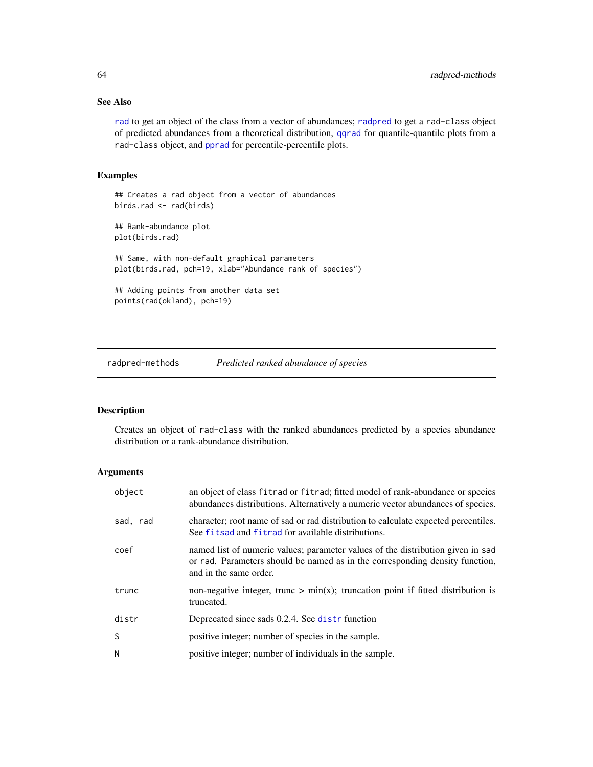# See Also

[rad](#page-60-0) to get an object of the class from a vector of abundances; [radpred](#page-63-0) to get a rad-class object of predicted abundances from a theoretical distribution, [qqrad](#page-58-0) for quantile-quantile plots from a rad-class object, and [pprad](#page-55-0) for percentile-percentile plots.

# Examples

```
## Creates a rad object from a vector of abundances
birds.rad <- rad(birds)
## Rank-abundance plot
plot(birds.rad)
## Same, with non-default graphical parameters
plot(birds.rad, pch=19, xlab="Abundance rank of species")
## Adding points from another data set
points(rad(okland), pch=19)
```
radpred-methods *Predicted ranked abundance of species*

# <span id="page-63-0"></span>Description

Creates an object of rad-class with the ranked abundances predicted by a species abundance distribution or a rank-abundance distribution.

# Arguments

| object   | an object of class fitrad or fitrad; fitted model of rank-abundance or species<br>abundances distributions. Alternatively a numeric vector abundances of species.                         |
|----------|-------------------------------------------------------------------------------------------------------------------------------------------------------------------------------------------|
| sad, rad | character; root name of sad or rad distribution to calculate expected percentiles.<br>See fits ad and fitrad for available distributions.                                                 |
| coef     | named list of numeric values; parameter values of the distribution given in sad<br>or rad. Parameters should be named as in the corresponding density function,<br>and in the same order. |
| trunc    | non-negative integer, trunc $> min(x)$ ; truncation point if fitted distribution is<br>truncated.                                                                                         |
| distr    | Deprecated since sads 0.2.4. See distr function                                                                                                                                           |
| S        | positive integer; number of species in the sample.                                                                                                                                        |
| N        | positive integer; number of individuals in the sample.                                                                                                                                    |

<span id="page-63-1"></span>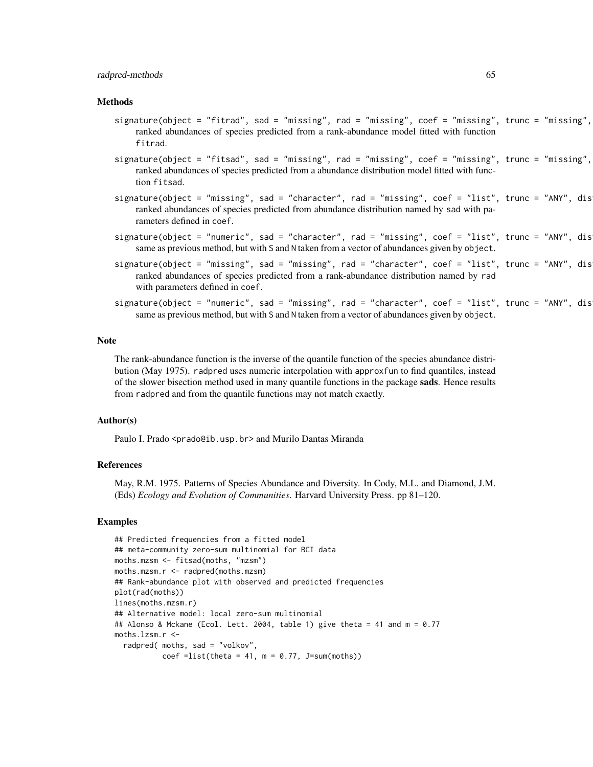#### radpred-methods 65

#### Methods

- $signature(object = "fitrad", sad = "missing", rad = "missing", code = "missing", core = "missing", true = "missing",$ ranked abundances of species predicted from a rank-abundance model fitted with function fitrad.
- $signature(object = "fitsad", sad = "missing", rad = "missing", code = "missing", coref = "missing", trunc = "missing",$ ranked abundances of species predicted from a abundance distribution model fitted with function fitsad.
- $signature(object = "missing", sad = "character", rad = "missing", red = "missing", coeff = "list", trunc = "ANY", dis$ ranked abundances of species predicted from abundance distribution named by sad with parameters defined in coef.
- $signature(object = "numeric", sad = "character", rad = "missing", coef = "list", trunc = "ANY", dis$ same as previous method, but with S and N taken from a vector of abundances given by object.
- $signature(object = "missing", sad = "missing", rad = "character", coef = "list", trunc = "ANY", dis$ ranked abundances of species predicted from a rank-abundance distribution named by rad with parameters defined in coef.
- signature(object = "numeric", sad = "missing", rad = "character", coef = "list", trunc = "ANY", dis same as previous method, but with S and N taken from a vector of abundances given by object.

#### Note

The rank-abundance function is the inverse of the quantile function of the species abundance distribution (May 1975). radpred uses numeric interpolation with approxfun to find quantiles, instead of the slower bisection method used in many quantile functions in the package sads. Hence results from radpred and from the quantile functions may not match exactly.

## Author(s)

Paulo I. Prado <prado@ib.usp.br> and Murilo Dantas Miranda

#### References

May, R.M. 1975. Patterns of Species Abundance and Diversity. In Cody, M.L. and Diamond, J.M. (Eds) *Ecology and Evolution of Communities*. Harvard University Press. pp 81–120.

#### Examples

```
## Predicted frequencies from a fitted model
## meta-community zero-sum multinomial for BCI data
moths.mzsm <- fitsad(moths, "mzsm")
moths.mzsm.r <- radpred(moths.mzsm)
## Rank-abundance plot with observed and predicted frequencies
plot(rad(moths))
lines(moths.mzsm.r)
## Alternative model: local zero-sum multinomial
## Alonso & Mckane (Ecol. Lett. 2004, table 1) give theta = 41 and m = 0.77
moths.lzsm.r <-
  radpred( moths, sad = "volkov",
           coef =list(theta = 41, m = 0.77, J=sum(moths))
```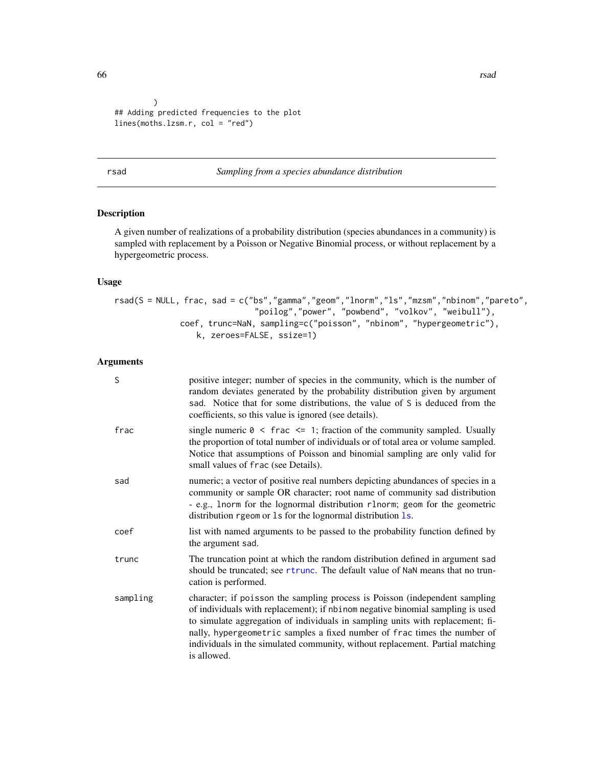66 **rsad** rsad **rsad in the set of the set of the set of the set of the set of the set of the set of the set of the set of the set of the set of the set of the set of the set of the set of the set of the set of the set of** 

```
\lambda## Adding predicted frequencies to the plot
lines(moths.lzsm.r, col = "red")
```
## rsad *Sampling from a species abundance distribution*

# Description

A given number of realizations of a probability distribution (species abundances in a community) is sampled with replacement by a Poisson or Negative Binomial process, or without replacement by a hypergeometric process.

# Usage

rsad(S = NULL, frac, sad = c("bs","gamma","geom","lnorm","ls","mzsm","nbinom","pareto", "poilog","power", "powbend", "volkov", "weibull"), coef, trunc=NaN, sampling=c("poisson", "nbinom", "hypergeometric"), k, zeroes=FALSE, ssize=1)

# Arguments

| S        | positive integer; number of species in the community, which is the number of<br>random deviates generated by the probability distribution given by argument<br>sad. Notice that for some distributions, the value of S is deduced from the<br>coefficients, so this value is ignored (see details).                                                                                                                         |
|----------|-----------------------------------------------------------------------------------------------------------------------------------------------------------------------------------------------------------------------------------------------------------------------------------------------------------------------------------------------------------------------------------------------------------------------------|
| frac     | single numeric $0 \le$ frac $\le$ 1; fraction of the community sampled. Usually<br>the proportion of total number of individuals or of total area or volume sampled.<br>Notice that assumptions of Poisson and binomial sampling are only valid for<br>small values of frac (see Details).                                                                                                                                  |
| sad      | numeric; a vector of positive real numbers depicting abundances of species in a<br>community or sample OR character; root name of community sad distribution<br>- e.g., 1norm for the lognormal distribution r1norm; geom for the geometric<br>distribution rgeom or 1s for the lognormal distribution 1s.                                                                                                                  |
| coef     | list with named arguments to be passed to the probability function defined by<br>the argument sad.                                                                                                                                                                                                                                                                                                                          |
| trunc    | The truncation point at which the random distribution defined in argument sad<br>should be truncated; see rtrunc. The default value of NaN means that no trun-<br>cation is performed.                                                                                                                                                                                                                                      |
| sampling | character; if poisson the sampling process is Poisson (independent sampling<br>of individuals with replacement); if nbinom negative binomial sampling is used<br>to simulate aggregation of individuals in sampling units with replacement; fi-<br>nally, hypergeometric samples a fixed number of frac times the number of<br>individuals in the simulated community, without replacement. Partial matching<br>is allowed. |

<span id="page-65-0"></span>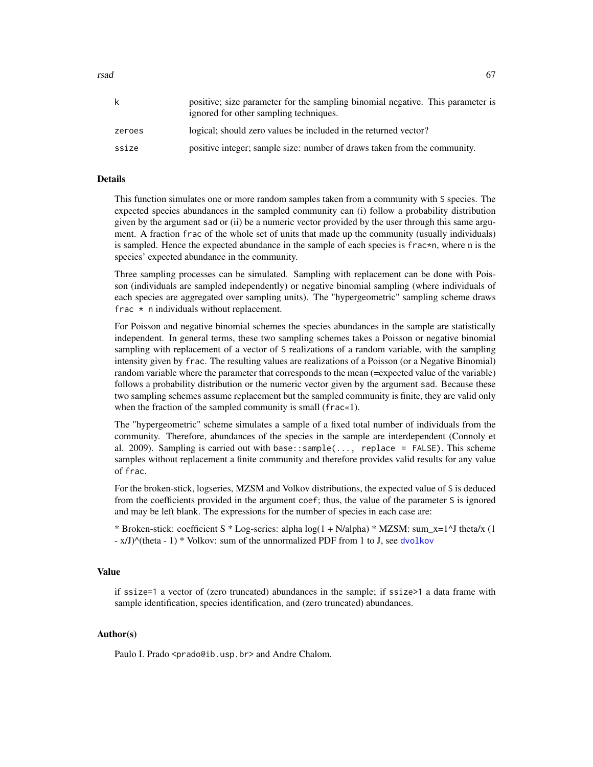<span id="page-66-0"></span>rsad 67

| k      | positive; size parameter for the sampling binomial negative. This parameter is<br>ignored for other sampling techniques. |
|--------|--------------------------------------------------------------------------------------------------------------------------|
| zeroes | logical; should zero values be included in the returned vector?                                                          |
| ssize  | positive integer; sample size: number of draws taken from the community.                                                 |

## Details

This function simulates one or more random samples taken from a community with S species. The expected species abundances in the sampled community can (i) follow a probability distribution given by the argument sad or (ii) be a numeric vector provided by the user through this same argument. A fraction frac of the whole set of units that made up the community (usually individuals) is sampled. Hence the expected abundance in the sample of each species is frac\*n, where n is the species' expected abundance in the community.

Three sampling processes can be simulated. Sampling with replacement can be done with Poisson (individuals are sampled independently) or negative binomial sampling (where individuals of each species are aggregated over sampling units). The "hypergeometric" sampling scheme draws frac  $*$  n individuals without replacement.

For Poisson and negative binomial schemes the species abundances in the sample are statistically independent. In general terms, these two sampling schemes takes a Poisson or negative binomial sampling with replacement of a vector of S realizations of a random variable, with the sampling intensity given by frac. The resulting values are realizations of a Poisson (or a Negative Binomial) random variable where the parameter that corresponds to the mean (=expected value of the variable) follows a probability distribution or the numeric vector given by the argument sad. Because these two sampling schemes assume replacement but the sampled community is finite, they are valid only when the fraction of the sampled community is small (frac«1).

The "hypergeometric" scheme simulates a sample of a fixed total number of individuals from the community. Therefore, abundances of the species in the sample are interdependent (Connoly et al. 2009). Sampling is carried out with base: : sample $(\ldots,$  replace = FALSE). This scheme samples without replacement a finite community and therefore provides valid results for any value of frac.

For the broken-stick, logseries, MZSM and Volkov distributions, the expected value of S is deduced from the coefficients provided in the argument coef; thus, the value of the parameter S is ignored and may be left blank. The expressions for the number of species in each case are:

\* Broken-stick: coefficient S \* Log-series: alpha log(1 + N/alpha) \* MZSM: sum\_x=1^J theta/x (1 - x/J)^(theta - 1) \* Volkov: sum of the unnormalized PDF from 1 to J, see [dvolkov](#page-30-0)

# Value

if ssize=1 a vector of (zero truncated) abundances in the sample; if ssize>1 a data frame with sample identification, species identification, and (zero truncated) abundances.

## Author(s)

Paulo I. Prado <prado@ib.usp.br> and Andre Chalom.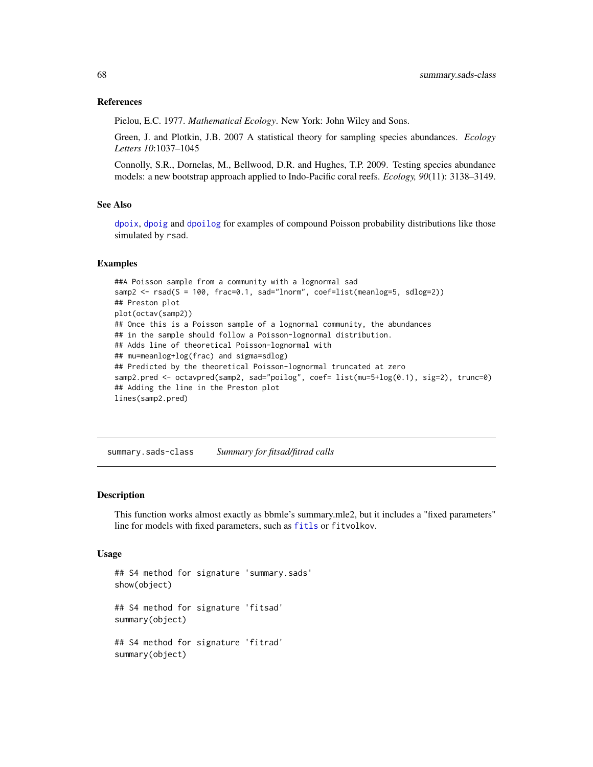#### <span id="page-67-0"></span>References

Pielou, E.C. 1977. *Mathematical Ecology*. New York: John Wiley and Sons.

Green, J. and Plotkin, J.B. 2007 A statistical theory for sampling species abundances. *Ecology Letters 10*:1037–1045

Connolly, S.R., Dornelas, M., Bellwood, D.R. and Hughes, T.P. 2009. Testing species abundance models: a new bootstrap approach applied to Indo-Pacific coral reefs. *Ecology, 90*(11): 3138–3149.

## See Also

[dpoix](#page-22-0), [dpoig](#page-19-0) and [dpoilog](#page-20-0) for examples of compound Poisson probability distributions like those simulated by rsad.

#### Examples

```
##A Poisson sample from a community with a lognormal sad
samp2 <- rsad(S = 100, frac=0.1, sad="lnorm", coef=list(meanlog=5, sdlog=2))
## Preston plot
plot(octav(samp2))
## Once this is a Poisson sample of a lognormal community, the abundances
## in the sample should follow a Poisson-lognormal distribution.
## Adds line of theoretical Poisson-lognormal with
## mu=meanlog+log(frac) and sigma=sdlog)
## Predicted by the theoretical Poisson-lognormal truncated at zero
samp2.pred <- octavpred(samp2, sad="poilog", coef= list(mu=5+log(0.1), sig=2), trunc=0)
## Adding the line in the Preston plot
lines(samp2.pred)
```
summary.sads-class *Summary for fitsad/fitrad calls*

## Description

This function works almost exactly as bbmle's summary.mle2, but it includes a "fixed parameters" line for models with fixed parameters, such as [fitls](#page-38-1) or fitvolkov.

#### Usage

```
## S4 method for signature 'summary.sads'
show(object)
## S4 method for signature 'fitsad'
summary(object)
## S4 method for signature 'fitrad'
summary(object)
```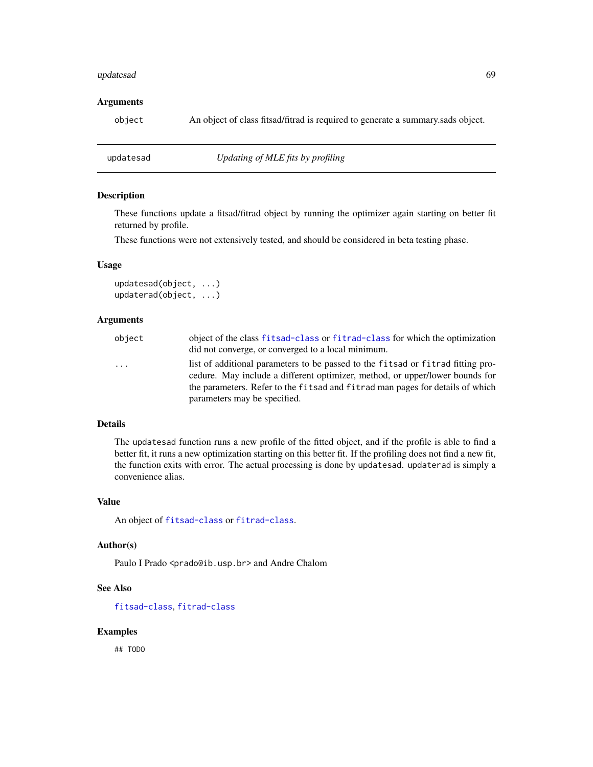#### updatesad 69

#### **Arguments**

object An object of class fitsad/fitrad is required to generate a summary.sads object.

updatesad *Updating of MLE fits by profiling*

# Description

These functions update a fitsad/fitrad object by running the optimizer again starting on better fit returned by profile.

These functions were not extensively tested, and should be considered in beta testing phase.

## Usage

updatesad(object, ...) updaterad(object, ...)

# Arguments

| object   | object of the class fitsad-class or fitrad-class for which the optimization<br>did not converge, or converged to a local minimum.                               |
|----------|-----------------------------------------------------------------------------------------------------------------------------------------------------------------|
| $\cdots$ | list of additional parameters to be passed to the fitsad or fitrad fitting pro-<br>cedure. May include a different optimizer, method, or upper/lower bounds for |
|          | the parameters. Refer to the fitsad and fitrad man pages for details of which                                                                                   |
|          | parameters may be specified.                                                                                                                                    |

#### Details

The updatesad function runs a new profile of the fitted object, and if the profile is able to find a better fit, it runs a new optimization starting on this better fit. If the profiling does not find a new fit, the function exits with error. The actual processing is done by updatesad. updaterad is simply a convenience alias.

# Value

An object of [fitsad-class](#page-43-0) or [fitrad-class](#page-36-0).

#### Author(s)

Paulo I Prado <prado@ib.usp.br> and Andre Chalom

#### See Also

[fitsad-class](#page-43-0), [fitrad-class](#page-36-0)

#### Examples

## TODO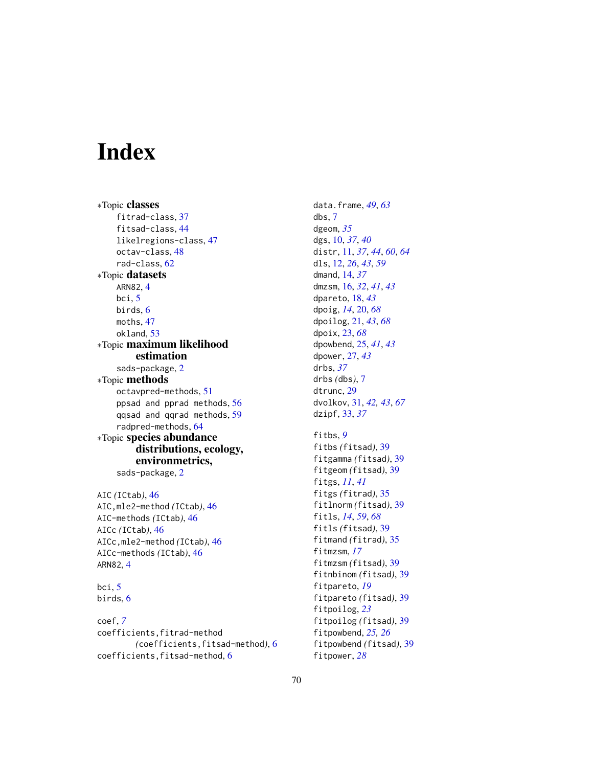# Index

∗Topic classes fitrad-class, [37](#page-36-1) fitsad-class, [44](#page-43-1) likelregions-class, [47](#page-46-0) octav-class, [48](#page-47-1) rad-class, [62](#page-61-1) ∗Topic datasets ARN82, [4](#page-3-0) bci, [5](#page-4-0) birds, [6](#page-5-0) moths, [47](#page-46-0) okland, [53](#page-52-0) ∗Topic maximum likelihood estimation sads-package, [2](#page-1-0) ∗Topic methods octavpred-methods, [51](#page-50-1) ppsad and pprad methods, [56](#page-55-1) qqsad and qqrad methods, [59](#page-58-1) radpred-methods, [64](#page-63-1) ∗Topic species abundance distributions, ecology, environmetrics, sads-package, [2](#page-1-0) AIC *(*ICtab*)*, [46](#page-45-0)

AIC,mle2-method *(*ICtab*)*, [46](#page-45-0) AIC-methods *(*ICtab*)*, [46](#page-45-0) AICc *(*ICtab*)*, [46](#page-45-0) AICc,mle2-method *(*ICtab*)*, [46](#page-45-0) AICc-methods *(*ICtab*)*, [46](#page-45-0) ARN82, [4](#page-3-0)

bci, [5](#page-4-0) birds, [6](#page-5-0)

coef, *[7](#page-6-1)* coefficients,fitrad-method *(*coefficients,fitsad-method*)*, [6](#page-5-0) coefficients, fitsad-method, [6](#page-5-0)

data.frame, *[49](#page-48-0)*, *[63](#page-62-0)* dbs, [7](#page-6-1) dgeom, *[35](#page-34-2)* dgs, [10,](#page-9-1) *[37](#page-36-1)*, *[40](#page-39-0)* distr, [11,](#page-10-1) *[37](#page-36-1)*, *[44](#page-43-1)*, *[60](#page-59-0)*, *[64](#page-63-1)* dls, [12,](#page-11-1) *[26](#page-25-0)*, *[43](#page-42-0)*, *[59](#page-58-1)* dmand, [14,](#page-13-1) *[37](#page-36-1)* dmzsm, [16,](#page-15-1) *[32](#page-31-0)*, *[41](#page-40-0)*, *[43](#page-42-0)* dpareto, [18,](#page-17-1) *[43](#page-42-0)* dpoig, *[14](#page-13-1)*, [20,](#page-19-1) *[68](#page-67-0)* dpoilog, [21,](#page-20-1) *[43](#page-42-0)*, *[68](#page-67-0)* dpoix, [23,](#page-22-1) *[68](#page-67-0)* dpowbend, [25,](#page-24-1) *[41](#page-40-0)*, *[43](#page-42-0)* dpower, [27,](#page-26-1) *[43](#page-42-0)* drbs, *[37](#page-36-1)* drbs *(*dbs*)*, [7](#page-6-1) dtrunc, [29](#page-28-1) dvolkov, [31,](#page-30-1) *[42,](#page-41-0) [43](#page-42-0)*, *[67](#page-66-0)* dzipf, [33,](#page-32-1) *[37](#page-36-1)* fitbs, *[9](#page-8-0)* fitbs *(*fitsad*)*, [39](#page-38-2) fitgamma *(*fitsad*)*, [39](#page-38-2) fitgeom *(*fitsad*)*, [39](#page-38-2) fitgs, *[11](#page-10-1)*, *[41](#page-40-0)* fitgs *(*fitrad*)*, [35](#page-34-2) fitlnorm *(*fitsad*)*, [39](#page-38-2) fitls, *[14](#page-13-1)*, *[59](#page-58-1)*, *[68](#page-67-0)* fitls *(*fitsad*)*, [39](#page-38-2) fitmand *(*fitrad*)*, [35](#page-34-2) fitmzsm, *[17](#page-16-0)* fitmzsm *(*fitsad*)*, [39](#page-38-2) fitnbinom *(*fitsad*)*, [39](#page-38-2) fitpareto, *[19](#page-18-0)* fitpareto *(*fitsad*)*, [39](#page-38-2) fitpoilog, *[23](#page-22-1)* fitpoilog *(*fitsad*)*, [39](#page-38-2) fitpowbend, *[25,](#page-24-1) [26](#page-25-0)*

fitpowbend *(*fitsad*)*, [39](#page-38-2)

fitpower, *[28](#page-27-0)*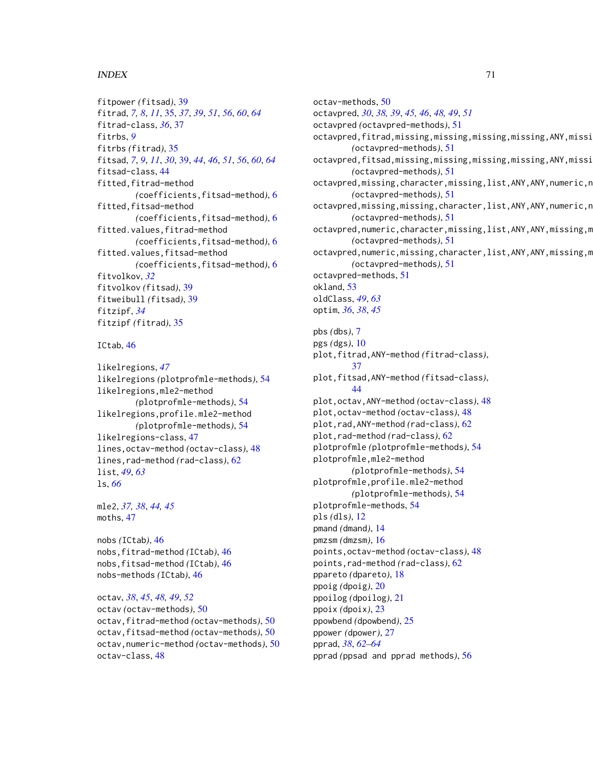## $I<sub>N</sub>$  in  $I<sub>1</sub>$  is  $I<sub>2</sub>$  in  $I<sub>3</sub>$  in  $I<sub>4</sub>$  in  $I<sub>5</sub>$  in  $I<sub>6</sub>$  in  $I<sub>7</sub>$  in  $I<sub>8</sub>$  in  $I<sub>9</sub>$  in  $I<sub>9</sub>$  in  $I<sub>9</sub>$  in  $I<sub>9</sub>$  in  $I<sub>9</sub>$  in  $I<sub>9</sub>$  in  $I<sub>9</sub>$  i

```
fitpower (fitsad), 39
fitrad, 7, 8, 11, 35, 37, 39, 51, 56, 60, 64
fitrad-class, 36, 37
fitrbs, 9
fitrbs (fitrad), 35
fitsad, 7, 9, 11, 30, 39, 44, 46, 51, 56, 60, 64
fitsad-class, 44
fitted,fitrad-method
        (coefficients,fitsad-method), 6
fitted, fitsad-method
        (coefficients,fitsad-method), 6
fitted.values,fitrad-method
        (coefficients,fitsad-method), 6
fitted.values,fitsad-method
        (coefficients,fitsad-method), 6
fitvolkov, 32
fitvolkov (fitsad), 39
fitweibull (fitsad), 39
fitzipf, 34
fitzipf (fitrad), 35
```
ICtab, [46](#page-45-0)

```
likelregions, 47
likelregions (plotprofmle-methods), 54
likelregions,mle2-method
        (plotprofmle-methods), 54
likelregions,profile.mle2-method
        (plotprofmle-methods), 54
likelregions-class, 47
lines,octav-method (octav-class), 48
lines,rad-method (rad-class), 62
list, 49, 63
ls, 66
```
mle2, *[37,](#page-36-1) [38](#page-37-0)*, *[44,](#page-43-1) [45](#page-44-0)* moths, [47](#page-46-0)

nobs *(*ICtab*)*, [46](#page-45-0) nobs,fitrad-method *(*ICtab*)*, [46](#page-45-0) nobs,fitsad-method *(*ICtab*)*, [46](#page-45-0) nobs-methods *(*ICtab*)*, [46](#page-45-0)

octav, *[38](#page-37-0)*, *[45](#page-44-0)*, *[48,](#page-47-1) [49](#page-48-0)*, *[52](#page-51-0)* octav *(*octav-methods*)*, [50](#page-49-1) octav,fitrad-method *(*octav-methods*)*, [50](#page-49-1) octav,fitsad-method *(*octav-methods*)*, [50](#page-49-1) octav,numeric-method *(*octav-methods*)*, [50](#page-49-1) octav-class, [48](#page-47-1)

octav-methods, [50](#page-49-1) octavpred, *[30](#page-29-0)*, *[38,](#page-37-0) [39](#page-38-2)*, *[45,](#page-44-0) [46](#page-45-0)*, *[48,](#page-47-1) [49](#page-48-0)*, *[51](#page-50-1)* octavpred *(*octavpred-methods*)*, [51](#page-50-1) octavpred,fitrad,missing,missing,missing,missing,ANY,missi *(*octavpred-methods*)*, [51](#page-50-1) octavpred,fitsad,missing,missing,missing,missing,ANY,missi *(*octavpred-methods*)*, [51](#page-50-1) octavpred,missing,character,missing,list,ANY,ANY,numeric,n *(*octavpred-methods*)*, [51](#page-50-1) octavpred,missing,missing,character,list,ANY,ANY,numeric,n *(*octavpred-methods*)*, [51](#page-50-1) octavpred,numeric,character,missing,list,ANY,ANY,missing,m *(*octavpred-methods*)*, [51](#page-50-1) octavpred,numeric,missing,character,list,ANY,ANY,missing,m *(*octavpred-methods*)*, [51](#page-50-1) octavpred-methods, [51](#page-50-1) okland, [53](#page-52-0) oldClass, *[49](#page-48-0)*, *[63](#page-62-0)* optim, *[36](#page-35-0)*, *[38](#page-37-0)*, *[45](#page-44-0)* pbs *(*dbs*)*, [7](#page-6-1) pgs *(*dgs*)*, [10](#page-9-1) plot,fitrad,ANY-method *(*fitrad-class*)*, [37](#page-36-1) plot,fitsad,ANY-method *(*fitsad-class*)*, [44](#page-43-1) plot,octav,ANY-method *(*octav-class*)*, [48](#page-47-1) plot,octav-method *(*octav-class*)*, [48](#page-47-1) plot,rad,ANY-method *(*rad-class*)*, [62](#page-61-1) plot,rad-method *(*rad-class*)*, [62](#page-61-1) plotprofmle *(*plotprofmle-methods*)*, [54](#page-53-1) plotprofmle,mle2-method *(*plotprofmle-methods*)*, [54](#page-53-1) plotprofmle,profile.mle2-method *(*plotprofmle-methods*)*, [54](#page-53-1) plotprofmle-methods, [54](#page-53-1) pls *(*dls*)*, [12](#page-11-1) pmand *(*dmand*)*, [14](#page-13-1) pmzsm *(*dmzsm*)*, [16](#page-15-1) points,octav-method *(*octav-class*)*, [48](#page-47-1) points,rad-method *(*rad-class*)*, [62](#page-61-1) ppareto *(*dpareto*)*, [18](#page-17-1) ppoig *(*dpoig*)*, [20](#page-19-1) ppoilog *(*dpoilog*)*, [21](#page-20-1) ppoix *(*dpoix*)*, [23](#page-22-1) ppowbend *(*dpowbend*)*, [25](#page-24-1) ppower *(*dpower*)*, [27](#page-26-1) pprad, *[38](#page-37-0)*, *[62](#page-61-1)[–64](#page-63-1)* pprad *(*ppsad and pprad methods*)*, [56](#page-55-1)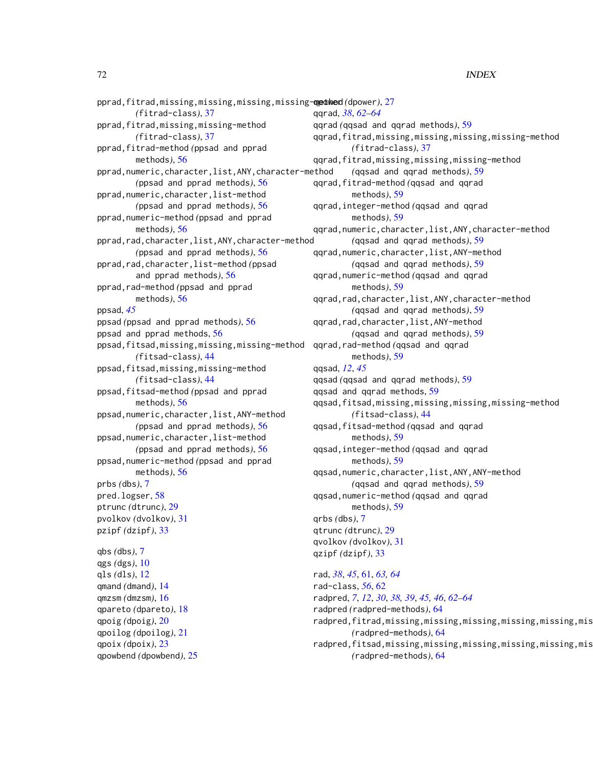pprad,fitrad,missing,missing,missing,missing-**qpdwed**(dpower),[27](#page-26-1) *(*fitrad-class*)*, [37](#page-36-1) pprad,fitrad,missing,missing-method *(*fitrad-class*)*, [37](#page-36-1) pprad,fitrad-method *(*ppsad and pprad methods*)*, [56](#page-55-1) pprad,numeric,character,list,ANY,character-method *(*ppsad and pprad methods*)*, [56](#page-55-1) pprad,numeric,character,list-method *(*ppsad and pprad methods*)*, [56](#page-55-1) pprad,numeric-method *(*ppsad and pprad methods*)*, [56](#page-55-1) pprad,rad,character,list,ANY,character-method *(*ppsad and pprad methods*)*, [56](#page-55-1) pprad,rad,character,list-method *(*ppsad and pprad methods*)*, [56](#page-55-1) pprad,rad-method *(*ppsad and pprad methods*)*, [56](#page-55-1) ppsad, *[45](#page-44-0)* ppsad *(*ppsad and pprad methods*)*, [56](#page-55-1) ppsad and pprad methods, [56](#page-55-1) ppsad,fitsad,missing,missing,missing-method *(*fitsad-class*)*, [44](#page-43-1) ppsad,fitsad,missing,missing-method *(*fitsad-class*)*, [44](#page-43-1) ppsad,fitsad-method *(*ppsad and pprad methods*)*, [56](#page-55-1) ppsad,numeric,character,list,ANY-method *(*ppsad and pprad methods*)*, [56](#page-55-1) ppsad,numeric,character,list-method *(*ppsad and pprad methods*)*, [56](#page-55-1) ppsad,numeric-method *(*ppsad and pprad methods*)*, [56](#page-55-1) prbs *(*dbs*)*, [7](#page-6-1) pred.logser, [58](#page-57-0) ptrunc *(*dtrunc*)*, [29](#page-28-1) pvolkov *(*dvolkov*)*, [31](#page-30-1) pzipf *(*dzipf*)*, [33](#page-32-1) qbs *(*dbs*)*, [7](#page-6-1) qgs *(*dgs*)*, [10](#page-9-1) qls *(*dls*)*, [12](#page-11-1) qmand *(*dmand*)*, [14](#page-13-1) qmzsm *(*dmzsm*)*, [16](#page-15-1) qpareto *(*dpareto*)*, [18](#page-17-1) qpoig *(*dpoig*)*, [20](#page-19-1) qpoilog *(*dpoilog*)*, [21](#page-20-1) qpoix *(*dpoix*)*, [23](#page-22-1) qpowbend *(*dpowbend*)*, [25](#page-24-1)

qqrad, *[38](#page-37-0)*, *[62](#page-61-1)[–64](#page-63-1)* qqrad *(*qqsad and qqrad methods*)*, [59](#page-58-1) qqrad,fitrad,missing,missing,missing,missing-method *(*fitrad-class*)*, [37](#page-36-1) qqrad,fitrad,missing,missing,missing-method *(*qqsad and qqrad methods*)*, [59](#page-58-1) qqrad,fitrad-method *(*qqsad and qqrad methods*)*, [59](#page-58-1) qqrad,integer-method *(*qqsad and qqrad methods*)*, [59](#page-58-1) qqrad,numeric,character,list,ANY,character-method *(*qqsad and qqrad methods*)*, [59](#page-58-1) qqrad,numeric,character,list,ANY-method *(*qqsad and qqrad methods*)*, [59](#page-58-1) qqrad,numeric-method *(*qqsad and qqrad methods*)*, [59](#page-58-1) qqrad,rad,character,list,ANY,character-method *(*qqsad and qqrad methods*)*, [59](#page-58-1) qqrad,rad,character,list,ANY-method *(*qqsad and qqrad methods*)*, [59](#page-58-1) qqrad,rad-method *(*qqsad and qqrad methods*)*, [59](#page-58-1) qqsad, *[12](#page-11-1)*, *[45](#page-44-0)* qqsad *(*qqsad and qqrad methods*)*, [59](#page-58-1) qqsad and qqrad methods, [59](#page-58-1) qqsad,fitsad,missing,missing,missing,missing-method *(*fitsad-class*)*, [44](#page-43-1) qqsad,fitsad-method *(*qqsad and qqrad methods*)*, [59](#page-58-1) qqsad,integer-method *(*qqsad and qqrad methods*)*, [59](#page-58-1) qqsad,numeric,character,list,ANY,ANY-method *(*qqsad and qqrad methods*)*, [59](#page-58-1) qqsad,numeric-method *(*qqsad and qqrad methods*)*, [59](#page-58-1) qrbs *(*dbs*)*, [7](#page-6-1) qtrunc *(*dtrunc*)*, [29](#page-28-1) qvolkov *(*dvolkov*)*, [31](#page-30-1) qzipf *(*dzipf*)*, [33](#page-32-1) rad, *[38](#page-37-0)*, *[45](#page-44-0)*, [61,](#page-60-1) *[63,](#page-62-0) [64](#page-63-1)* rad-class, *[56](#page-55-1)*, [62](#page-61-1) radpred, *[7](#page-6-1)*, *[12](#page-11-1)*, *[30](#page-29-0)*, *[38,](#page-37-0) [39](#page-38-2)*, *[45,](#page-44-0) [46](#page-45-0)*, *[62](#page-61-1)[–64](#page-63-1)* radpred *(*radpred-methods*)*, [64](#page-63-1) radpred,fitrad,missing,missing,missing,missing,missing,mis *(*radpred-methods*)*, [64](#page-63-1) radpred,fitsad,missing,missing,missing,missing,missing,mis

*(*radpred-methods*)*, [64](#page-63-1)